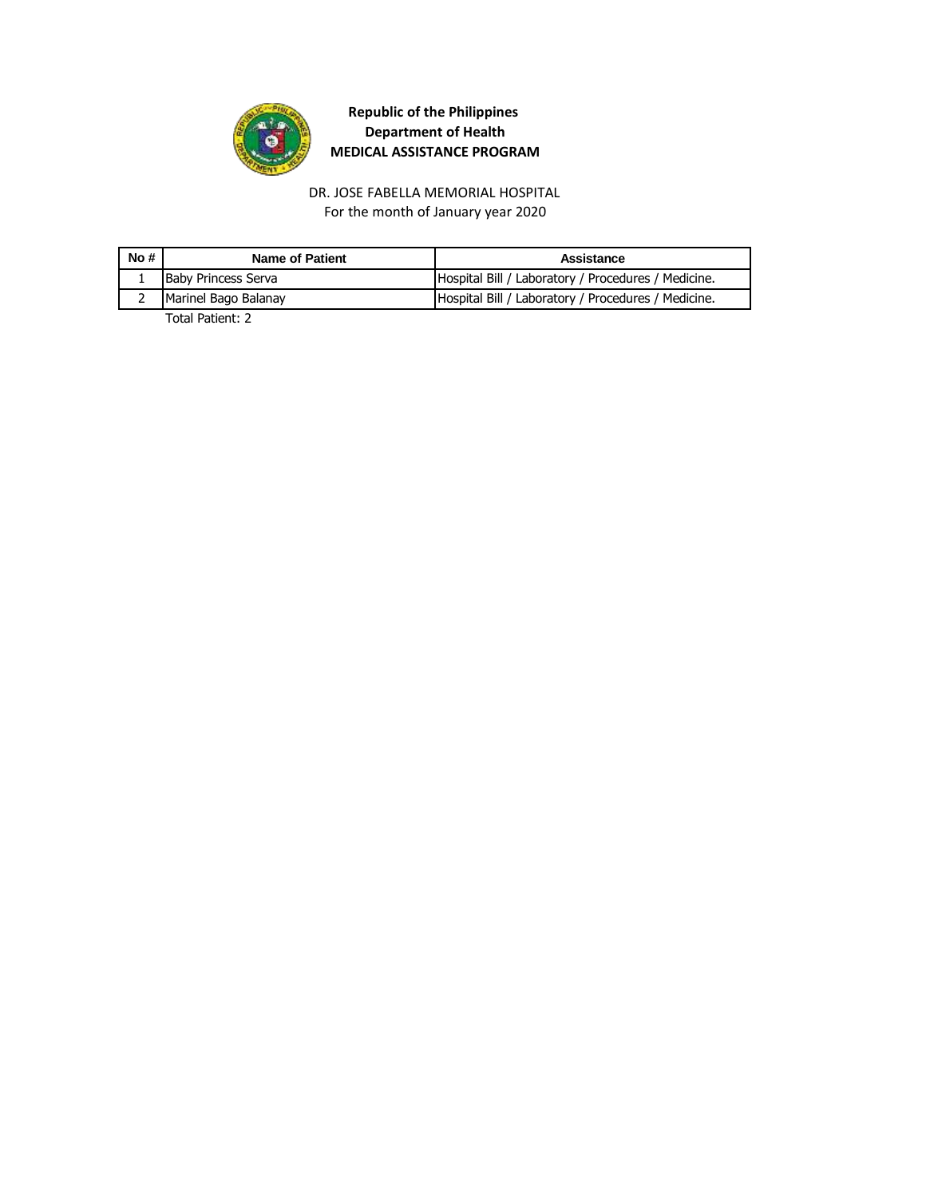

For the month of January year 2020 DR. JOSE FABELLA MEMORIAL HOSPITAL

| No#      | Name of Patient            | Assistance                                          |
|----------|----------------------------|-----------------------------------------------------|
| <b>T</b> | <b>Baby Princess Serva</b> | Hospital Bill / Laboratory / Procedures / Medicine. |
|          | Marinel Bago Balanay       | Hospital Bill / Laboratory / Procedures / Medicine. |
|          | _ _  . _                   |                                                     |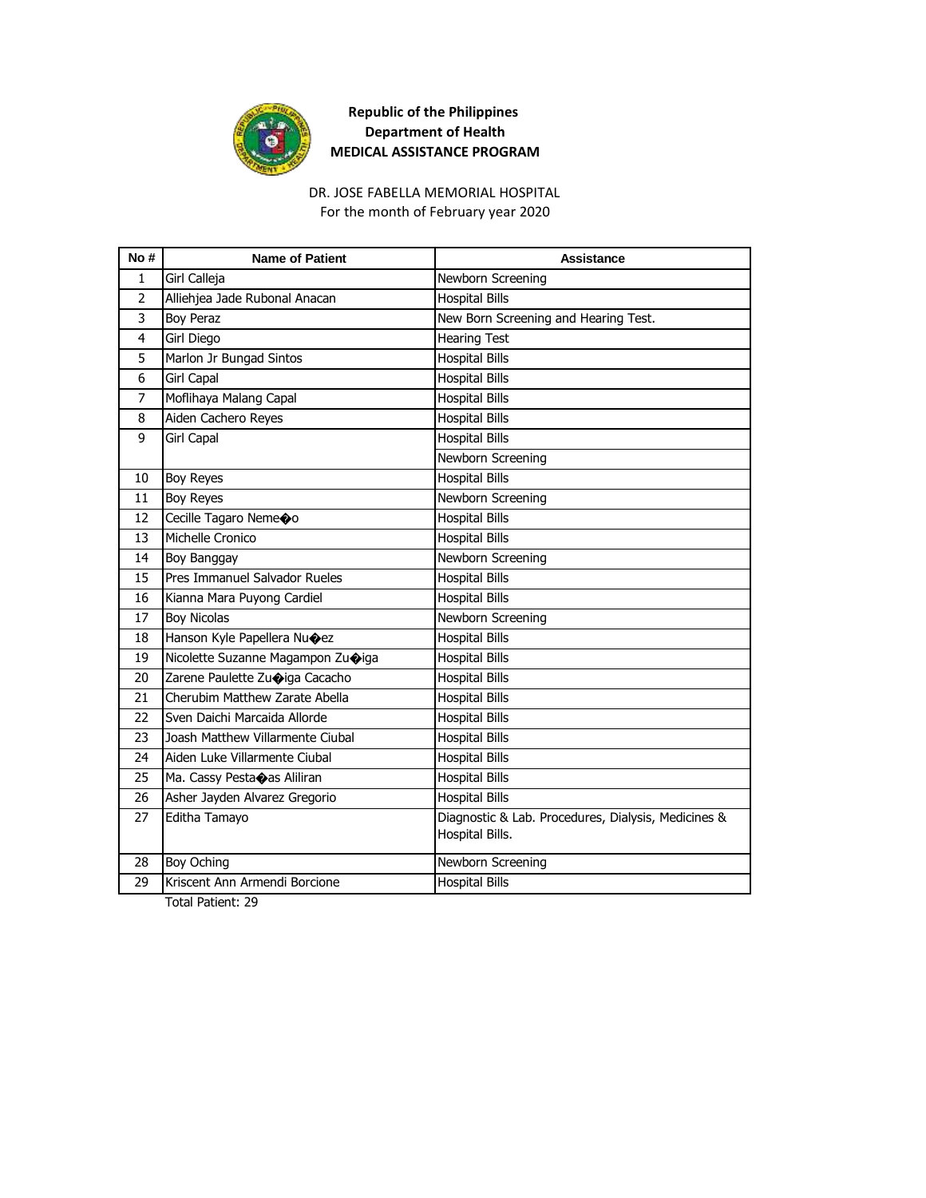

#### DR. JOSE FABELLA MEMORIAL HOSPITAL

For the month of February year 2020

| No#            | <b>Name of Patient</b>                 | Assistance                                                             |
|----------------|----------------------------------------|------------------------------------------------------------------------|
| $\mathbf{1}$   | Girl Calleja                           | Newborn Screening                                                      |
| $\overline{2}$ | Alliehjea Jade Rubonal Anacan          | <b>Hospital Bills</b>                                                  |
| 3              | <b>Boy Peraz</b>                       | New Born Screening and Hearing Test.                                   |
| 4              | Girl Diego                             | <b>Hearing Test</b>                                                    |
| 5              | Marlon Jr Bungad Sintos                | <b>Hospital Bills</b>                                                  |
| 6              | <b>Girl Capal</b>                      | <b>Hospital Bills</b>                                                  |
| 7              | Moflihaya Malang Capal                 | <b>Hospital Bills</b>                                                  |
| 8              | Aiden Cachero Reyes                    | <b>Hospital Bills</b>                                                  |
| 9              | Girl Capal                             | <b>Hospital Bills</b>                                                  |
|                |                                        | Newborn Screening                                                      |
| 10             | Boy Reyes                              | <b>Hospital Bills</b>                                                  |
| 11             | Boy Reyes                              | Newborn Screening                                                      |
| 12             | Cecille Tagaro Neme�o                  | <b>Hospital Bills</b>                                                  |
| 13             | Michelle Cronico                       | <b>Hospital Bills</b>                                                  |
| 14             | Boy Banggay                            | Newborn Screening                                                      |
| 15             | Pres Immanuel Salvador Rueles          | <b>Hospital Bills</b>                                                  |
| 16             | Kianna Mara Puyong Cardiel             | <b>Hospital Bills</b>                                                  |
| 17             | <b>Boy Nicolas</b>                     | Newborn Screening                                                      |
| 18             | Hanson Kyle Papellera Nu $\bigcirc$ ez | <b>Hospital Bills</b>                                                  |
| 19             | Nicolette Suzanne Magampon Zuoiga      | <b>Hospital Bills</b>                                                  |
| 20             | Zarene Paulette Zuoiga Cacacho         | <b>Hospital Bills</b>                                                  |
| 21             | Cherubim Matthew Zarate Abella         | <b>Hospital Bills</b>                                                  |
| 22             | Sven Daichi Marcaida Allorde           | <b>Hospital Bills</b>                                                  |
| 23             | Joash Matthew Villarmente Ciubal       | <b>Hospital Bills</b>                                                  |
| 24             | Aiden Luke Villarmente Ciubal          | <b>Hospital Bills</b>                                                  |
| 25             | Ma. Cassy Pestaoas Aliliran            | <b>Hospital Bills</b>                                                  |
| 26             | Asher Jayden Alvarez Gregorio          | <b>Hospital Bills</b>                                                  |
| 27             | Editha Tamayo                          | Diagnostic & Lab. Procedures, Dialysis, Medicines &<br>Hospital Bills. |
| 28             | Boy Oching                             | Newborn Screening                                                      |
| 29             | Kriscent Ann Armendi Borcione          | <b>Hospital Bills</b>                                                  |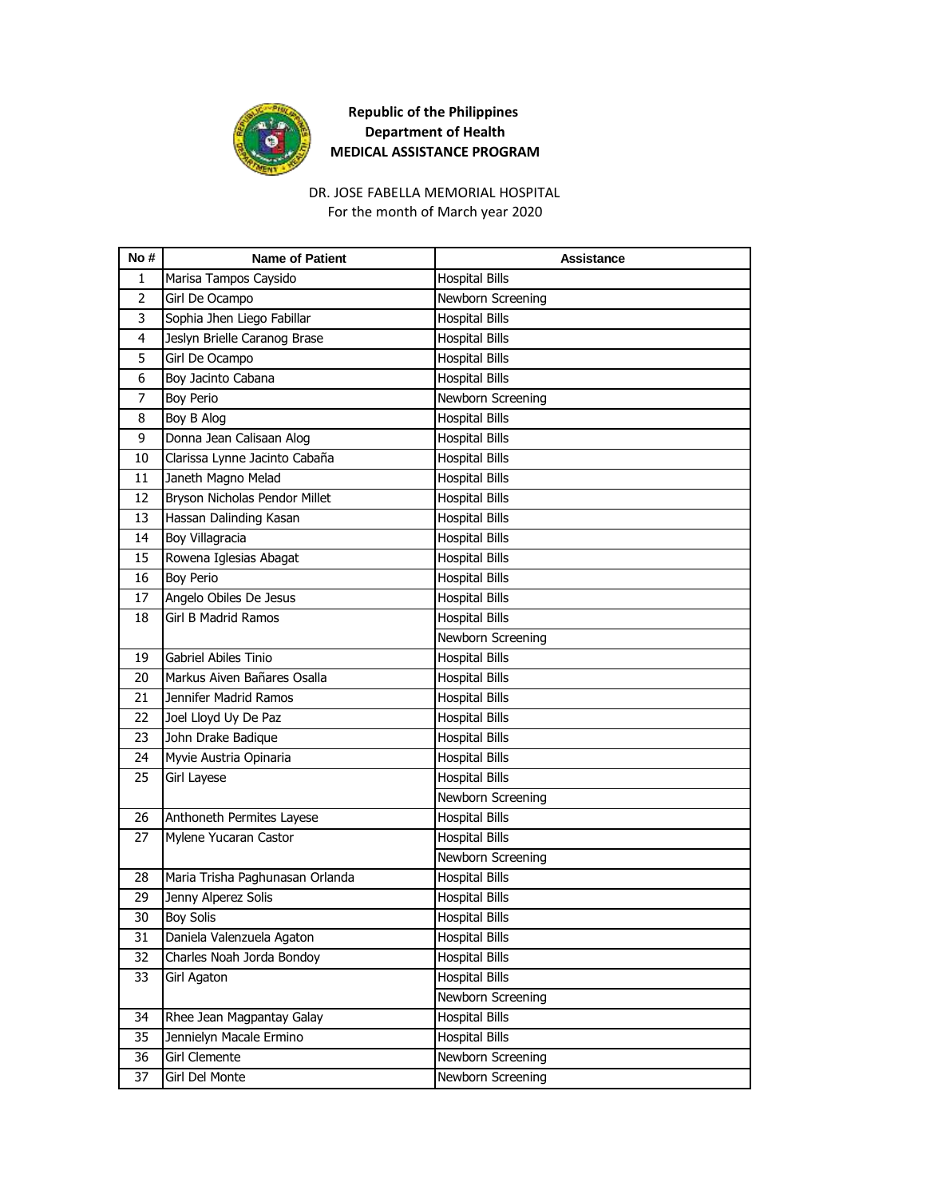

# DR. JOSE FABELLA MEMORIAL HOSPITAL

For the month of March year 2020

| No#            | <b>Name of Patient</b>          | <b>Assistance</b>     |
|----------------|---------------------------------|-----------------------|
| $\mathbf{1}$   | Marisa Tampos Caysido           | <b>Hospital Bills</b> |
| $\overline{2}$ | Girl De Ocampo                  | Newborn Screening     |
| 3              | Sophia Jhen Liego Fabillar      | <b>Hospital Bills</b> |
| 4              | Jeslyn Brielle Caranog Brase    | <b>Hospital Bills</b> |
| 5              | Girl De Ocampo                  | <b>Hospital Bills</b> |
| 6              | Boy Jacinto Cabana              | <b>Hospital Bills</b> |
| 7              | <b>Boy Perio</b>                | Newborn Screening     |
| 8              | Boy B Alog                      | <b>Hospital Bills</b> |
| 9              | Donna Jean Calisaan Alog        | <b>Hospital Bills</b> |
| 10             | Clarissa Lynne Jacinto Cabaña   | <b>Hospital Bills</b> |
| 11             | Janeth Magno Melad              | <b>Hospital Bills</b> |
| 12             | Bryson Nicholas Pendor Millet   | <b>Hospital Bills</b> |
| 13             | Hassan Dalinding Kasan          | <b>Hospital Bills</b> |
| 14             | Boy Villagracia                 | <b>Hospital Bills</b> |
| 15             | Rowena Iglesias Abagat          | <b>Hospital Bills</b> |
| 16             | <b>Boy Perio</b>                | <b>Hospital Bills</b> |
| 17             | Angelo Obiles De Jesus          | <b>Hospital Bills</b> |
| 18             | <b>Girl B Madrid Ramos</b>      | <b>Hospital Bills</b> |
|                |                                 | Newborn Screening     |
| 19             | Gabriel Abiles Tinio            | <b>Hospital Bills</b> |
| 20             | Markus Aiven Bañares Osalla     | <b>Hospital Bills</b> |
| 21             | Jennifer Madrid Ramos           | <b>Hospital Bills</b> |
| 22             | Joel Lloyd Uy De Paz            | <b>Hospital Bills</b> |
| 23             | John Drake Badique              | <b>Hospital Bills</b> |
| 24             | Myvie Austria Opinaria          | <b>Hospital Bills</b> |
| 25             | Girl Layese                     | <b>Hospital Bills</b> |
|                |                                 | Newborn Screening     |
| 26             | Anthoneth Permites Layese       | <b>Hospital Bills</b> |
| 27             | Mylene Yucaran Castor           | <b>Hospital Bills</b> |
|                |                                 | Newborn Screening     |
| 28             | Maria Trisha Paghunasan Orlanda | <b>Hospital Bills</b> |
| 29             | Jenny Alperez Solis             | <b>Hospital Bills</b> |
| 30             | <b>Boy Solis</b>                | <b>Hospital Bills</b> |
| 31             | Daniela Valenzuela Agaton       | <b>Hospital Bills</b> |
| 32             | Charles Noah Jorda Bondoy       | <b>Hospital Bills</b> |
| 33             | Girl Agaton                     | <b>Hospital Bills</b> |
|                |                                 | Newborn Screening     |
| 34             | Rhee Jean Magpantay Galay       | <b>Hospital Bills</b> |
| 35             | Jennielyn Macale Ermino         | <b>Hospital Bills</b> |
| 36             | Girl Clemente                   | Newborn Screening     |
| 37             | Girl Del Monte                  | Newborn Screening     |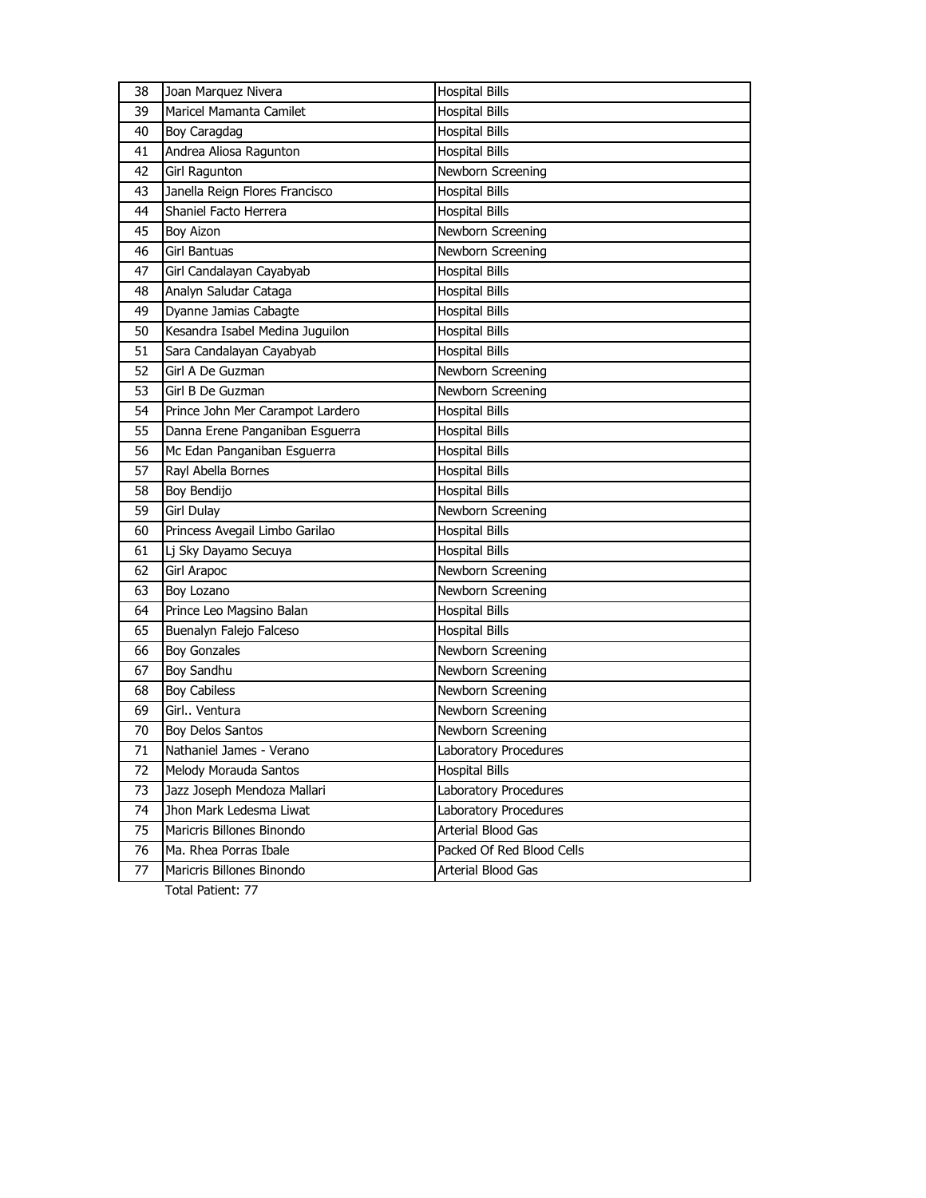| 38 | Joan Marquez Nivera              | <b>Hospital Bills</b>     |
|----|----------------------------------|---------------------------|
| 39 | Maricel Mamanta Camilet          | <b>Hospital Bills</b>     |
| 40 | <b>Boy Caragdag</b>              | <b>Hospital Bills</b>     |
| 41 | Andrea Aliosa Ragunton           | <b>Hospital Bills</b>     |
| 42 | Girl Ragunton                    | Newborn Screening         |
| 43 | Janella Reign Flores Francisco   | <b>Hospital Bills</b>     |
| 44 | Shaniel Facto Herrera            | <b>Hospital Bills</b>     |
| 45 | <b>Boy Aizon</b>                 | Newborn Screening         |
| 46 | <b>Girl Bantuas</b>              | Newborn Screening         |
| 47 | Girl Candalayan Cayabyab         | <b>Hospital Bills</b>     |
| 48 | Analyn Saludar Cataga            | <b>Hospital Bills</b>     |
| 49 | Dyanne Jamias Cabagte            | <b>Hospital Bills</b>     |
| 50 | Kesandra Isabel Medina Juguilon  | <b>Hospital Bills</b>     |
| 51 | Sara Candalayan Cayabyab         | <b>Hospital Bills</b>     |
| 52 | Girl A De Guzman                 | Newborn Screening         |
| 53 | Girl B De Guzman                 | Newborn Screening         |
| 54 | Prince John Mer Carampot Lardero | <b>Hospital Bills</b>     |
| 55 | Danna Erene Panganiban Esguerra  | <b>Hospital Bills</b>     |
| 56 | Mc Edan Panganiban Esguerra      | <b>Hospital Bills</b>     |
| 57 | Rayl Abella Bornes               | <b>Hospital Bills</b>     |
| 58 | Boy Bendijo                      | <b>Hospital Bills</b>     |
| 59 | Girl Dulay                       | Newborn Screening         |
| 60 | Princess Avegail Limbo Garilao   | <b>Hospital Bills</b>     |
| 61 | Lj Sky Dayamo Secuya             | <b>Hospital Bills</b>     |
| 62 | <b>Girl Arapoc</b>               | Newborn Screening         |
| 63 | Boy Lozano                       | Newborn Screening         |
| 64 | Prince Leo Magsino Balan         | <b>Hospital Bills</b>     |
| 65 | Buenalyn Falejo Falceso          | <b>Hospital Bills</b>     |
| 66 | <b>Boy Gonzales</b>              | Newborn Screening         |
| 67 | Boy Sandhu                       | Newborn Screening         |
| 68 | <b>Boy Cabiless</b>              | Newborn Screening         |
| 69 | Girl., Ventura                   | Newborn Screening         |
| 70 | <b>Boy Delos Santos</b>          | Newborn Screening         |
| 71 | Nathaniel James - Verano         | Laboratory Procedures     |
| 72 | Melody Morauda Santos            | <b>Hospital Bills</b>     |
| 73 | Jazz Joseph Mendoza Mallari      | Laboratory Procedures     |
| 74 | Jhon Mark Ledesma Liwat          | Laboratory Procedures     |
| 75 | Maricris Billones Binondo        | Arterial Blood Gas        |
| 76 | Ma. Rhea Porras Ibale            | Packed Of Red Blood Cells |
| 77 | Maricris Billones Binondo        | Arterial Blood Gas        |
|    |                                  |                           |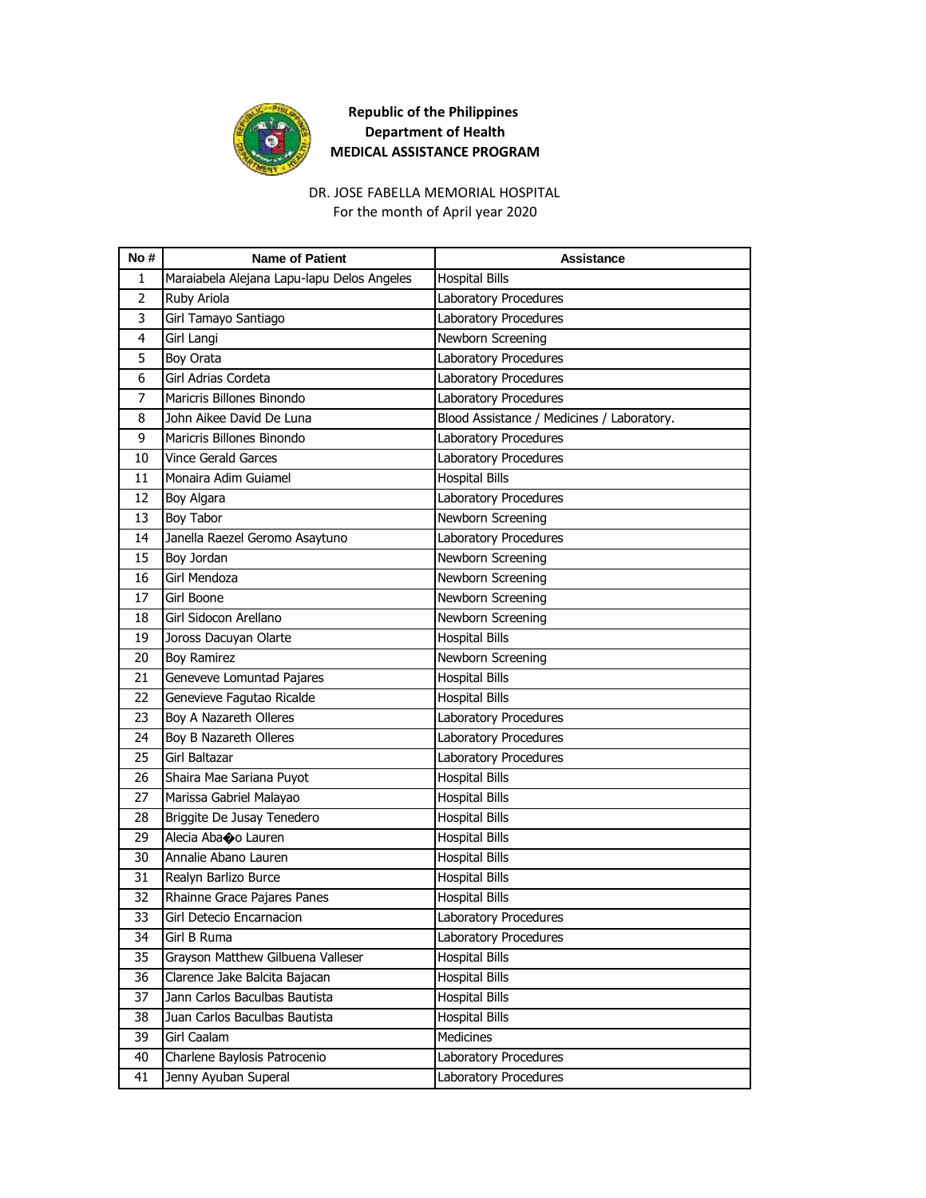

#### For the month of April year 2020 DR. JOSE FABELLA MEMORIAL HOSPITAL

| No# | <b>Name of Patient</b>                     | <b>Assistance</b>                          |
|-----|--------------------------------------------|--------------------------------------------|
| 1   | Maraiabela Alejana Lapu-lapu Delos Angeles | <b>Hospital Bills</b>                      |
| 2   | Ruby Ariola                                | Laboratory Procedures                      |
| 3   | Girl Tamayo Santiago                       | Laboratory Procedures                      |
| 4   | Girl Langi                                 | Newborn Screening                          |
| 5   | <b>Boy Orata</b>                           | Laboratory Procedures                      |
| 6   | Girl Adrias Cordeta                        | Laboratory Procedures                      |
| 7   | Maricris Billones Binondo                  | Laboratory Procedures                      |
| 8   | John Aikee David De Luna                   | Blood Assistance / Medicines / Laboratory. |
| 9   | Maricris Billones Binondo                  | Laboratory Procedures                      |
| 10  | <b>Vince Gerald Garces</b>                 | Laboratory Procedures                      |
| 11  | Monaira Adim Guiamel                       | <b>Hospital Bills</b>                      |
| 12  | Boy Algara                                 | Laboratory Procedures                      |
| 13  | Boy Tabor                                  | Newborn Screening                          |
| 14  | Janella Raezel Geromo Asaytuno             | Laboratory Procedures                      |
| 15  | Boy Jordan                                 | Newborn Screening                          |
| 16  | Girl Mendoza                               | Newborn Screening                          |
| 17  | Girl Boone                                 | Newborn Screening                          |
| 18  | Girl Sidocon Arellano                      | Newborn Screening                          |
| 19  | Joross Dacuyan Olarte                      | <b>Hospital Bills</b>                      |
| 20  | <b>Boy Ramirez</b>                         | Newborn Screening                          |
| 21  | Geneveve Lomuntad Pajares                  | <b>Hospital Bills</b>                      |
| 22  | Genevieve Fagutao Ricalde                  | <b>Hospital Bills</b>                      |
| 23  | Boy A Nazareth Olleres                     | Laboratory Procedures                      |
| 24  | Boy B Nazareth Olleres                     | Laboratory Procedures                      |
| 25  | Girl Baltazar                              | Laboratory Procedures                      |
| 26  | Shaira Mae Sariana Puyot                   | <b>Hospital Bills</b>                      |
| 27  | Marissa Gabriel Malayao                    | <b>Hospital Bills</b>                      |
| 28  | Briggite De Jusay Tenedero                 | <b>Hospital Bills</b>                      |
| 29  | Alecia Abaoo Lauren                        | <b>Hospital Bills</b>                      |
| 30  | Annalie Abano Lauren                       | <b>Hospital Bills</b>                      |
| 31  | Realyn Barlizo Burce                       | Hospital Bills                             |
| 32  | Rhainne Grace Pajares Panes                | <b>Hospital Bills</b>                      |
| 33  | Girl Detecio Encarnacion                   | Laboratory Procedures                      |
| 34  | Girl B Ruma                                | Laboratory Procedures                      |
| 35  | Grayson Matthew Gilbuena Valleser          | <b>Hospital Bills</b>                      |
| 36  | Clarence Jake Balcita Bajacan              | <b>Hospital Bills</b>                      |
| 37  | Jann Carlos Baculbas Bautista              | <b>Hospital Bills</b>                      |
| 38  | Juan Carlos Baculbas Bautista              | <b>Hospital Bills</b>                      |
| 39  | Girl Caalam                                | Medicines                                  |
| 40  | Charlene Baylosis Patrocenio               | Laboratory Procedures                      |
| 41  | Jenny Ayuban Superal                       | Laboratory Procedures                      |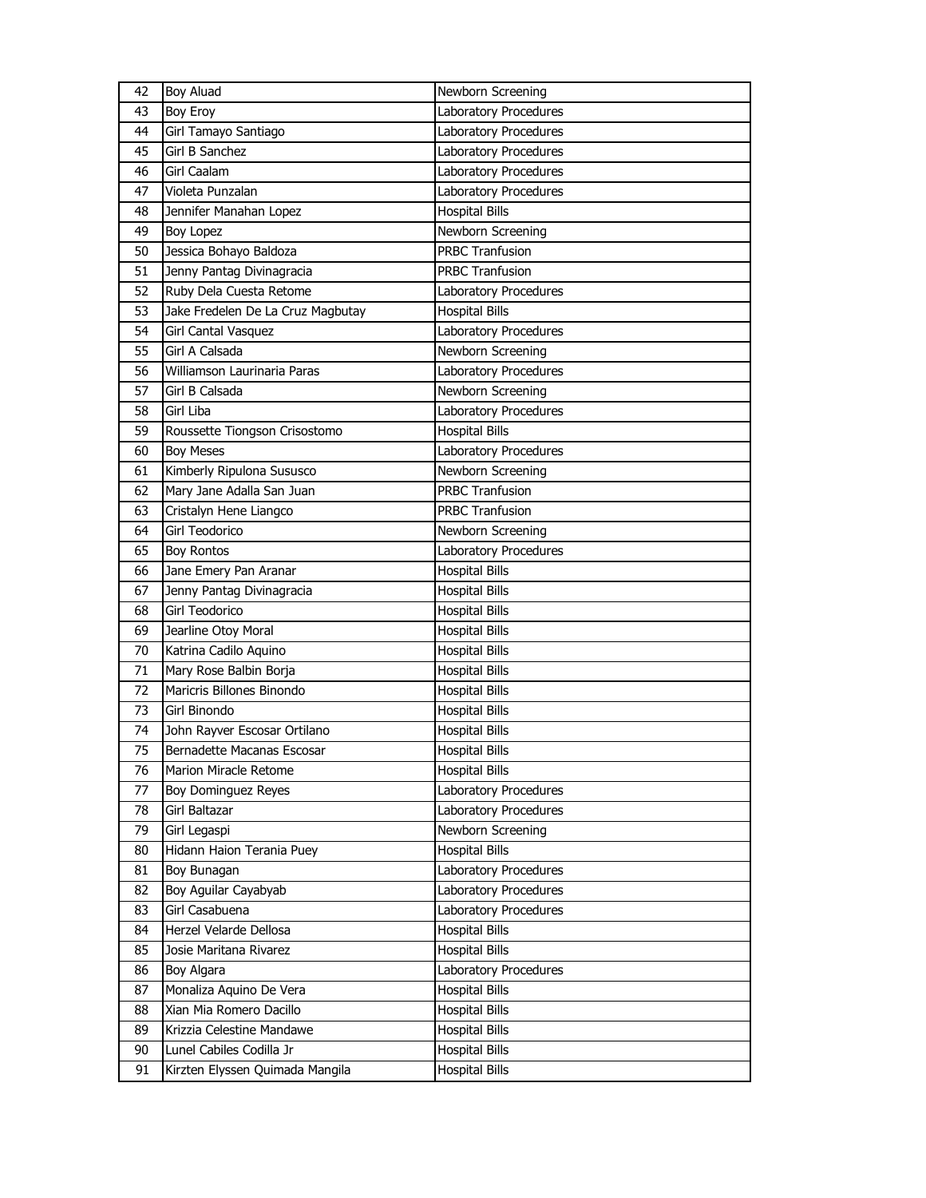| 42 | <b>Boy Aluad</b>                  | Newborn Screening      |
|----|-----------------------------------|------------------------|
| 43 | Boy Eroy                          | Laboratory Procedures  |
| 44 | Girl Tamayo Santiago              | Laboratory Procedures  |
| 45 | Girl B Sanchez                    | Laboratory Procedures  |
| 46 | Girl Caalam                       | Laboratory Procedures  |
| 47 | Violeta Punzalan                  | Laboratory Procedures  |
| 48 | Jennifer Manahan Lopez            | <b>Hospital Bills</b>  |
| 49 | Boy Lopez                         | Newborn Screening      |
| 50 | Jessica Bohayo Baldoza            | <b>PRBC Tranfusion</b> |
| 51 | Jenny Pantag Divinagracia         | <b>PRBC Tranfusion</b> |
| 52 | Ruby Dela Cuesta Retome           | Laboratory Procedures  |
| 53 | Jake Fredelen De La Cruz Magbutay | <b>Hospital Bills</b>  |
| 54 | Girl Cantal Vasquez               | Laboratory Procedures  |
| 55 | Girl A Calsada                    | Newborn Screening      |
| 56 | Williamson Laurinaria Paras       | Laboratory Procedures  |
| 57 | Girl B Calsada                    | Newborn Screening      |
| 58 | Girl Liba                         | Laboratory Procedures  |
| 59 | Roussette Tiongson Crisostomo     | <b>Hospital Bills</b>  |
| 60 | <b>Boy Meses</b>                  | Laboratory Procedures  |
| 61 | Kimberly Ripulona Sususco         | Newborn Screening      |
| 62 | Mary Jane Adalla San Juan         | <b>PRBC Tranfusion</b> |
| 63 | Cristalyn Hene Liangco            | <b>PRBC Tranfusion</b> |
| 64 | Girl Teodorico                    | Newborn Screening      |
| 65 | <b>Boy Rontos</b>                 | Laboratory Procedures  |
| 66 | Jane Emery Pan Aranar             | <b>Hospital Bills</b>  |
|    |                                   |                        |
| 67 | Jenny Pantag Divinagracia         | <b>Hospital Bills</b>  |
| 68 | Girl Teodorico                    | <b>Hospital Bills</b>  |
| 69 | Jearline Otoy Moral               | <b>Hospital Bills</b>  |
| 70 | Katrina Cadilo Aquino             | <b>Hospital Bills</b>  |
| 71 | Mary Rose Balbin Borja            | <b>Hospital Bills</b>  |
| 72 | Maricris Billones Binondo         | <b>Hospital Bills</b>  |
| 73 | Girl Binondo                      | Hospital Bills         |
| 74 | John Rayver Escosar Ortilano      | <b>Hospital Bills</b>  |
| 75 | Bernadette Macanas Escosar        | <b>Hospital Bills</b>  |
| 76 | Marion Miracle Retome             | <b>Hospital Bills</b>  |
| 77 | Boy Dominguez Reyes               | Laboratory Procedures  |
| 78 | Girl Baltazar                     | Laboratory Procedures  |
| 79 | Girl Legaspi                      | Newborn Screening      |
| 80 | Hidann Haion Terania Puey         | <b>Hospital Bills</b>  |
| 81 | Boy Bunagan                       | Laboratory Procedures  |
| 82 | Boy Aguilar Cayabyab              | Laboratory Procedures  |
| 83 | Girl Casabuena                    | Laboratory Procedures  |
| 84 | Herzel Velarde Dellosa            | <b>Hospital Bills</b>  |
| 85 | Josie Maritana Rivarez            | <b>Hospital Bills</b>  |
| 86 | Boy Algara                        | Laboratory Procedures  |
| 87 | Monaliza Aquino De Vera           | <b>Hospital Bills</b>  |
| 88 | Xian Mia Romero Dacillo           | <b>Hospital Bills</b>  |
| 89 | Krizzia Celestine Mandawe         | <b>Hospital Bills</b>  |
| 90 | Lunel Cabiles Codilla Jr          | <b>Hospital Bills</b>  |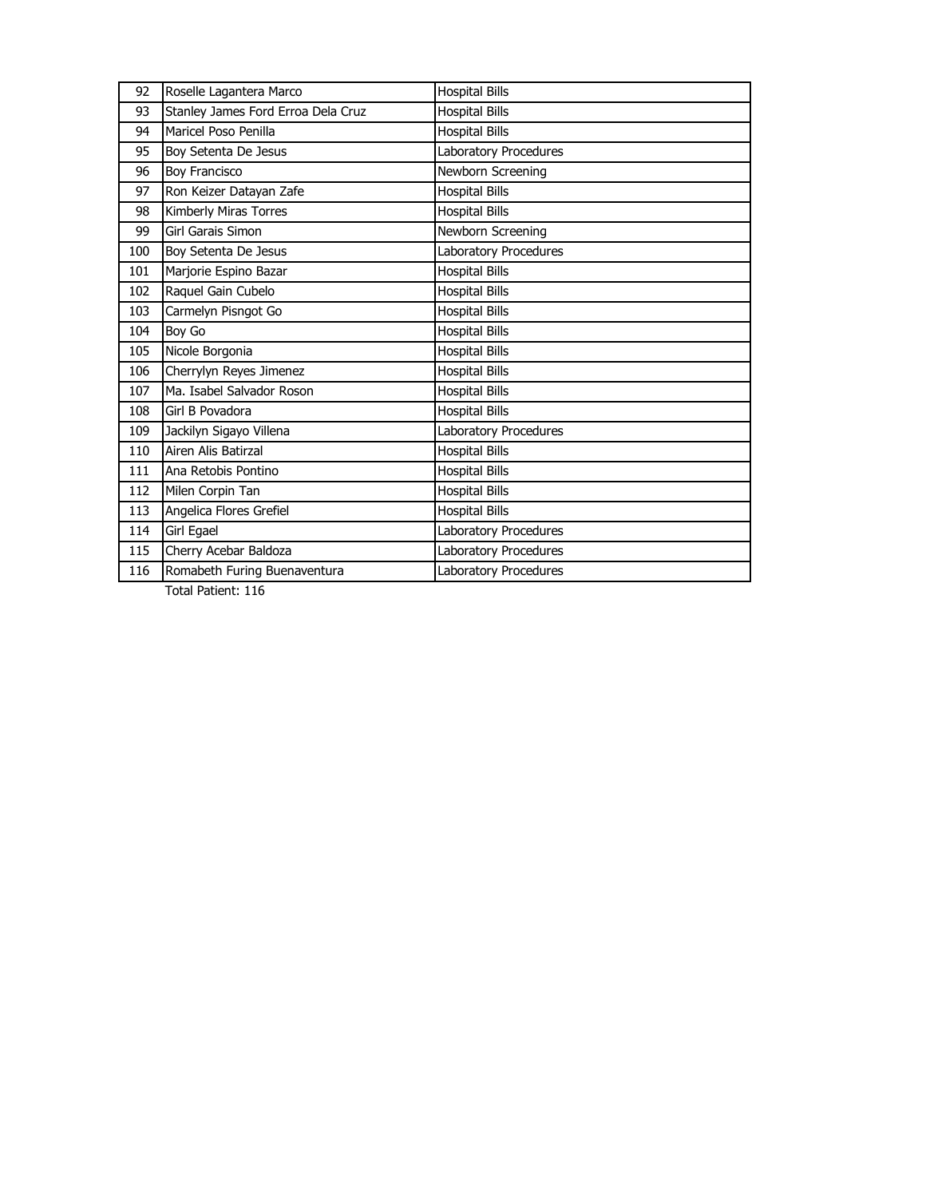| 92  | Roselle Lagantera Marco            | <b>Hospital Bills</b> |
|-----|------------------------------------|-----------------------|
| 93  | Stanley James Ford Erroa Dela Cruz | <b>Hospital Bills</b> |
| 94  | Maricel Poso Penilla               | <b>Hospital Bills</b> |
| 95  | Boy Setenta De Jesus               | Laboratory Procedures |
| 96  | <b>Boy Francisco</b>               | Newborn Screening     |
| 97  | Ron Keizer Datayan Zafe            | <b>Hospital Bills</b> |
| 98  | Kimberly Miras Torres              | <b>Hospital Bills</b> |
| 99  | Girl Garais Simon                  | Newborn Screening     |
| 100 | Boy Setenta De Jesus               | Laboratory Procedures |
| 101 | Marjorie Espino Bazar              | <b>Hospital Bills</b> |
| 102 | Raquel Gain Cubelo                 | <b>Hospital Bills</b> |
| 103 | Carmelyn Pisngot Go                | <b>Hospital Bills</b> |
| 104 | Boy Go                             | <b>Hospital Bills</b> |
| 105 | Nicole Borgonia                    | <b>Hospital Bills</b> |
| 106 | Cherrylyn Reyes Jimenez            | <b>Hospital Bills</b> |
| 107 | Ma. Isabel Salvador Roson          | <b>Hospital Bills</b> |
| 108 | Girl B Povadora                    | <b>Hospital Bills</b> |
| 109 | Jackilyn Sigayo Villena            | Laboratory Procedures |
| 110 | Airen Alis Batirzal                | <b>Hospital Bills</b> |
| 111 | Ana Retobis Pontino                | <b>Hospital Bills</b> |
| 112 | Milen Corpin Tan                   | <b>Hospital Bills</b> |
| 113 | Angelica Flores Grefiel            | <b>Hospital Bills</b> |
| 114 | Girl Egael                         | Laboratory Procedures |
| 115 | Cherry Acebar Baldoza              | Laboratory Procedures |
| 116 | Romabeth Furing Buenaventura       | Laboratory Procedures |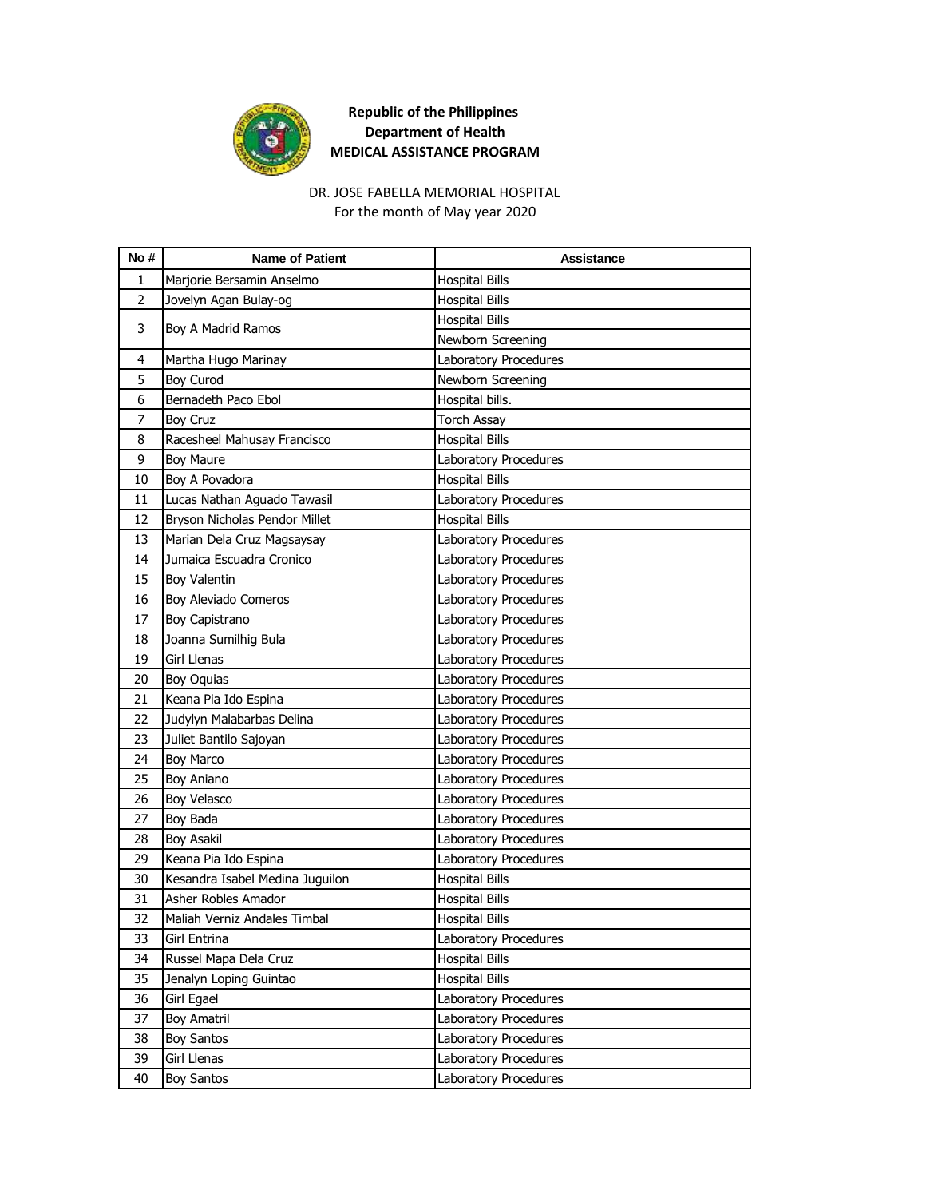

#### For the month of May year 2020 DR. JOSE FABELLA MEMORIAL HOSPITAL

| No#            | <b>Name of Patient</b>          | <b>Assistance</b>     |
|----------------|---------------------------------|-----------------------|
| 1              | Marjorie Bersamin Anselmo       | <b>Hospital Bills</b> |
| $\overline{2}$ | Jovelyn Agan Bulay-og           | <b>Hospital Bills</b> |
| 3              |                                 | <b>Hospital Bills</b> |
|                | Boy A Madrid Ramos              | Newborn Screening     |
| 4              | Martha Hugo Marinay             | Laboratory Procedures |
| 5              | <b>Boy Curod</b>                | Newborn Screening     |
| 6              | Bernadeth Paco Ebol             | Hospital bills.       |
| 7              | <b>Boy Cruz</b>                 | <b>Torch Assay</b>    |
| 8              | Racesheel Mahusay Francisco     | <b>Hospital Bills</b> |
| 9              | <b>Boy Maure</b>                | Laboratory Procedures |
| 10             | Boy A Povadora                  | <b>Hospital Bills</b> |
| 11             | Lucas Nathan Aguado Tawasil     | Laboratory Procedures |
| 12             | Bryson Nicholas Pendor Millet   | <b>Hospital Bills</b> |
| 13             | Marian Dela Cruz Magsaysay      | Laboratory Procedures |
| 14             | Jumaica Escuadra Cronico        | Laboratory Procedures |
| 15             | Boy Valentin                    | Laboratory Procedures |
| 16             | Boy Aleviado Comeros            | Laboratory Procedures |
| 17             | Boy Capistrano                  | Laboratory Procedures |
| 18             | Joanna Sumilhig Bula            | Laboratory Procedures |
| 19             | Girl Llenas                     | Laboratory Procedures |
| 20             | Boy Oquias                      | Laboratory Procedures |
| 21             | Keana Pia Ido Espina            | Laboratory Procedures |
| 22             | Judylyn Malabarbas Delina       | Laboratory Procedures |
| 23             | Juliet Bantilo Sajoyan          | Laboratory Procedures |
| 24             | <b>Boy Marco</b>                | Laboratory Procedures |
| 25             | Boy Aniano                      | Laboratory Procedures |
| 26             | Boy Velasco                     | Laboratory Procedures |
| 27             | Boy Bada                        | Laboratory Procedures |
| 28             | <b>Boy Asakil</b>               | Laboratory Procedures |
| 29             | Keana Pia Ido Espina            | Laboratory Procedures |
| 30             | Kesandra Isabel Medina Juguilon | <b>Hospital Bills</b> |
| 31             | Asher Robles Amador             | <b>Hospital Bills</b> |
| 32             | Maliah Verniz Andales Timbal    | <b>Hospital Bills</b> |
| 33             | Girl Entrina                    | Laboratory Procedures |
| 34             | Russel Mapa Dela Cruz           | <b>Hospital Bills</b> |
| 35             | Jenalyn Loping Guintao          | <b>Hospital Bills</b> |
| 36             | Girl Egael                      | Laboratory Procedures |
| 37             | Boy Amatril                     | Laboratory Procedures |
| 38             | <b>Boy Santos</b>               | Laboratory Procedures |
| 39             | Girl Llenas                     | Laboratory Procedures |
| 40             | <b>Boy Santos</b>               | Laboratory Procedures |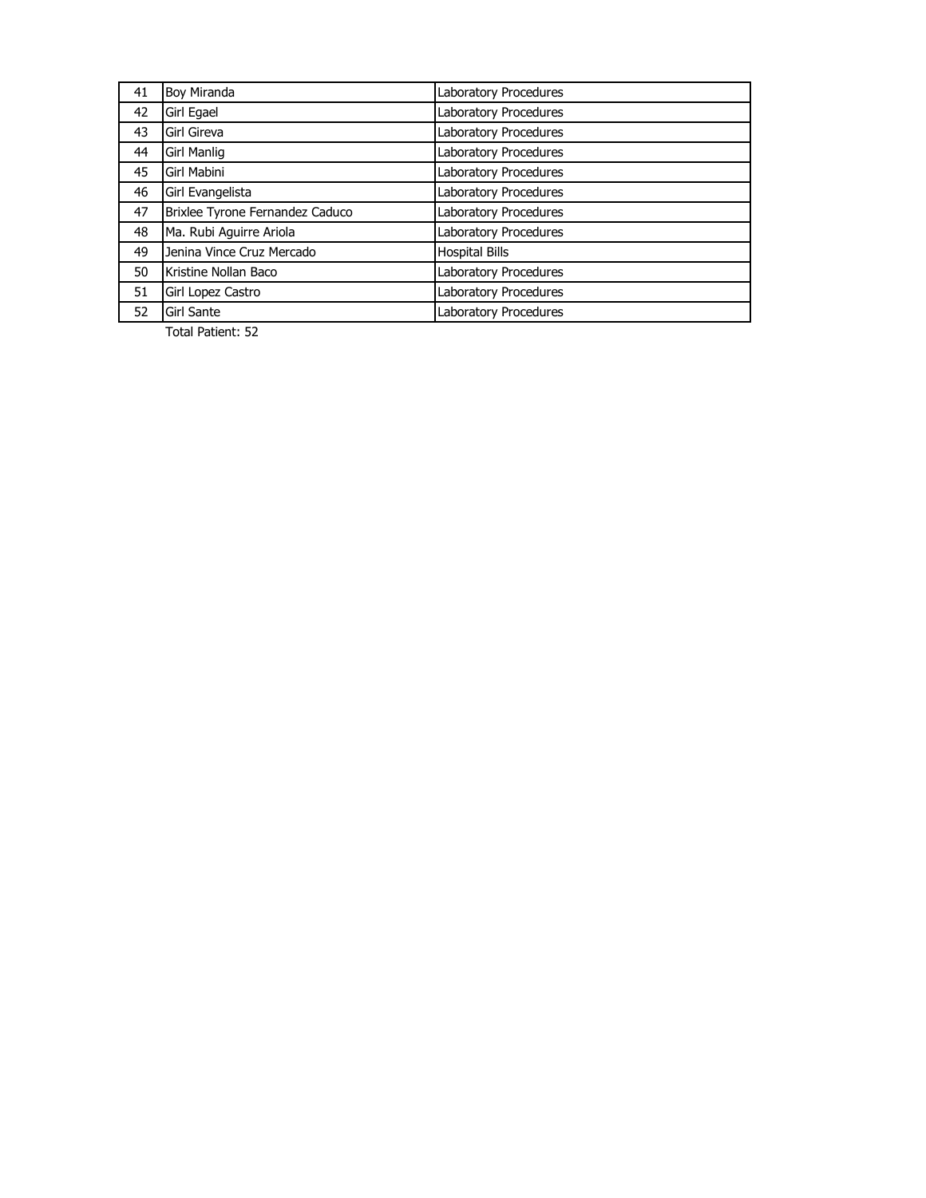| 41 | <b>Boy Miranda</b>              | Laboratory Procedures        |
|----|---------------------------------|------------------------------|
| 42 | Girl Egael                      | Laboratory Procedures        |
| 43 | Girl Gireva                     | Laboratory Procedures        |
| 44 | Girl Manlig                     | Laboratory Procedures        |
| 45 | Girl Mabini                     | Laboratory Procedures        |
| 46 | Girl Evangelista                | Laboratory Procedures        |
| 47 | Brixlee Tyrone Fernandez Caduco | Laboratory Procedures        |
| 48 | Ma. Rubi Aguirre Ariola         | Laboratory Procedures        |
| 49 | Jenina Vince Cruz Mercado       | <b>Hospital Bills</b>        |
| 50 | Kristine Nollan Baco            | Laboratory Procedures        |
| 51 | Girl Lopez Castro               | Laboratory Procedures        |
| 52 | <b>Girl Sante</b>               | <b>Laboratory Procedures</b> |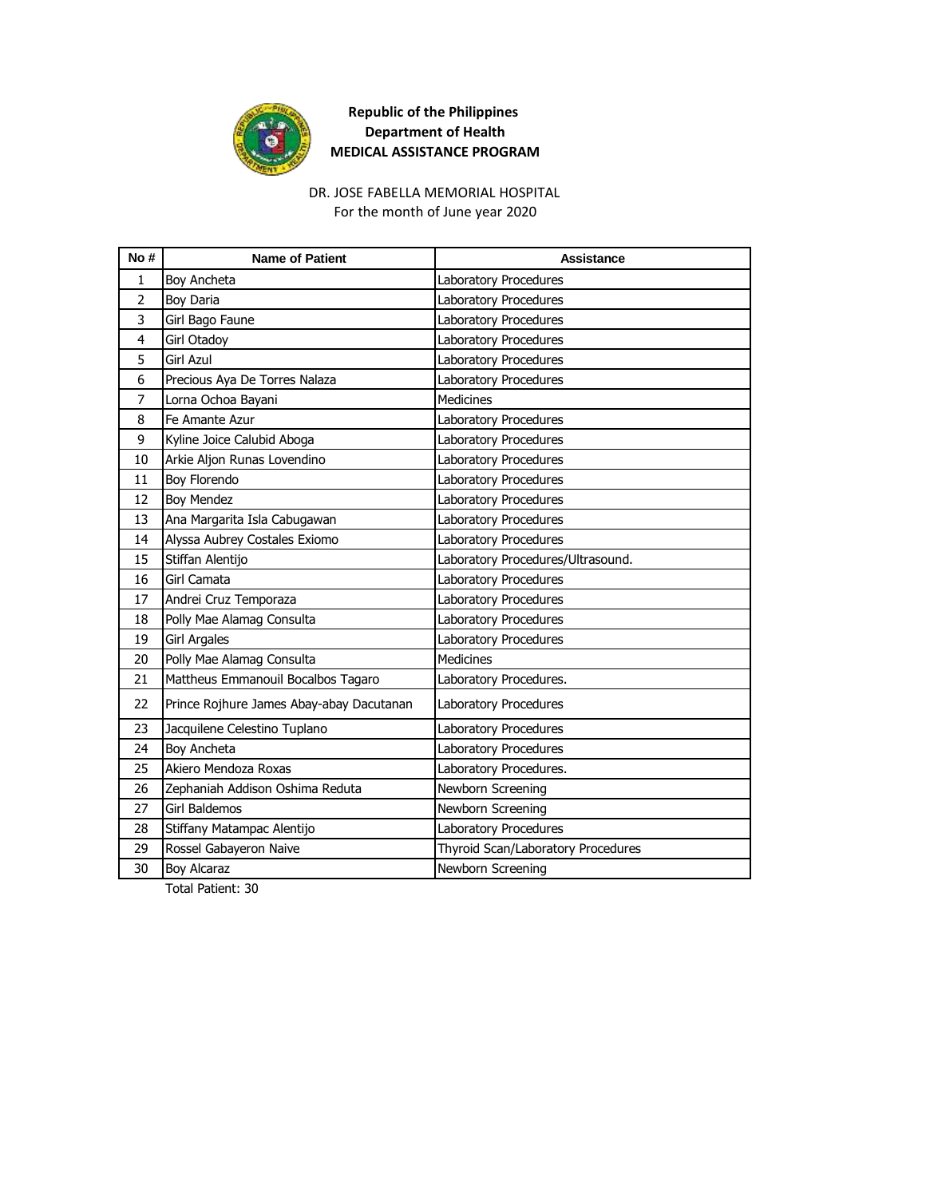

#### DR. JOSE FABELLA MEMORIAL HOSPITAL For the month of June year 2020

| No#            | <b>Name of Patient</b>                   | <b>Assistance</b>                  |
|----------------|------------------------------------------|------------------------------------|
| 1              | Boy Ancheta                              | Laboratory Procedures              |
| $\overline{2}$ | Boy Daria                                | Laboratory Procedures              |
| 3              | Girl Bago Faune                          | Laboratory Procedures              |
| 4              | <b>Girl Otadoy</b>                       | <b>Laboratory Procedures</b>       |
| 5              | Girl Azul                                | Laboratory Procedures              |
| 6              | Precious Aya De Torres Nalaza            | Laboratory Procedures              |
| $\overline{7}$ | Lorna Ochoa Bayani                       | <b>Medicines</b>                   |
| 8              | Fe Amante Azur                           | Laboratory Procedures              |
| 9              | Kyline Joice Calubid Aboga               | <b>Laboratory Procedures</b>       |
| 10             | Arkie Aljon Runas Lovendino              | Laboratory Procedures              |
| 11             | Boy Florendo                             | Laboratory Procedures              |
| 12             | <b>Boy Mendez</b>                        | Laboratory Procedures              |
| 13             | Ana Margarita Isla Cabugawan             | Laboratory Procedures              |
| 14             | Alyssa Aubrey Costales Exiomo            | Laboratory Procedures              |
| 15             | Stiffan Alentijo                         | Laboratory Procedures/Ultrasound.  |
| 16             | Girl Camata                              | Laboratory Procedures              |
| 17             | Andrei Cruz Temporaza                    | Laboratory Procedures              |
| 18             | Polly Mae Alamag Consulta                | Laboratory Procedures              |
| 19             | <b>Girl Argales</b>                      | Laboratory Procedures              |
| 20             | Polly Mae Alamag Consulta                | <b>Medicines</b>                   |
| 21             | Mattheus Emmanouil Bocalbos Tagaro       | Laboratory Procedures.             |
| 22             | Prince Rojhure James Abay-abay Dacutanan | Laboratory Procedures              |
| 23             | Jacquilene Celestino Tuplano             | Laboratory Procedures              |
| 24             | Boy Ancheta                              | Laboratory Procedures              |
| 25             | Akiero Mendoza Roxas                     | Laboratory Procedures.             |
| 26             | Zephaniah Addison Oshima Reduta          | Newborn Screening                  |
| 27             | Girl Baldemos                            | Newborn Screening                  |
| 28             | Stiffany Matampac Alentijo               | Laboratory Procedures              |
| 29             | Rossel Gabayeron Naive                   | Thyroid Scan/Laboratory Procedures |
| 30             | <b>Boy Alcaraz</b>                       | Newborn Screening                  |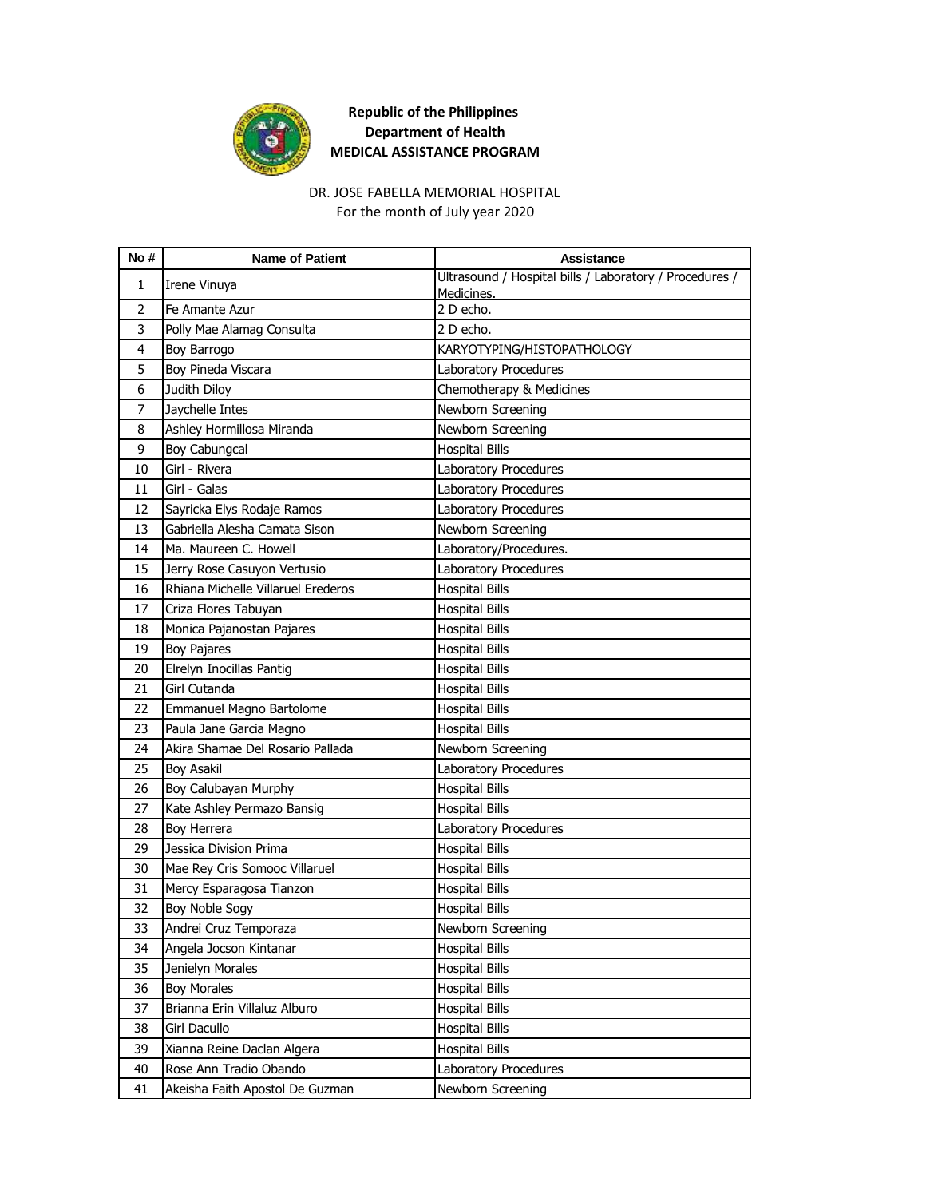

DR. JOSE FABELLA MEMORIAL HOSPITAL For the month of July year 2020

| Ultrasound / Hospital bills / Laboratory / Procedures /<br>1<br>Irene Vinuya<br>Medicines.<br>$\overline{2}$<br>2 D echo.<br>Fe Amante Azur<br>3<br>2 D echo.<br>Polly Mae Alamag Consulta<br>4<br>Boy Barrogo<br>KARYOTYPING/HISTOPATHOLOGY<br>Boy Pineda Viscara<br>5<br>Laboratory Procedures<br>Judith Diloy<br>6<br>Chemotherapy & Medicines<br>7<br>Jaychelle Intes<br>Newborn Screening<br>Ashley Hormillosa Miranda<br>Newborn Screening<br>8<br>9<br>Boy Cabungcal<br><b>Hospital Bills</b><br>Girl - Rivera<br>10<br>Laboratory Procedures<br>Girl - Galas<br>Laboratory Procedures<br>11<br>12<br>Sayricka Elys Rodaje Ramos<br>Laboratory Procedures<br>13<br>Gabriella Alesha Camata Sison<br>Newborn Screening<br>Ma. Maureen C. Howell<br>Laboratory/Procedures.<br>14<br>15<br>Jerry Rose Casuyon Vertusio<br>Laboratory Procedures<br>Rhiana Michelle Villaruel Erederos<br><b>Hospital Bills</b><br>16<br>17<br>Criza Flores Tabuyan<br><b>Hospital Bills</b><br>18<br>Monica Pajanostan Pajares<br><b>Hospital Bills</b><br>19<br><b>Boy Pajares</b><br><b>Hospital Bills</b><br>Elrelyn Inocillas Pantig<br>20<br><b>Hospital Bills</b><br>Girl Cutanda<br>21<br><b>Hospital Bills</b><br>22<br>Emmanuel Magno Bartolome<br><b>Hospital Bills</b><br>Paula Jane Garcia Magno<br>23<br><b>Hospital Bills</b><br>Akira Shamae Del Rosario Pallada<br>24<br>Newborn Screening<br>25<br><b>Boy Asakil</b><br>Laboratory Procedures<br><b>Hospital Bills</b><br>26<br>Boy Calubayan Murphy<br>27<br>Kate Ashley Permazo Bansig<br><b>Hospital Bills</b><br>28<br>Boy Herrera<br>Laboratory Procedures<br>29<br>Jessica Division Prima<br><b>Hospital Bills</b><br>30<br>Mae Rey Cris Somooc Villaruel<br><b>Hospital Bills</b><br>Mercy Esparagosa Tianzon<br>31<br><b>Hospital Bills</b><br>32<br><b>Boy Noble Sogy</b><br><b>Hospital Bills</b><br>Andrei Cruz Temporaza<br>33<br>Newborn Screening<br>34<br>Angela Jocson Kintanar<br><b>Hospital Bills</b><br>35<br>Jenielyn Morales<br><b>Hospital Bills</b><br>36<br><b>Boy Morales</b><br><b>Hospital Bills</b><br>37<br><b>Hospital Bills</b><br>Brianna Erin Villaluz Alburo<br>Girl Dacullo<br><b>Hospital Bills</b><br>38<br>Xianna Reine Daclan Algera<br>39<br><b>Hospital Bills</b><br>Rose Ann Tradio Obando<br>40<br>Laboratory Procedures | No# | <b>Name of Patient</b> | <b>Assistance</b> |
|---------------------------------------------------------------------------------------------------------------------------------------------------------------------------------------------------------------------------------------------------------------------------------------------------------------------------------------------------------------------------------------------------------------------------------------------------------------------------------------------------------------------------------------------------------------------------------------------------------------------------------------------------------------------------------------------------------------------------------------------------------------------------------------------------------------------------------------------------------------------------------------------------------------------------------------------------------------------------------------------------------------------------------------------------------------------------------------------------------------------------------------------------------------------------------------------------------------------------------------------------------------------------------------------------------------------------------------------------------------------------------------------------------------------------------------------------------------------------------------------------------------------------------------------------------------------------------------------------------------------------------------------------------------------------------------------------------------------------------------------------------------------------------------------------------------------------------------------------------------------------------------------------------------------------------------------------------------------------------------------------------------------------------------------------------------------------------------------------------------------------------------------------------------------------------------------------------------------------------------------------------------------------------------------------------------------------|-----|------------------------|-------------------|
|                                                                                                                                                                                                                                                                                                                                                                                                                                                                                                                                                                                                                                                                                                                                                                                                                                                                                                                                                                                                                                                                                                                                                                                                                                                                                                                                                                                                                                                                                                                                                                                                                                                                                                                                                                                                                                                                                                                                                                                                                                                                                                                                                                                                                                                                                                                           |     |                        |                   |
|                                                                                                                                                                                                                                                                                                                                                                                                                                                                                                                                                                                                                                                                                                                                                                                                                                                                                                                                                                                                                                                                                                                                                                                                                                                                                                                                                                                                                                                                                                                                                                                                                                                                                                                                                                                                                                                                                                                                                                                                                                                                                                                                                                                                                                                                                                                           |     |                        |                   |
|                                                                                                                                                                                                                                                                                                                                                                                                                                                                                                                                                                                                                                                                                                                                                                                                                                                                                                                                                                                                                                                                                                                                                                                                                                                                                                                                                                                                                                                                                                                                                                                                                                                                                                                                                                                                                                                                                                                                                                                                                                                                                                                                                                                                                                                                                                                           |     |                        |                   |
|                                                                                                                                                                                                                                                                                                                                                                                                                                                                                                                                                                                                                                                                                                                                                                                                                                                                                                                                                                                                                                                                                                                                                                                                                                                                                                                                                                                                                                                                                                                                                                                                                                                                                                                                                                                                                                                                                                                                                                                                                                                                                                                                                                                                                                                                                                                           |     |                        |                   |
|                                                                                                                                                                                                                                                                                                                                                                                                                                                                                                                                                                                                                                                                                                                                                                                                                                                                                                                                                                                                                                                                                                                                                                                                                                                                                                                                                                                                                                                                                                                                                                                                                                                                                                                                                                                                                                                                                                                                                                                                                                                                                                                                                                                                                                                                                                                           |     |                        |                   |
|                                                                                                                                                                                                                                                                                                                                                                                                                                                                                                                                                                                                                                                                                                                                                                                                                                                                                                                                                                                                                                                                                                                                                                                                                                                                                                                                                                                                                                                                                                                                                                                                                                                                                                                                                                                                                                                                                                                                                                                                                                                                                                                                                                                                                                                                                                                           |     |                        |                   |
|                                                                                                                                                                                                                                                                                                                                                                                                                                                                                                                                                                                                                                                                                                                                                                                                                                                                                                                                                                                                                                                                                                                                                                                                                                                                                                                                                                                                                                                                                                                                                                                                                                                                                                                                                                                                                                                                                                                                                                                                                                                                                                                                                                                                                                                                                                                           |     |                        |                   |
|                                                                                                                                                                                                                                                                                                                                                                                                                                                                                                                                                                                                                                                                                                                                                                                                                                                                                                                                                                                                                                                                                                                                                                                                                                                                                                                                                                                                                                                                                                                                                                                                                                                                                                                                                                                                                                                                                                                                                                                                                                                                                                                                                                                                                                                                                                                           |     |                        |                   |
|                                                                                                                                                                                                                                                                                                                                                                                                                                                                                                                                                                                                                                                                                                                                                                                                                                                                                                                                                                                                                                                                                                                                                                                                                                                                                                                                                                                                                                                                                                                                                                                                                                                                                                                                                                                                                                                                                                                                                                                                                                                                                                                                                                                                                                                                                                                           |     |                        |                   |
|                                                                                                                                                                                                                                                                                                                                                                                                                                                                                                                                                                                                                                                                                                                                                                                                                                                                                                                                                                                                                                                                                                                                                                                                                                                                                                                                                                                                                                                                                                                                                                                                                                                                                                                                                                                                                                                                                                                                                                                                                                                                                                                                                                                                                                                                                                                           |     |                        |                   |
|                                                                                                                                                                                                                                                                                                                                                                                                                                                                                                                                                                                                                                                                                                                                                                                                                                                                                                                                                                                                                                                                                                                                                                                                                                                                                                                                                                                                                                                                                                                                                                                                                                                                                                                                                                                                                                                                                                                                                                                                                                                                                                                                                                                                                                                                                                                           |     |                        |                   |
|                                                                                                                                                                                                                                                                                                                                                                                                                                                                                                                                                                                                                                                                                                                                                                                                                                                                                                                                                                                                                                                                                                                                                                                                                                                                                                                                                                                                                                                                                                                                                                                                                                                                                                                                                                                                                                                                                                                                                                                                                                                                                                                                                                                                                                                                                                                           |     |                        |                   |
|                                                                                                                                                                                                                                                                                                                                                                                                                                                                                                                                                                                                                                                                                                                                                                                                                                                                                                                                                                                                                                                                                                                                                                                                                                                                                                                                                                                                                                                                                                                                                                                                                                                                                                                                                                                                                                                                                                                                                                                                                                                                                                                                                                                                                                                                                                                           |     |                        |                   |
|                                                                                                                                                                                                                                                                                                                                                                                                                                                                                                                                                                                                                                                                                                                                                                                                                                                                                                                                                                                                                                                                                                                                                                                                                                                                                                                                                                                                                                                                                                                                                                                                                                                                                                                                                                                                                                                                                                                                                                                                                                                                                                                                                                                                                                                                                                                           |     |                        |                   |
|                                                                                                                                                                                                                                                                                                                                                                                                                                                                                                                                                                                                                                                                                                                                                                                                                                                                                                                                                                                                                                                                                                                                                                                                                                                                                                                                                                                                                                                                                                                                                                                                                                                                                                                                                                                                                                                                                                                                                                                                                                                                                                                                                                                                                                                                                                                           |     |                        |                   |
|                                                                                                                                                                                                                                                                                                                                                                                                                                                                                                                                                                                                                                                                                                                                                                                                                                                                                                                                                                                                                                                                                                                                                                                                                                                                                                                                                                                                                                                                                                                                                                                                                                                                                                                                                                                                                                                                                                                                                                                                                                                                                                                                                                                                                                                                                                                           |     |                        |                   |
|                                                                                                                                                                                                                                                                                                                                                                                                                                                                                                                                                                                                                                                                                                                                                                                                                                                                                                                                                                                                                                                                                                                                                                                                                                                                                                                                                                                                                                                                                                                                                                                                                                                                                                                                                                                                                                                                                                                                                                                                                                                                                                                                                                                                                                                                                                                           |     |                        |                   |
|                                                                                                                                                                                                                                                                                                                                                                                                                                                                                                                                                                                                                                                                                                                                                                                                                                                                                                                                                                                                                                                                                                                                                                                                                                                                                                                                                                                                                                                                                                                                                                                                                                                                                                                                                                                                                                                                                                                                                                                                                                                                                                                                                                                                                                                                                                                           |     |                        |                   |
|                                                                                                                                                                                                                                                                                                                                                                                                                                                                                                                                                                                                                                                                                                                                                                                                                                                                                                                                                                                                                                                                                                                                                                                                                                                                                                                                                                                                                                                                                                                                                                                                                                                                                                                                                                                                                                                                                                                                                                                                                                                                                                                                                                                                                                                                                                                           |     |                        |                   |
|                                                                                                                                                                                                                                                                                                                                                                                                                                                                                                                                                                                                                                                                                                                                                                                                                                                                                                                                                                                                                                                                                                                                                                                                                                                                                                                                                                                                                                                                                                                                                                                                                                                                                                                                                                                                                                                                                                                                                                                                                                                                                                                                                                                                                                                                                                                           |     |                        |                   |
|                                                                                                                                                                                                                                                                                                                                                                                                                                                                                                                                                                                                                                                                                                                                                                                                                                                                                                                                                                                                                                                                                                                                                                                                                                                                                                                                                                                                                                                                                                                                                                                                                                                                                                                                                                                                                                                                                                                                                                                                                                                                                                                                                                                                                                                                                                                           |     |                        |                   |
|                                                                                                                                                                                                                                                                                                                                                                                                                                                                                                                                                                                                                                                                                                                                                                                                                                                                                                                                                                                                                                                                                                                                                                                                                                                                                                                                                                                                                                                                                                                                                                                                                                                                                                                                                                                                                                                                                                                                                                                                                                                                                                                                                                                                                                                                                                                           |     |                        |                   |
|                                                                                                                                                                                                                                                                                                                                                                                                                                                                                                                                                                                                                                                                                                                                                                                                                                                                                                                                                                                                                                                                                                                                                                                                                                                                                                                                                                                                                                                                                                                                                                                                                                                                                                                                                                                                                                                                                                                                                                                                                                                                                                                                                                                                                                                                                                                           |     |                        |                   |
|                                                                                                                                                                                                                                                                                                                                                                                                                                                                                                                                                                                                                                                                                                                                                                                                                                                                                                                                                                                                                                                                                                                                                                                                                                                                                                                                                                                                                                                                                                                                                                                                                                                                                                                                                                                                                                                                                                                                                                                                                                                                                                                                                                                                                                                                                                                           |     |                        |                   |
|                                                                                                                                                                                                                                                                                                                                                                                                                                                                                                                                                                                                                                                                                                                                                                                                                                                                                                                                                                                                                                                                                                                                                                                                                                                                                                                                                                                                                                                                                                                                                                                                                                                                                                                                                                                                                                                                                                                                                                                                                                                                                                                                                                                                                                                                                                                           |     |                        |                   |
|                                                                                                                                                                                                                                                                                                                                                                                                                                                                                                                                                                                                                                                                                                                                                                                                                                                                                                                                                                                                                                                                                                                                                                                                                                                                                                                                                                                                                                                                                                                                                                                                                                                                                                                                                                                                                                                                                                                                                                                                                                                                                                                                                                                                                                                                                                                           |     |                        |                   |
|                                                                                                                                                                                                                                                                                                                                                                                                                                                                                                                                                                                                                                                                                                                                                                                                                                                                                                                                                                                                                                                                                                                                                                                                                                                                                                                                                                                                                                                                                                                                                                                                                                                                                                                                                                                                                                                                                                                                                                                                                                                                                                                                                                                                                                                                                                                           |     |                        |                   |
|                                                                                                                                                                                                                                                                                                                                                                                                                                                                                                                                                                                                                                                                                                                                                                                                                                                                                                                                                                                                                                                                                                                                                                                                                                                                                                                                                                                                                                                                                                                                                                                                                                                                                                                                                                                                                                                                                                                                                                                                                                                                                                                                                                                                                                                                                                                           |     |                        |                   |
|                                                                                                                                                                                                                                                                                                                                                                                                                                                                                                                                                                                                                                                                                                                                                                                                                                                                                                                                                                                                                                                                                                                                                                                                                                                                                                                                                                                                                                                                                                                                                                                                                                                                                                                                                                                                                                                                                                                                                                                                                                                                                                                                                                                                                                                                                                                           |     |                        |                   |
|                                                                                                                                                                                                                                                                                                                                                                                                                                                                                                                                                                                                                                                                                                                                                                                                                                                                                                                                                                                                                                                                                                                                                                                                                                                                                                                                                                                                                                                                                                                                                                                                                                                                                                                                                                                                                                                                                                                                                                                                                                                                                                                                                                                                                                                                                                                           |     |                        |                   |
|                                                                                                                                                                                                                                                                                                                                                                                                                                                                                                                                                                                                                                                                                                                                                                                                                                                                                                                                                                                                                                                                                                                                                                                                                                                                                                                                                                                                                                                                                                                                                                                                                                                                                                                                                                                                                                                                                                                                                                                                                                                                                                                                                                                                                                                                                                                           |     |                        |                   |
|                                                                                                                                                                                                                                                                                                                                                                                                                                                                                                                                                                                                                                                                                                                                                                                                                                                                                                                                                                                                                                                                                                                                                                                                                                                                                                                                                                                                                                                                                                                                                                                                                                                                                                                                                                                                                                                                                                                                                                                                                                                                                                                                                                                                                                                                                                                           |     |                        |                   |
|                                                                                                                                                                                                                                                                                                                                                                                                                                                                                                                                                                                                                                                                                                                                                                                                                                                                                                                                                                                                                                                                                                                                                                                                                                                                                                                                                                                                                                                                                                                                                                                                                                                                                                                                                                                                                                                                                                                                                                                                                                                                                                                                                                                                                                                                                                                           |     |                        |                   |
|                                                                                                                                                                                                                                                                                                                                                                                                                                                                                                                                                                                                                                                                                                                                                                                                                                                                                                                                                                                                                                                                                                                                                                                                                                                                                                                                                                                                                                                                                                                                                                                                                                                                                                                                                                                                                                                                                                                                                                                                                                                                                                                                                                                                                                                                                                                           |     |                        |                   |
|                                                                                                                                                                                                                                                                                                                                                                                                                                                                                                                                                                                                                                                                                                                                                                                                                                                                                                                                                                                                                                                                                                                                                                                                                                                                                                                                                                                                                                                                                                                                                                                                                                                                                                                                                                                                                                                                                                                                                                                                                                                                                                                                                                                                                                                                                                                           |     |                        |                   |
|                                                                                                                                                                                                                                                                                                                                                                                                                                                                                                                                                                                                                                                                                                                                                                                                                                                                                                                                                                                                                                                                                                                                                                                                                                                                                                                                                                                                                                                                                                                                                                                                                                                                                                                                                                                                                                                                                                                                                                                                                                                                                                                                                                                                                                                                                                                           |     |                        |                   |
|                                                                                                                                                                                                                                                                                                                                                                                                                                                                                                                                                                                                                                                                                                                                                                                                                                                                                                                                                                                                                                                                                                                                                                                                                                                                                                                                                                                                                                                                                                                                                                                                                                                                                                                                                                                                                                                                                                                                                                                                                                                                                                                                                                                                                                                                                                                           |     |                        |                   |
|                                                                                                                                                                                                                                                                                                                                                                                                                                                                                                                                                                                                                                                                                                                                                                                                                                                                                                                                                                                                                                                                                                                                                                                                                                                                                                                                                                                                                                                                                                                                                                                                                                                                                                                                                                                                                                                                                                                                                                                                                                                                                                                                                                                                                                                                                                                           |     |                        |                   |
|                                                                                                                                                                                                                                                                                                                                                                                                                                                                                                                                                                                                                                                                                                                                                                                                                                                                                                                                                                                                                                                                                                                                                                                                                                                                                                                                                                                                                                                                                                                                                                                                                                                                                                                                                                                                                                                                                                                                                                                                                                                                                                                                                                                                                                                                                                                           |     |                        |                   |
|                                                                                                                                                                                                                                                                                                                                                                                                                                                                                                                                                                                                                                                                                                                                                                                                                                                                                                                                                                                                                                                                                                                                                                                                                                                                                                                                                                                                                                                                                                                                                                                                                                                                                                                                                                                                                                                                                                                                                                                                                                                                                                                                                                                                                                                                                                                           |     |                        |                   |
| Newborn Screening<br>41<br>Akeisha Faith Apostol De Guzman                                                                                                                                                                                                                                                                                                                                                                                                                                                                                                                                                                                                                                                                                                                                                                                                                                                                                                                                                                                                                                                                                                                                                                                                                                                                                                                                                                                                                                                                                                                                                                                                                                                                                                                                                                                                                                                                                                                                                                                                                                                                                                                                                                                                                                                                |     |                        |                   |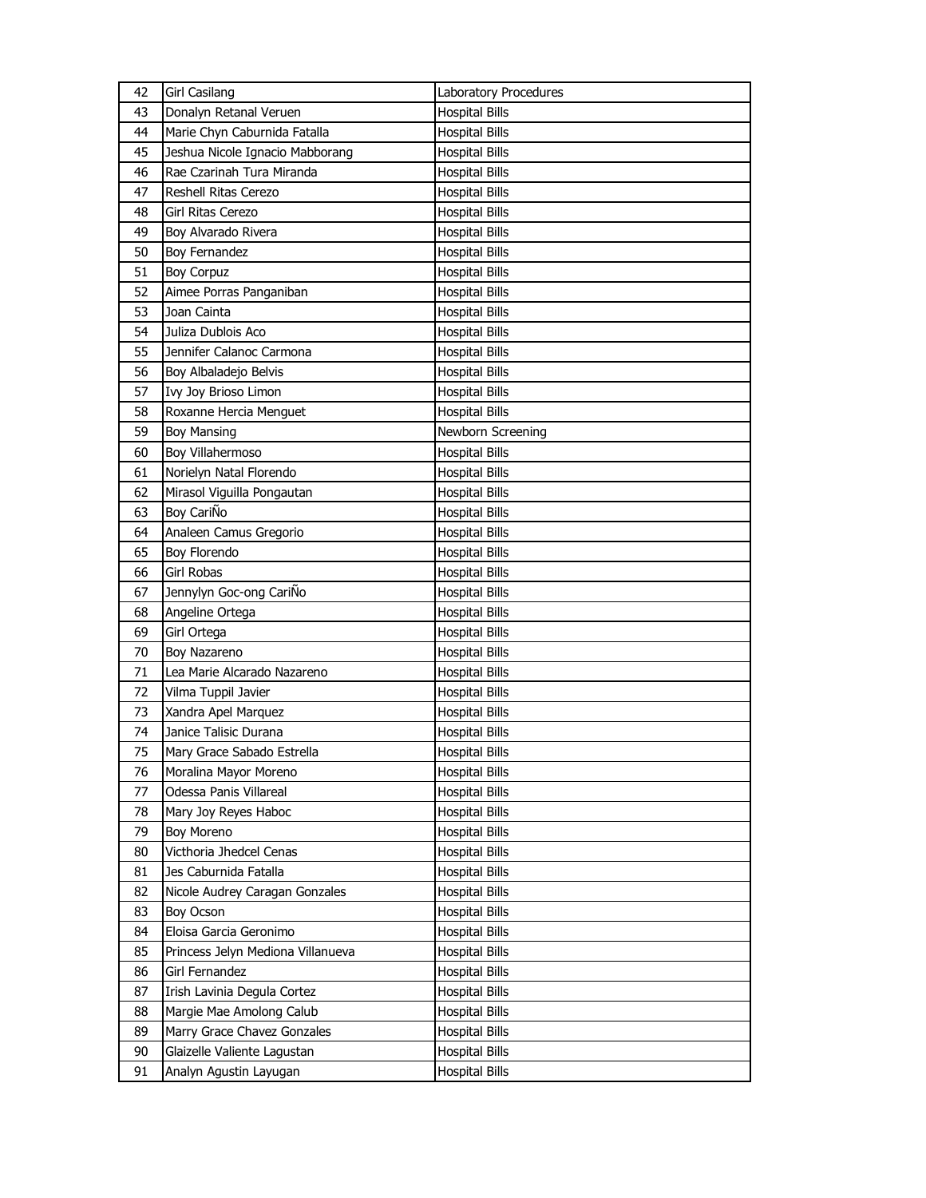| 42 | <b>Girl Casilang</b>              | Laboratory Procedures |
|----|-----------------------------------|-----------------------|
| 43 | Donalyn Retanal Veruen            | <b>Hospital Bills</b> |
| 44 | Marie Chyn Caburnida Fatalla      | <b>Hospital Bills</b> |
| 45 | Jeshua Nicole Ignacio Mabborang   | <b>Hospital Bills</b> |
| 46 | Rae Czarinah Tura Miranda         | <b>Hospital Bills</b> |
| 47 | Reshell Ritas Cerezo              | <b>Hospital Bills</b> |
| 48 | Girl Ritas Cerezo                 | Hospital Bills        |
| 49 | Boy Alvarado Rivera               | <b>Hospital Bills</b> |
| 50 | <b>Boy Fernandez</b>              | <b>Hospital Bills</b> |
| 51 | <b>Boy Corpuz</b>                 | <b>Hospital Bills</b> |
| 52 | Aimee Porras Panganiban           | <b>Hospital Bills</b> |
| 53 | Joan Cainta                       | <b>Hospital Bills</b> |
| 54 | Juliza Dublois Aco                | <b>Hospital Bills</b> |
| 55 | Jennifer Calanoc Carmona          | <b>Hospital Bills</b> |
| 56 | Boy Albaladejo Belvis             | <b>Hospital Bills</b> |
| 57 | Ivy Joy Brioso Limon              | <b>Hospital Bills</b> |
| 58 | Roxanne Hercia Menguet            | <b>Hospital Bills</b> |
| 59 | <b>Boy Mansing</b>                | Newborn Screening     |
| 60 | Boy Villahermoso                  | <b>Hospital Bills</b> |
| 61 | Norielyn Natal Florendo           | <b>Hospital Bills</b> |
| 62 | Mirasol Viguilla Pongautan        | <b>Hospital Bills</b> |
| 63 | Boy CariÑo                        | <b>Hospital Bills</b> |
| 64 | Analeen Camus Gregorio            | <b>Hospital Bills</b> |
| 65 | Boy Florendo                      | <b>Hospital Bills</b> |
| 66 | Girl Robas                        | <b>Hospital Bills</b> |
| 67 | Jennylyn Goc-ong CariÑo           | <b>Hospital Bills</b> |
| 68 | Angeline Ortega                   | Hospital Bills        |
| 69 | Girl Ortega                       | <b>Hospital Bills</b> |
| 70 | Boy Nazareno                      | <b>Hospital Bills</b> |
| 71 | Lea Marie Alcarado Nazareno       | <b>Hospital Bills</b> |
| 72 | Vilma Tuppil Javier               | <b>Hospital Bills</b> |
| 73 | Xandra Apel Marquez               | Hospital Bills        |
| 74 | Janice Talisic Durana             | <b>Hospital Bills</b> |
| 75 | Mary Grace Sabado Estrella        | <b>Hospital Bills</b> |
| 76 | Moralina Mayor Moreno             | <b>Hospital Bills</b> |
| 77 | Odessa Panis Villareal            | <b>Hospital Bills</b> |
| 78 | Mary Joy Reyes Haboc              | Hospital Bills        |
| 79 | <b>Boy Moreno</b>                 | <b>Hospital Bills</b> |
| 80 | Victhoria Jhedcel Cenas           | <b>Hospital Bills</b> |
| 81 | Jes Caburnida Fatalla             | <b>Hospital Bills</b> |
| 82 | Nicole Audrey Caragan Gonzales    | Hospital Bills        |
| 83 | Boy Ocson                         | <b>Hospital Bills</b> |
| 84 | Eloisa Garcia Geronimo            | <b>Hospital Bills</b> |
| 85 | Princess Jelyn Mediona Villanueva | <b>Hospital Bills</b> |
| 86 | Girl Fernandez                    | <b>Hospital Bills</b> |
| 87 | Irish Lavinia Degula Cortez       | Hospital Bills        |
| 88 | Margie Mae Amolong Calub          | Hospital Bills        |
| 89 | Marry Grace Chavez Gonzales       | <b>Hospital Bills</b> |
| 90 | Glaizelle Valiente Lagustan       | Hospital Bills        |
| 91 | Analyn Agustin Layugan            | <b>Hospital Bills</b> |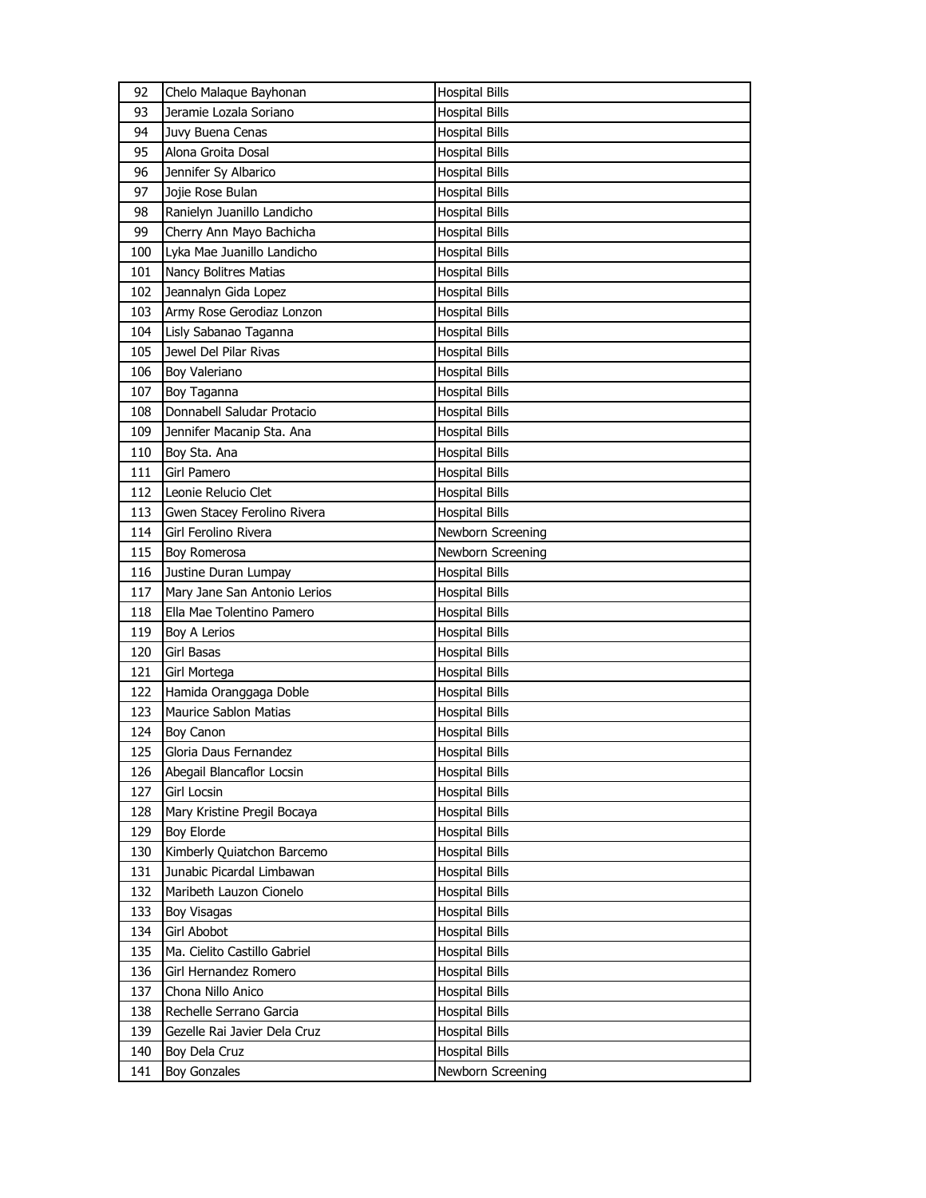| 93<br>Jeramie Lozala Soriano<br><b>Hospital Bills</b><br>94<br>Juvy Buena Cenas<br>Hospital Bills<br>Alona Groita Dosal<br>95<br><b>Hospital Bills</b><br>Jennifer Sy Albarico<br>96<br><b>Hospital Bills</b><br>97<br>Jojie Rose Bulan<br><b>Hospital Bills</b><br>Ranielyn Juanillo Landicho<br>98<br><b>Hospital Bills</b><br>99<br>Cherry Ann Mayo Bachicha<br><b>Hospital Bills</b><br>Lyka Mae Juanillo Landicho<br>100<br><b>Hospital Bills</b><br>Nancy Bolitres Matias<br>101<br><b>Hospital Bills</b><br>Jeannalyn Gida Lopez<br>102<br><b>Hospital Bills</b><br>103<br>Army Rose Gerodiaz Lonzon<br><b>Hospital Bills</b><br>104<br>Lisly Sabanao Taganna<br><b>Hospital Bills</b><br>Jewel Del Pilar Rivas<br>105<br>Hospital Bills<br>106<br>Boy Valeriano<br><b>Hospital Bills</b><br>107<br>Boy Taganna<br>Hospital Bills<br>Donnabell Saludar Protacio<br>108<br><b>Hospital Bills</b><br>109<br>Jennifer Macanip Sta. Ana<br><b>Hospital Bills</b><br>110<br>Boy Sta. Ana<br><b>Hospital Bills</b><br>Girl Pamero<br>111<br><b>Hospital Bills</b><br>112<br>Leonie Relucio Clet<br><b>Hospital Bills</b><br>113<br>Gwen Stacey Ferolino Rivera<br><b>Hospital Bills</b><br>114<br>Girl Ferolino Rivera<br>Newborn Screening<br>Newborn Screening<br>115<br>Boy Romerosa<br>116<br>Justine Duran Lumpay<br><b>Hospital Bills</b><br>117<br>Mary Jane San Antonio Lerios<br>Hospital Bills<br>Ella Mae Tolentino Pamero<br>118<br><b>Hospital Bills</b><br>119<br>Boy A Lerios<br><b>Hospital Bills</b><br>Girl Basas<br>120<br>Hospital Bills<br>121<br>Girl Mortega<br><b>Hospital Bills</b><br>Hamida Oranggaga Doble<br>122<br>Hospital Bills<br>123<br><b>Maurice Sablon Matias</b><br>Hospital Bills<br>124<br><b>Boy Canon</b><br>Hospital Bills<br>125<br>Gloria Daus Fernandez<br><b>Hospital Bills</b><br>126<br>Abegail Blancaflor Locsin<br><b>Hospital Bills</b><br>Girl Locsin<br>127<br><b>Hospital Bills</b><br>128<br>Mary Kristine Pregil Bocaya<br>Hospital Bills |
|-----------------------------------------------------------------------------------------------------------------------------------------------------------------------------------------------------------------------------------------------------------------------------------------------------------------------------------------------------------------------------------------------------------------------------------------------------------------------------------------------------------------------------------------------------------------------------------------------------------------------------------------------------------------------------------------------------------------------------------------------------------------------------------------------------------------------------------------------------------------------------------------------------------------------------------------------------------------------------------------------------------------------------------------------------------------------------------------------------------------------------------------------------------------------------------------------------------------------------------------------------------------------------------------------------------------------------------------------------------------------------------------------------------------------------------------------------------------------------------------------------------------------------------------------------------------------------------------------------------------------------------------------------------------------------------------------------------------------------------------------------------------------------------------------------------------------------------------------------------------------------------------------------------------------------------------------------------------------------------------------------|
|                                                                                                                                                                                                                                                                                                                                                                                                                                                                                                                                                                                                                                                                                                                                                                                                                                                                                                                                                                                                                                                                                                                                                                                                                                                                                                                                                                                                                                                                                                                                                                                                                                                                                                                                                                                                                                                                                                                                                                                                     |
|                                                                                                                                                                                                                                                                                                                                                                                                                                                                                                                                                                                                                                                                                                                                                                                                                                                                                                                                                                                                                                                                                                                                                                                                                                                                                                                                                                                                                                                                                                                                                                                                                                                                                                                                                                                                                                                                                                                                                                                                     |
|                                                                                                                                                                                                                                                                                                                                                                                                                                                                                                                                                                                                                                                                                                                                                                                                                                                                                                                                                                                                                                                                                                                                                                                                                                                                                                                                                                                                                                                                                                                                                                                                                                                                                                                                                                                                                                                                                                                                                                                                     |
|                                                                                                                                                                                                                                                                                                                                                                                                                                                                                                                                                                                                                                                                                                                                                                                                                                                                                                                                                                                                                                                                                                                                                                                                                                                                                                                                                                                                                                                                                                                                                                                                                                                                                                                                                                                                                                                                                                                                                                                                     |
|                                                                                                                                                                                                                                                                                                                                                                                                                                                                                                                                                                                                                                                                                                                                                                                                                                                                                                                                                                                                                                                                                                                                                                                                                                                                                                                                                                                                                                                                                                                                                                                                                                                                                                                                                                                                                                                                                                                                                                                                     |
|                                                                                                                                                                                                                                                                                                                                                                                                                                                                                                                                                                                                                                                                                                                                                                                                                                                                                                                                                                                                                                                                                                                                                                                                                                                                                                                                                                                                                                                                                                                                                                                                                                                                                                                                                                                                                                                                                                                                                                                                     |
|                                                                                                                                                                                                                                                                                                                                                                                                                                                                                                                                                                                                                                                                                                                                                                                                                                                                                                                                                                                                                                                                                                                                                                                                                                                                                                                                                                                                                                                                                                                                                                                                                                                                                                                                                                                                                                                                                                                                                                                                     |
|                                                                                                                                                                                                                                                                                                                                                                                                                                                                                                                                                                                                                                                                                                                                                                                                                                                                                                                                                                                                                                                                                                                                                                                                                                                                                                                                                                                                                                                                                                                                                                                                                                                                                                                                                                                                                                                                                                                                                                                                     |
|                                                                                                                                                                                                                                                                                                                                                                                                                                                                                                                                                                                                                                                                                                                                                                                                                                                                                                                                                                                                                                                                                                                                                                                                                                                                                                                                                                                                                                                                                                                                                                                                                                                                                                                                                                                                                                                                                                                                                                                                     |
|                                                                                                                                                                                                                                                                                                                                                                                                                                                                                                                                                                                                                                                                                                                                                                                                                                                                                                                                                                                                                                                                                                                                                                                                                                                                                                                                                                                                                                                                                                                                                                                                                                                                                                                                                                                                                                                                                                                                                                                                     |
|                                                                                                                                                                                                                                                                                                                                                                                                                                                                                                                                                                                                                                                                                                                                                                                                                                                                                                                                                                                                                                                                                                                                                                                                                                                                                                                                                                                                                                                                                                                                                                                                                                                                                                                                                                                                                                                                                                                                                                                                     |
|                                                                                                                                                                                                                                                                                                                                                                                                                                                                                                                                                                                                                                                                                                                                                                                                                                                                                                                                                                                                                                                                                                                                                                                                                                                                                                                                                                                                                                                                                                                                                                                                                                                                                                                                                                                                                                                                                                                                                                                                     |
|                                                                                                                                                                                                                                                                                                                                                                                                                                                                                                                                                                                                                                                                                                                                                                                                                                                                                                                                                                                                                                                                                                                                                                                                                                                                                                                                                                                                                                                                                                                                                                                                                                                                                                                                                                                                                                                                                                                                                                                                     |
|                                                                                                                                                                                                                                                                                                                                                                                                                                                                                                                                                                                                                                                                                                                                                                                                                                                                                                                                                                                                                                                                                                                                                                                                                                                                                                                                                                                                                                                                                                                                                                                                                                                                                                                                                                                                                                                                                                                                                                                                     |
|                                                                                                                                                                                                                                                                                                                                                                                                                                                                                                                                                                                                                                                                                                                                                                                                                                                                                                                                                                                                                                                                                                                                                                                                                                                                                                                                                                                                                                                                                                                                                                                                                                                                                                                                                                                                                                                                                                                                                                                                     |
|                                                                                                                                                                                                                                                                                                                                                                                                                                                                                                                                                                                                                                                                                                                                                                                                                                                                                                                                                                                                                                                                                                                                                                                                                                                                                                                                                                                                                                                                                                                                                                                                                                                                                                                                                                                                                                                                                                                                                                                                     |
|                                                                                                                                                                                                                                                                                                                                                                                                                                                                                                                                                                                                                                                                                                                                                                                                                                                                                                                                                                                                                                                                                                                                                                                                                                                                                                                                                                                                                                                                                                                                                                                                                                                                                                                                                                                                                                                                                                                                                                                                     |
|                                                                                                                                                                                                                                                                                                                                                                                                                                                                                                                                                                                                                                                                                                                                                                                                                                                                                                                                                                                                                                                                                                                                                                                                                                                                                                                                                                                                                                                                                                                                                                                                                                                                                                                                                                                                                                                                                                                                                                                                     |
|                                                                                                                                                                                                                                                                                                                                                                                                                                                                                                                                                                                                                                                                                                                                                                                                                                                                                                                                                                                                                                                                                                                                                                                                                                                                                                                                                                                                                                                                                                                                                                                                                                                                                                                                                                                                                                                                                                                                                                                                     |
|                                                                                                                                                                                                                                                                                                                                                                                                                                                                                                                                                                                                                                                                                                                                                                                                                                                                                                                                                                                                                                                                                                                                                                                                                                                                                                                                                                                                                                                                                                                                                                                                                                                                                                                                                                                                                                                                                                                                                                                                     |
|                                                                                                                                                                                                                                                                                                                                                                                                                                                                                                                                                                                                                                                                                                                                                                                                                                                                                                                                                                                                                                                                                                                                                                                                                                                                                                                                                                                                                                                                                                                                                                                                                                                                                                                                                                                                                                                                                                                                                                                                     |
|                                                                                                                                                                                                                                                                                                                                                                                                                                                                                                                                                                                                                                                                                                                                                                                                                                                                                                                                                                                                                                                                                                                                                                                                                                                                                                                                                                                                                                                                                                                                                                                                                                                                                                                                                                                                                                                                                                                                                                                                     |
|                                                                                                                                                                                                                                                                                                                                                                                                                                                                                                                                                                                                                                                                                                                                                                                                                                                                                                                                                                                                                                                                                                                                                                                                                                                                                                                                                                                                                                                                                                                                                                                                                                                                                                                                                                                                                                                                                                                                                                                                     |
|                                                                                                                                                                                                                                                                                                                                                                                                                                                                                                                                                                                                                                                                                                                                                                                                                                                                                                                                                                                                                                                                                                                                                                                                                                                                                                                                                                                                                                                                                                                                                                                                                                                                                                                                                                                                                                                                                                                                                                                                     |
|                                                                                                                                                                                                                                                                                                                                                                                                                                                                                                                                                                                                                                                                                                                                                                                                                                                                                                                                                                                                                                                                                                                                                                                                                                                                                                                                                                                                                                                                                                                                                                                                                                                                                                                                                                                                                                                                                                                                                                                                     |
|                                                                                                                                                                                                                                                                                                                                                                                                                                                                                                                                                                                                                                                                                                                                                                                                                                                                                                                                                                                                                                                                                                                                                                                                                                                                                                                                                                                                                                                                                                                                                                                                                                                                                                                                                                                                                                                                                                                                                                                                     |
|                                                                                                                                                                                                                                                                                                                                                                                                                                                                                                                                                                                                                                                                                                                                                                                                                                                                                                                                                                                                                                                                                                                                                                                                                                                                                                                                                                                                                                                                                                                                                                                                                                                                                                                                                                                                                                                                                                                                                                                                     |
|                                                                                                                                                                                                                                                                                                                                                                                                                                                                                                                                                                                                                                                                                                                                                                                                                                                                                                                                                                                                                                                                                                                                                                                                                                                                                                                                                                                                                                                                                                                                                                                                                                                                                                                                                                                                                                                                                                                                                                                                     |
|                                                                                                                                                                                                                                                                                                                                                                                                                                                                                                                                                                                                                                                                                                                                                                                                                                                                                                                                                                                                                                                                                                                                                                                                                                                                                                                                                                                                                                                                                                                                                                                                                                                                                                                                                                                                                                                                                                                                                                                                     |
|                                                                                                                                                                                                                                                                                                                                                                                                                                                                                                                                                                                                                                                                                                                                                                                                                                                                                                                                                                                                                                                                                                                                                                                                                                                                                                                                                                                                                                                                                                                                                                                                                                                                                                                                                                                                                                                                                                                                                                                                     |
|                                                                                                                                                                                                                                                                                                                                                                                                                                                                                                                                                                                                                                                                                                                                                                                                                                                                                                                                                                                                                                                                                                                                                                                                                                                                                                                                                                                                                                                                                                                                                                                                                                                                                                                                                                                                                                                                                                                                                                                                     |
|                                                                                                                                                                                                                                                                                                                                                                                                                                                                                                                                                                                                                                                                                                                                                                                                                                                                                                                                                                                                                                                                                                                                                                                                                                                                                                                                                                                                                                                                                                                                                                                                                                                                                                                                                                                                                                                                                                                                                                                                     |
|                                                                                                                                                                                                                                                                                                                                                                                                                                                                                                                                                                                                                                                                                                                                                                                                                                                                                                                                                                                                                                                                                                                                                                                                                                                                                                                                                                                                                                                                                                                                                                                                                                                                                                                                                                                                                                                                                                                                                                                                     |
|                                                                                                                                                                                                                                                                                                                                                                                                                                                                                                                                                                                                                                                                                                                                                                                                                                                                                                                                                                                                                                                                                                                                                                                                                                                                                                                                                                                                                                                                                                                                                                                                                                                                                                                                                                                                                                                                                                                                                                                                     |
|                                                                                                                                                                                                                                                                                                                                                                                                                                                                                                                                                                                                                                                                                                                                                                                                                                                                                                                                                                                                                                                                                                                                                                                                                                                                                                                                                                                                                                                                                                                                                                                                                                                                                                                                                                                                                                                                                                                                                                                                     |
|                                                                                                                                                                                                                                                                                                                                                                                                                                                                                                                                                                                                                                                                                                                                                                                                                                                                                                                                                                                                                                                                                                                                                                                                                                                                                                                                                                                                                                                                                                                                                                                                                                                                                                                                                                                                                                                                                                                                                                                                     |
| 129<br><b>Boy Elorde</b><br><b>Hospital Bills</b>                                                                                                                                                                                                                                                                                                                                                                                                                                                                                                                                                                                                                                                                                                                                                                                                                                                                                                                                                                                                                                                                                                                                                                                                                                                                                                                                                                                                                                                                                                                                                                                                                                                                                                                                                                                                                                                                                                                                                   |
| 130<br>Kimberly Quiatchon Barcemo<br><b>Hospital Bills</b>                                                                                                                                                                                                                                                                                                                                                                                                                                                                                                                                                                                                                                                                                                                                                                                                                                                                                                                                                                                                                                                                                                                                                                                                                                                                                                                                                                                                                                                                                                                                                                                                                                                                                                                                                                                                                                                                                                                                          |
| Junabic Picardal Limbawan<br>131<br><b>Hospital Bills</b>                                                                                                                                                                                                                                                                                                                                                                                                                                                                                                                                                                                                                                                                                                                                                                                                                                                                                                                                                                                                                                                                                                                                                                                                                                                                                                                                                                                                                                                                                                                                                                                                                                                                                                                                                                                                                                                                                                                                           |
| 132<br>Maribeth Lauzon Cionelo<br><b>Hospital Bills</b>                                                                                                                                                                                                                                                                                                                                                                                                                                                                                                                                                                                                                                                                                                                                                                                                                                                                                                                                                                                                                                                                                                                                                                                                                                                                                                                                                                                                                                                                                                                                                                                                                                                                                                                                                                                                                                                                                                                                             |
| 133<br><b>Hospital Bills</b><br>Boy Visagas                                                                                                                                                                                                                                                                                                                                                                                                                                                                                                                                                                                                                                                                                                                                                                                                                                                                                                                                                                                                                                                                                                                                                                                                                                                                                                                                                                                                                                                                                                                                                                                                                                                                                                                                                                                                                                                                                                                                                         |
| 134<br>Girl Abobot<br>Hospital Bills                                                                                                                                                                                                                                                                                                                                                                                                                                                                                                                                                                                                                                                                                                                                                                                                                                                                                                                                                                                                                                                                                                                                                                                                                                                                                                                                                                                                                                                                                                                                                                                                                                                                                                                                                                                                                                                                                                                                                                |
| 135<br>Ma. Cielito Castillo Gabriel<br><b>Hospital Bills</b>                                                                                                                                                                                                                                                                                                                                                                                                                                                                                                                                                                                                                                                                                                                                                                                                                                                                                                                                                                                                                                                                                                                                                                                                                                                                                                                                                                                                                                                                                                                                                                                                                                                                                                                                                                                                                                                                                                                                        |
| 136<br>Girl Hernandez Romero<br><b>Hospital Bills</b>                                                                                                                                                                                                                                                                                                                                                                                                                                                                                                                                                                                                                                                                                                                                                                                                                                                                                                                                                                                                                                                                                                                                                                                                                                                                                                                                                                                                                                                                                                                                                                                                                                                                                                                                                                                                                                                                                                                                               |
| Chona Nillo Anico<br>137<br><b>Hospital Bills</b>                                                                                                                                                                                                                                                                                                                                                                                                                                                                                                                                                                                                                                                                                                                                                                                                                                                                                                                                                                                                                                                                                                                                                                                                                                                                                                                                                                                                                                                                                                                                                                                                                                                                                                                                                                                                                                                                                                                                                   |
| 138<br>Rechelle Serrano Garcia<br><b>Hospital Bills</b>                                                                                                                                                                                                                                                                                                                                                                                                                                                                                                                                                                                                                                                                                                                                                                                                                                                                                                                                                                                                                                                                                                                                                                                                                                                                                                                                                                                                                                                                                                                                                                                                                                                                                                                                                                                                                                                                                                                                             |
| 139<br>Gezelle Rai Javier Dela Cruz<br><b>Hospital Bills</b>                                                                                                                                                                                                                                                                                                                                                                                                                                                                                                                                                                                                                                                                                                                                                                                                                                                                                                                                                                                                                                                                                                                                                                                                                                                                                                                                                                                                                                                                                                                                                                                                                                                                                                                                                                                                                                                                                                                                        |
| 140<br>Boy Dela Cruz<br>Hospital Bills                                                                                                                                                                                                                                                                                                                                                                                                                                                                                                                                                                                                                                                                                                                                                                                                                                                                                                                                                                                                                                                                                                                                                                                                                                                                                                                                                                                                                                                                                                                                                                                                                                                                                                                                                                                                                                                                                                                                                              |
| 141<br><b>Boy Gonzales</b><br>Newborn Screening                                                                                                                                                                                                                                                                                                                                                                                                                                                                                                                                                                                                                                                                                                                                                                                                                                                                                                                                                                                                                                                                                                                                                                                                                                                                                                                                                                                                                                                                                                                                                                                                                                                                                                                                                                                                                                                                                                                                                     |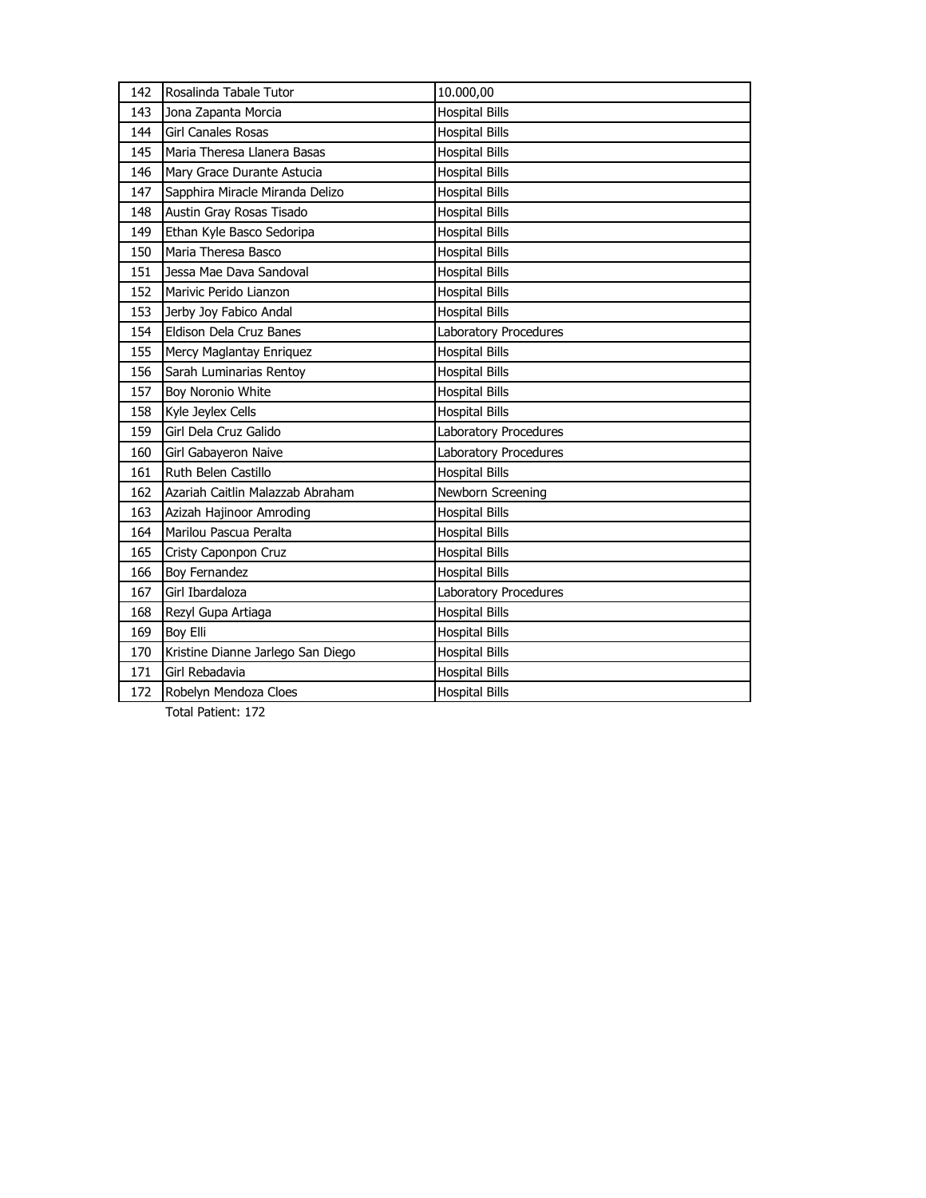| 142 | Rosalinda Tabale Tutor            | 10.000,00             |
|-----|-----------------------------------|-----------------------|
| 143 | Jona Zapanta Morcia               | <b>Hospital Bills</b> |
| 144 | <b>Girl Canales Rosas</b>         | <b>Hospital Bills</b> |
| 145 | Maria Theresa Llanera Basas       | <b>Hospital Bills</b> |
| 146 | Mary Grace Durante Astucia        | <b>Hospital Bills</b> |
| 147 | Sapphira Miracle Miranda Delizo   | <b>Hospital Bills</b> |
| 148 | Austin Gray Rosas Tisado          | <b>Hospital Bills</b> |
| 149 | Ethan Kyle Basco Sedoripa         | <b>Hospital Bills</b> |
| 150 | Maria Theresa Basco               | <b>Hospital Bills</b> |
| 151 | Jessa Mae Dava Sandoval           | <b>Hospital Bills</b> |
| 152 | Marivic Perido Lianzon            | <b>Hospital Bills</b> |
| 153 | Jerby Joy Fabico Andal            | <b>Hospital Bills</b> |
| 154 | Eldison Dela Cruz Banes           | Laboratory Procedures |
| 155 | Mercy Maglantay Enriquez          | <b>Hospital Bills</b> |
| 156 | Sarah Luminarias Rentoy           | <b>Hospital Bills</b> |
| 157 | Boy Noronio White                 | <b>Hospital Bills</b> |
| 158 | Kyle Jeylex Cells                 | <b>Hospital Bills</b> |
| 159 | Girl Dela Cruz Galido             | Laboratory Procedures |
| 160 | Girl Gabayeron Naive              | Laboratory Procedures |
| 161 | Ruth Belen Castillo               | <b>Hospital Bills</b> |
| 162 | Azariah Caitlin Malazzab Abraham  | Newborn Screening     |
| 163 | Azizah Hajinoor Amroding          | <b>Hospital Bills</b> |
| 164 | Marilou Pascua Peralta            | <b>Hospital Bills</b> |
| 165 | Cristy Caponpon Cruz              | <b>Hospital Bills</b> |
| 166 | Boy Fernandez                     | <b>Hospital Bills</b> |
| 167 | Girl Ibardaloza                   | Laboratory Procedures |
| 168 | Rezyl Gupa Artiaga                | <b>Hospital Bills</b> |
| 169 | Boy Elli                          | <b>Hospital Bills</b> |
| 170 | Kristine Dianne Jarlego San Diego | <b>Hospital Bills</b> |
| 171 | Girl Rebadavia                    | <b>Hospital Bills</b> |
| 172 | Robelyn Mendoza Cloes             | <b>Hospital Bills</b> |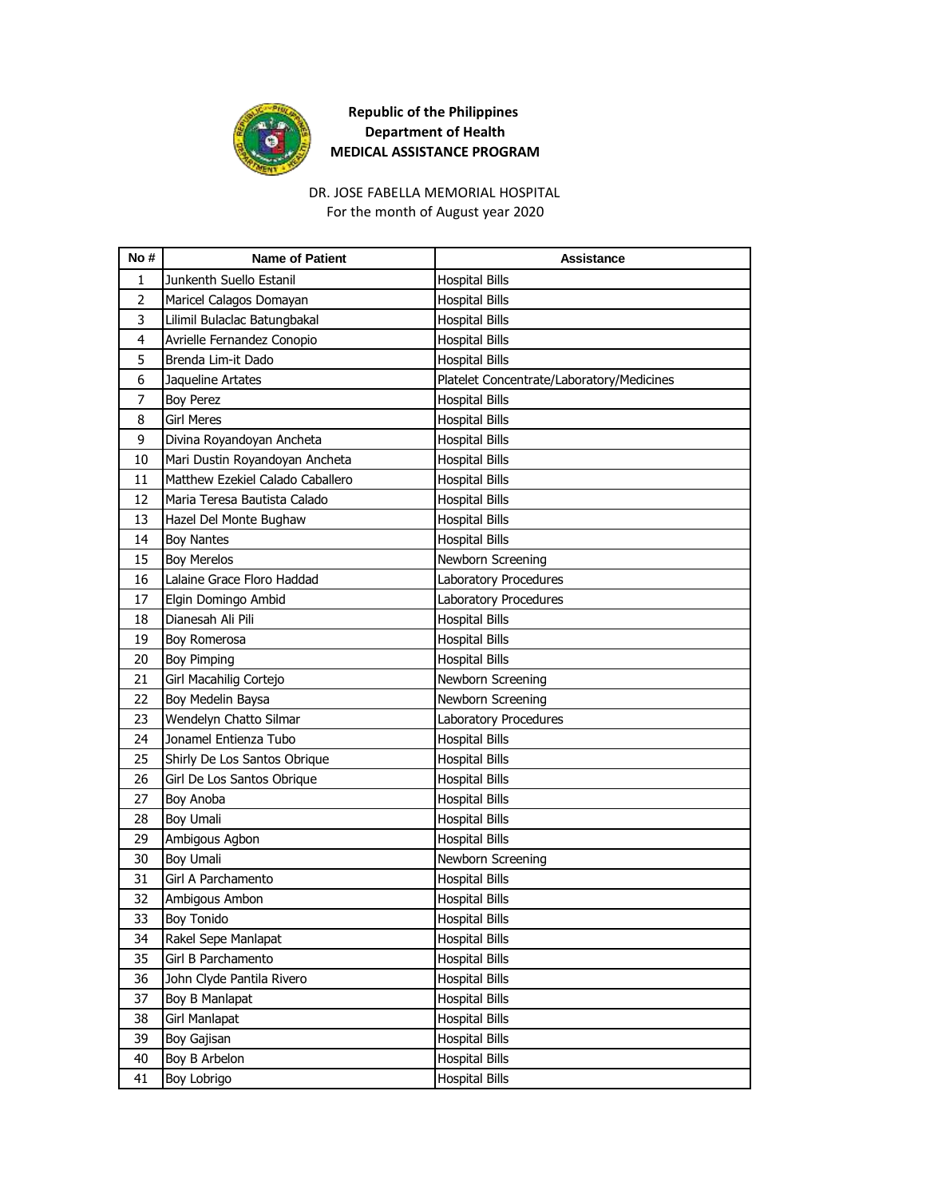

## DR. JOSE FABELLA MEMORIAL HOSPITAL

For the month of August year 2020

| No#            | <b>Name of Patient</b>           | <b>Assistance</b>                         |
|----------------|----------------------------------|-------------------------------------------|
| 1              | Junkenth Suello Estanil          | <b>Hospital Bills</b>                     |
| $\overline{2}$ | Maricel Calagos Domayan          | <b>Hospital Bills</b>                     |
| 3              | Lilimil Bulaclac Batungbakal     | <b>Hospital Bills</b>                     |
| 4              | Avrielle Fernandez Conopio       | <b>Hospital Bills</b>                     |
| 5              | Brenda Lim-it Dado               | <b>Hospital Bills</b>                     |
| 6              | Jaqueline Artates                | Platelet Concentrate/Laboratory/Medicines |
| 7              | <b>Boy Perez</b>                 | <b>Hospital Bills</b>                     |
| 8              | <b>Girl Meres</b>                | <b>Hospital Bills</b>                     |
| 9              | Divina Royandoyan Ancheta        | <b>Hospital Bills</b>                     |
| 10             | Mari Dustin Royandoyan Ancheta   | <b>Hospital Bills</b>                     |
| 11             | Matthew Ezekiel Calado Caballero | <b>Hospital Bills</b>                     |
| 12             | Maria Teresa Bautista Calado     | <b>Hospital Bills</b>                     |
| 13             | Hazel Del Monte Bughaw           | <b>Hospital Bills</b>                     |
| 14             | <b>Boy Nantes</b>                | <b>Hospital Bills</b>                     |
| 15             | <b>Boy Merelos</b>               | Newborn Screening                         |
| 16             | Lalaine Grace Floro Haddad       | Laboratory Procedures                     |
| 17             | Elgin Domingo Ambid              | Laboratory Procedures                     |
| 18             | Dianesah Ali Pili                | <b>Hospital Bills</b>                     |
| 19             | Boy Romerosa                     | <b>Hospital Bills</b>                     |
| 20             | <b>Boy Pimping</b>               | <b>Hospital Bills</b>                     |
| 21             | Girl Macahilig Cortejo           | Newborn Screening                         |
| 22             | Boy Medelin Baysa                | Newborn Screening                         |
| 23             | Wendelyn Chatto Silmar           | Laboratory Procedures                     |
| 24             | Jonamel Entienza Tubo            | <b>Hospital Bills</b>                     |
| 25             | Shirly De Los Santos Obrique     | <b>Hospital Bills</b>                     |
| 26             | Girl De Los Santos Obrique       | <b>Hospital Bills</b>                     |
| 27             | Boy Anoba                        | <b>Hospital Bills</b>                     |
| 28             | <b>Boy Umali</b>                 | <b>Hospital Bills</b>                     |
| 29             | Ambigous Agbon                   | <b>Hospital Bills</b>                     |
| 30             | <b>Boy Umali</b>                 | Newborn Screening                         |
| 31             | Girl A Parchamento               | <b>Hospital Bills</b>                     |
| 32             | Ambigous Ambon                   | <b>Hospital Bills</b>                     |
| 33             | <b>Boy Tonido</b>                | <b>Hospital Bills</b>                     |
| 34             | Rakel Sepe Manlapat              | <b>Hospital Bills</b>                     |
| 35             | Girl B Parchamento               | <b>Hospital Bills</b>                     |
| 36             | John Clyde Pantila Rivero        | <b>Hospital Bills</b>                     |
| 37             | Boy B Manlapat                   | <b>Hospital Bills</b>                     |
| 38             | Girl Manlapat                    | <b>Hospital Bills</b>                     |
| 39             | Boy Gajisan                      | <b>Hospital Bills</b>                     |
| 40             | Boy B Arbelon                    | <b>Hospital Bills</b>                     |
| 41             | <b>Boy Lobrigo</b>               | <b>Hospital Bills</b>                     |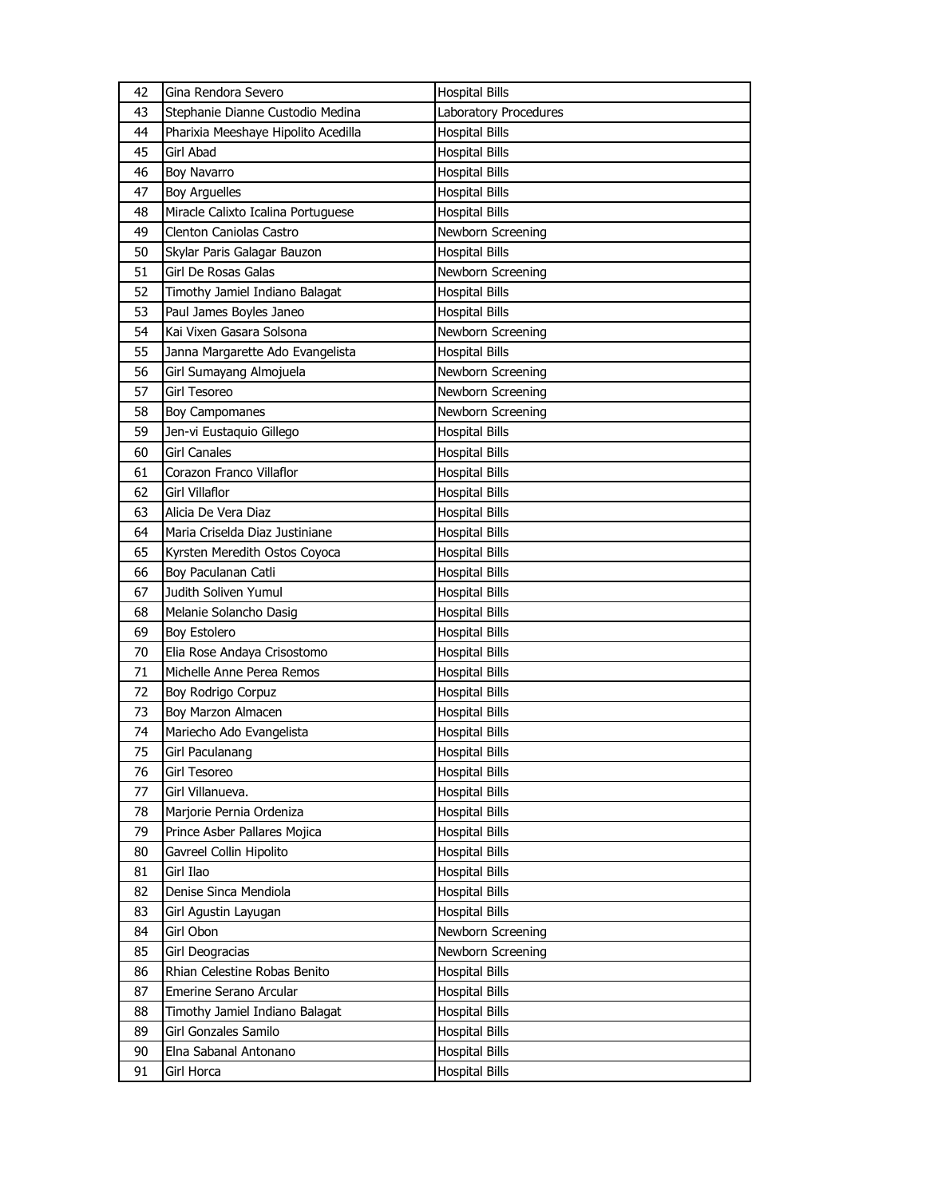| 42 | Gina Rendora Severo                 | <b>Hospital Bills</b> |
|----|-------------------------------------|-----------------------|
| 43 | Stephanie Dianne Custodio Medina    | Laboratory Procedures |
| 44 | Pharixia Meeshaye Hipolito Acedilla | <b>Hospital Bills</b> |
| 45 | Girl Abad                           | <b>Hospital Bills</b> |
| 46 | <b>Boy Navarro</b>                  | <b>Hospital Bills</b> |
| 47 | <b>Boy Arguelles</b>                | <b>Hospital Bills</b> |
| 48 | Miracle Calixto Icalina Portuguese  | <b>Hospital Bills</b> |
| 49 | Clenton Caniolas Castro             | Newborn Screening     |
| 50 | Skylar Paris Galagar Bauzon         | <b>Hospital Bills</b> |
| 51 | Girl De Rosas Galas                 | Newborn Screening     |
| 52 | Timothy Jamiel Indiano Balagat      | <b>Hospital Bills</b> |
| 53 | Paul James Boyles Janeo             | <b>Hospital Bills</b> |
| 54 | Kai Vixen Gasara Solsona            | Newborn Screening     |
| 55 | Janna Margarette Ado Evangelista    | <b>Hospital Bills</b> |
| 56 | Girl Sumayang Almojuela             | Newborn Screening     |
| 57 | Girl Tesoreo                        | Newborn Screening     |
| 58 | <b>Boy Campomanes</b>               | Newborn Screening     |
| 59 | Jen-vi Eustaquio Gillego            | <b>Hospital Bills</b> |
| 60 | <b>Girl Canales</b>                 | <b>Hospital Bills</b> |
| 61 | Corazon Franco Villaflor            | <b>Hospital Bills</b> |
| 62 | <b>Girl Villaflor</b>               | <b>Hospital Bills</b> |
| 63 | Alicia De Vera Diaz                 | <b>Hospital Bills</b> |
| 64 | Maria Criselda Diaz Justiniane      | <b>Hospital Bills</b> |
| 65 | Kyrsten Meredith Ostos Coyoca       | <b>Hospital Bills</b> |
| 66 | Boy Paculanan Catli                 | <b>Hospital Bills</b> |
| 67 | Judith Soliven Yumul                | <b>Hospital Bills</b> |
| 68 | Melanie Solancho Dasig              | <b>Hospital Bills</b> |
| 69 | <b>Boy Estolero</b>                 | <b>Hospital Bills</b> |
| 70 | Elia Rose Andaya Crisostomo         | <b>Hospital Bills</b> |
| 71 | Michelle Anne Perea Remos           | <b>Hospital Bills</b> |
| 72 | Boy Rodrigo Corpuz                  | Hospital Bills        |
| 73 | Boy Marzon Almacen                  | Hospital Bills        |
| 74 | Mariecho Ado Evangelista            | <b>Hospital Bills</b> |
| 75 | Girl Paculanang                     | <b>Hospital Bills</b> |
| 76 | Girl Tesoreo                        | <b>Hospital Bills</b> |
| 77 | Girl Villanueva.                    | <b>Hospital Bills</b> |
| 78 | Marjorie Pernia Ordeniza            | <b>Hospital Bills</b> |
| 79 | Prince Asber Pallares Mojica        | <b>Hospital Bills</b> |
| 80 | Gavreel Collin Hipolito             | Hospital Bills        |
| 81 | Girl Ilao                           | <b>Hospital Bills</b> |
| 82 | Denise Sinca Mendiola               | Hospital Bills        |
| 83 | Girl Agustin Layugan                | <b>Hospital Bills</b> |
| 84 | Girl Obon                           | Newborn Screening     |
| 85 | Girl Deogracias                     | Newborn Screening     |
| 86 | Rhian Celestine Robas Benito        | <b>Hospital Bills</b> |
| 87 | Emerine Serano Arcular              | Hospital Bills        |
| 88 | Timothy Jamiel Indiano Balagat      | <b>Hospital Bills</b> |
| 89 | Girl Gonzales Samilo                | Hospital Bills        |
| 90 | Elna Sabanal Antonano               | Hospital Bills        |
| 91 | Girl Horca                          | <b>Hospital Bills</b> |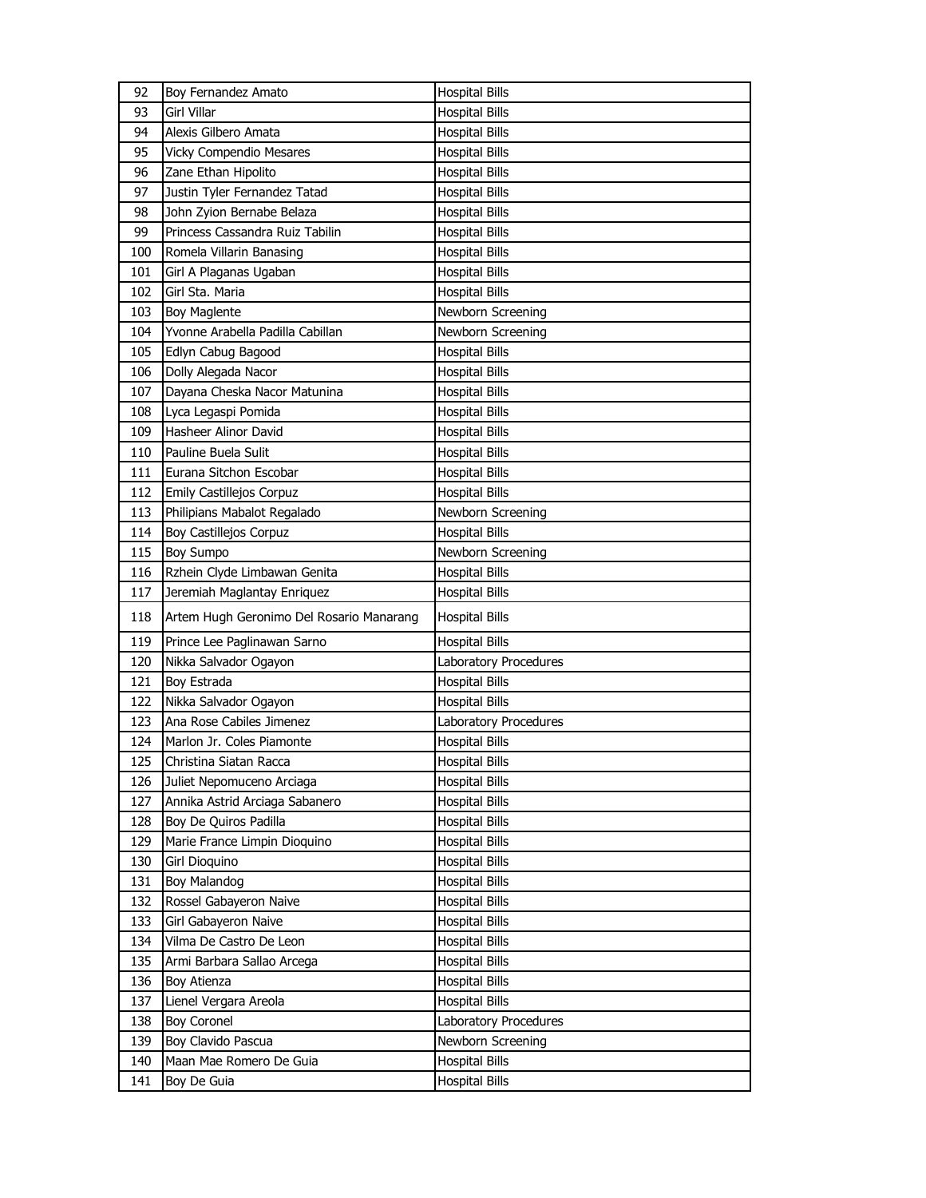| 92  | Boy Fernandez Amato                      | <b>Hospital Bills</b> |
|-----|------------------------------------------|-----------------------|
| 93  | Girl Villar                              | <b>Hospital Bills</b> |
| 94  | Alexis Gilbero Amata                     | <b>Hospital Bills</b> |
| 95  | <b>Vicky Compendio Mesares</b>           | <b>Hospital Bills</b> |
| 96  | Zane Ethan Hipolito                      | <b>Hospital Bills</b> |
| 97  | Justin Tyler Fernandez Tatad             | <b>Hospital Bills</b> |
| 98  | John Zyion Bernabe Belaza                | <b>Hospital Bills</b> |
| 99  | Princess Cassandra Ruiz Tabilin          | <b>Hospital Bills</b> |
| 100 | Romela Villarin Banasing                 | <b>Hospital Bills</b> |
| 101 | Girl A Plaganas Ugaban                   | <b>Hospital Bills</b> |
| 102 | Girl Sta. Maria                          | <b>Hospital Bills</b> |
| 103 | <b>Boy Maglente</b>                      | Newborn Screening     |
| 104 | Yvonne Arabella Padilla Cabillan         | Newborn Screening     |
| 105 | Edlyn Cabug Bagood                       | <b>Hospital Bills</b> |
| 106 | Dolly Alegada Nacor                      | <b>Hospital Bills</b> |
| 107 | Dayana Cheska Nacor Matunina             | <b>Hospital Bills</b> |
| 108 | Lyca Legaspi Pomida                      | <b>Hospital Bills</b> |
| 109 | Hasheer Alinor David                     | <b>Hospital Bills</b> |
| 110 | Pauline Buela Sulit                      | <b>Hospital Bills</b> |
| 111 | Eurana Sitchon Escobar                   | <b>Hospital Bills</b> |
| 112 | <b>Emily Castillejos Corpuz</b>          | <b>Hospital Bills</b> |
| 113 | Philipians Mabalot Regalado              | Newborn Screening     |
| 114 | Boy Castillejos Corpuz                   | <b>Hospital Bills</b> |
| 115 | <b>Boy Sumpo</b>                         | Newborn Screening     |
| 116 | Rzhein Clyde Limbawan Genita             | <b>Hospital Bills</b> |
| 117 | Jeremiah Maglantay Enriquez              | <b>Hospital Bills</b> |
| 118 | Artem Hugh Geronimo Del Rosario Manarang | <b>Hospital Bills</b> |
| 119 | Prince Lee Paglinawan Sarno              | <b>Hospital Bills</b> |
| 120 | Nikka Salvador Ogayon                    | Laboratory Procedures |
| 121 | Boy Estrada                              | <b>Hospital Bills</b> |
| 122 | Nikka Salvador Ogayon                    | <b>Hospital Bills</b> |
| 123 | Ana Rose Cabiles Jimenez                 | Laboratory Procedures |
| 124 | Marlon Jr. Coles Piamonte                | <b>Hospital Bills</b> |
| 125 | Christina Siatan Racca                   | <b>Hospital Bills</b> |
| 126 | Juliet Nepomuceno Arciaga                | <b>Hospital Bills</b> |
| 127 | Annika Astrid Arciaga Sabanero           | Hospital Bills        |
| 128 | Boy De Quiros Padilla                    | Hospital Bills        |
| 129 | Marie France Limpin Dioquino             | <b>Hospital Bills</b> |
| 130 | Girl Dioquino                            | <b>Hospital Bills</b> |
| 131 | <b>Boy Malandog</b>                      | <b>Hospital Bills</b> |
| 132 | Rossel Gabayeron Naive                   | <b>Hospital Bills</b> |
| 133 | Girl Gabayeron Naive                     | Hospital Bills        |
| 134 | Vilma De Castro De Leon                  | <b>Hospital Bills</b> |
| 135 | Armi Barbara Sallao Arcega               | <b>Hospital Bills</b> |
| 136 | Boy Atienza                              | <b>Hospital Bills</b> |
| 137 | Lienel Vergara Areola                    | <b>Hospital Bills</b> |
| 138 | <b>Boy Coronel</b>                       | Laboratory Procedures |
| 139 | Boy Clavido Pascua                       | Newborn Screening     |
| 140 | Maan Mae Romero De Guia                  | <b>Hospital Bills</b> |
| 141 | Boy De Guia                              | <b>Hospital Bills</b> |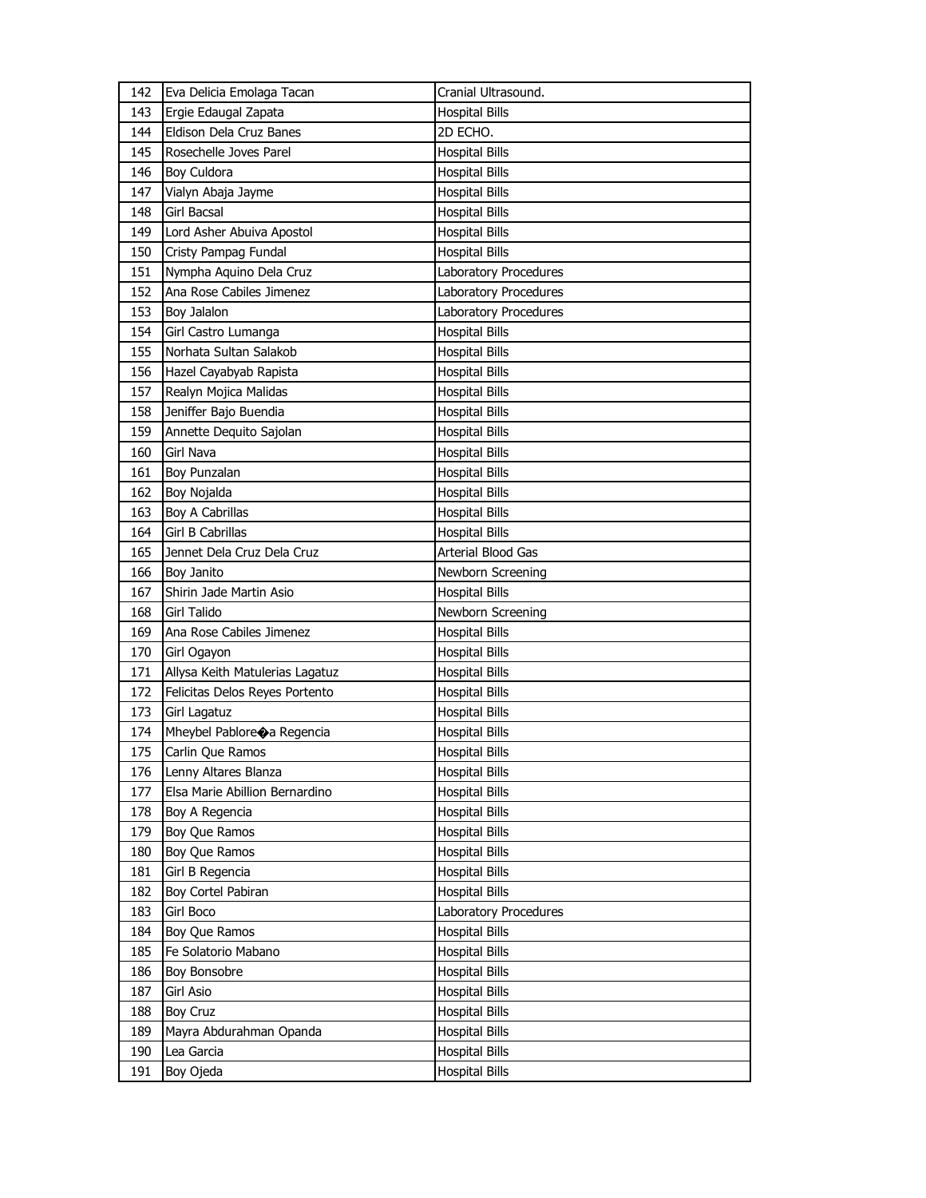| 142 | Eva Delicia Emolaga Tacan       | Cranial Ultrasound.          |
|-----|---------------------------------|------------------------------|
| 143 | Ergie Edaugal Zapata            | <b>Hospital Bills</b>        |
| 144 | Eldison Dela Cruz Banes         | 2D ECHO.                     |
| 145 | Rosechelle Joves Parel          | <b>Hospital Bills</b>        |
| 146 | <b>Boy Culdora</b>              | <b>Hospital Bills</b>        |
| 147 | Vialyn Abaja Jayme              | <b>Hospital Bills</b>        |
| 148 | Girl Bacsal                     | <b>Hospital Bills</b>        |
| 149 | Lord Asher Abuiva Apostol       | <b>Hospital Bills</b>        |
| 150 | Cristy Pampag Fundal            | <b>Hospital Bills</b>        |
| 151 | Nympha Aquino Dela Cruz         | Laboratory Procedures        |
| 152 | Ana Rose Cabiles Jimenez        | Laboratory Procedures        |
| 153 | Boy Jalalon                     | <b>Laboratory Procedures</b> |
| 154 | Girl Castro Lumanga             | <b>Hospital Bills</b>        |
| 155 | Norhata Sultan Salakob          | <b>Hospital Bills</b>        |
| 156 | Hazel Cayabyab Rapista          | <b>Hospital Bills</b>        |
| 157 | Realyn Mojica Malidas           | Hospital Bills               |
| 158 | Jeniffer Bajo Buendia           | <b>Hospital Bills</b>        |
| 159 | Annette Dequito Sajolan         | <b>Hospital Bills</b>        |
| 160 | <b>Girl Nava</b>                | <b>Hospital Bills</b>        |
| 161 | Boy Punzalan                    | <b>Hospital Bills</b>        |
| 162 | Boy Nojalda                     | <b>Hospital Bills</b>        |
| 163 | Boy A Cabrillas                 | <b>Hospital Bills</b>        |
| 164 | <b>Girl B Cabrillas</b>         | <b>Hospital Bills</b>        |
| 165 | Jennet Dela Cruz Dela Cruz      | Arterial Blood Gas           |
| 166 | Boy Janito                      | Newborn Screening            |
| 167 | Shirin Jade Martin Asio         | <b>Hospital Bills</b>        |
| 168 | <b>Girl Talido</b>              | Newborn Screening            |
| 169 | Ana Rose Cabiles Jimenez        | <b>Hospital Bills</b>        |
| 170 | Girl Ogayon                     | Hospital Bills               |
| 171 | Allysa Keith Matulerias Lagatuz | <b>Hospital Bills</b>        |
| 172 | Felicitas Delos Reyes Portento  | <b>Hospital Bills</b>        |
| 173 | Girl Lagatuz                    | <b>Hospital Bills</b>        |
| 174 | Mheybel Pablore a Regencia      | Hospital Bills               |
| 175 | Carlin Que Ramos                | <b>Hospital Bills</b>        |
| 176 | Lenny Altares Blanza            | <b>Hospital Bills</b>        |
| 177 | Elsa Marie Abillion Bernardino  | <b>Hospital Bills</b>        |
| 178 | Boy A Regencia                  | <b>Hospital Bills</b>        |
| 179 | Boy Que Ramos                   | <b>Hospital Bills</b>        |
| 180 | Boy Que Ramos                   | Hospital Bills               |
| 181 | Girl B Regencia                 | <b>Hospital Bills</b>        |
| 182 | Boy Cortel Pabiran              | <b>Hospital Bills</b>        |
| 183 | Girl Boco                       | Laboratory Procedures        |
| 184 | Boy Que Ramos                   | <b>Hospital Bills</b>        |
| 185 | Fe Solatorio Mabano             | <b>Hospital Bills</b>        |
| 186 | Boy Bonsobre                    | <b>Hospital Bills</b>        |
| 187 | Girl Asio                       | <b>Hospital Bills</b>        |
| 188 | <b>Boy Cruz</b>                 | <b>Hospital Bills</b>        |
| 189 | Mayra Abdurahman Opanda         | <b>Hospital Bills</b>        |
| 190 | Lea Garcia                      | Hospital Bills               |
| 191 | Boy Ojeda                       | <b>Hospital Bills</b>        |
|     |                                 |                              |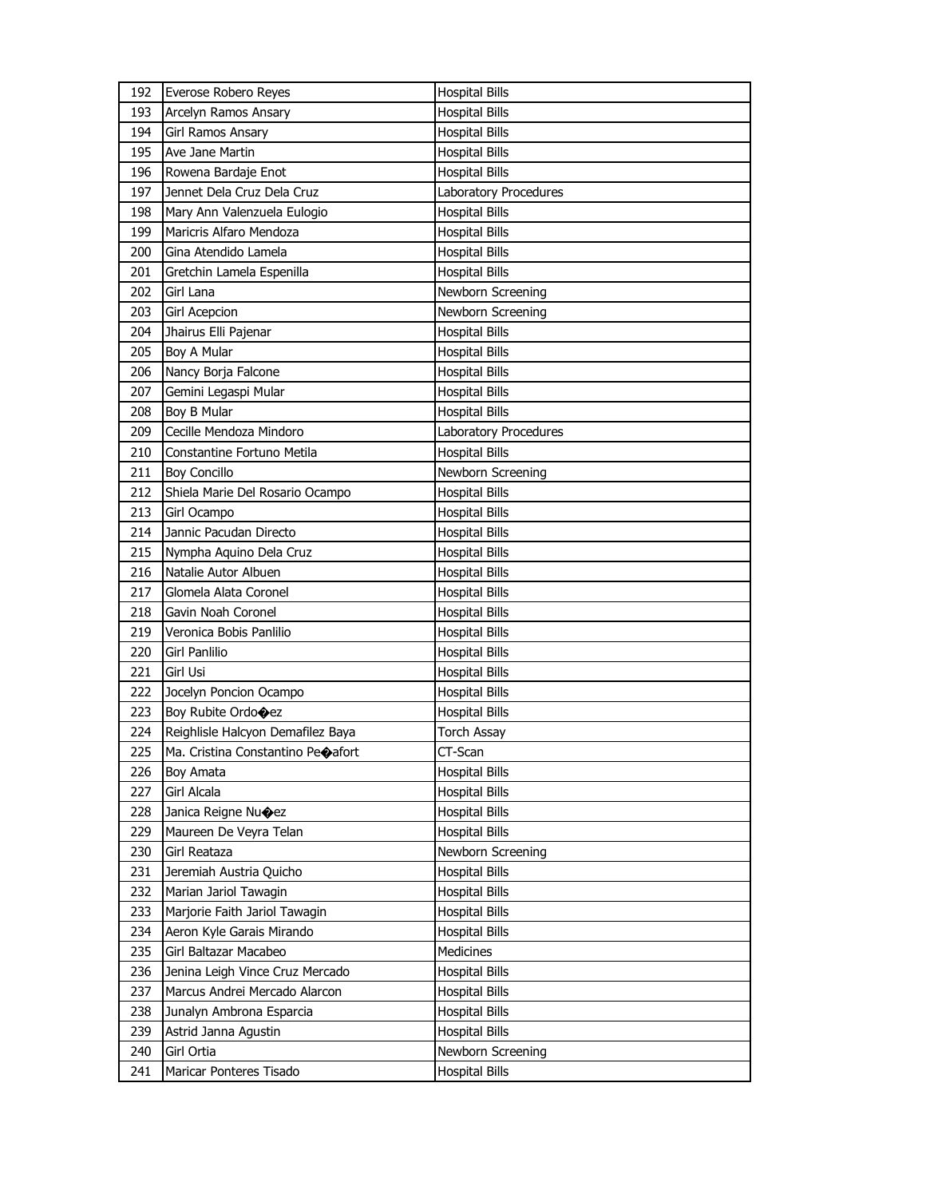| 192 | Everose Robero Reyes              | <b>Hospital Bills</b> |
|-----|-----------------------------------|-----------------------|
| 193 | Arcelyn Ramos Ansary              | <b>Hospital Bills</b> |
| 194 | Girl Ramos Ansary                 | <b>Hospital Bills</b> |
| 195 | Ave Jane Martin                   | <b>Hospital Bills</b> |
| 196 | Rowena Bardaje Enot               | <b>Hospital Bills</b> |
| 197 | Jennet Dela Cruz Dela Cruz        | Laboratory Procedures |
| 198 | Mary Ann Valenzuela Eulogio       | <b>Hospital Bills</b> |
| 199 | Maricris Alfaro Mendoza           | <b>Hospital Bills</b> |
| 200 | Gina Atendido Lamela              | <b>Hospital Bills</b> |
| 201 | Gretchin Lamela Espenilla         | <b>Hospital Bills</b> |
| 202 | Girl Lana                         | Newborn Screening     |
| 203 | <b>Girl Acepcion</b>              | Newborn Screening     |
| 204 | Jhairus Elli Pajenar              | <b>Hospital Bills</b> |
| 205 | Boy A Mular                       | Hospital Bills        |
| 206 | Nancy Borja Falcone               | <b>Hospital Bills</b> |
| 207 | Gemini Legaspi Mular              | <b>Hospital Bills</b> |
| 208 | Boy B Mular                       | <b>Hospital Bills</b> |
| 209 | Cecille Mendoza Mindoro           | Laboratory Procedures |
| 210 | Constantine Fortuno Metila        | <b>Hospital Bills</b> |
| 211 | <b>Boy Concillo</b>               | Newborn Screening     |
| 212 | Shiela Marie Del Rosario Ocampo   | <b>Hospital Bills</b> |
| 213 | Girl Ocampo                       | <b>Hospital Bills</b> |
| 214 | Jannic Pacudan Directo            | <b>Hospital Bills</b> |
| 215 | Nympha Aquino Dela Cruz           | <b>Hospital Bills</b> |
| 216 | Natalie Autor Albuen              | <b>Hospital Bills</b> |
| 217 | Glomela Alata Coronel             | <b>Hospital Bills</b> |
| 218 | Gavin Noah Coronel                | Hospital Bills        |
| 219 | Veronica Bobis Panlilio           | <b>Hospital Bills</b> |
| 220 | Girl Panlilio                     | <b>Hospital Bills</b> |
| 221 | <b>Girl Usi</b>                   | <b>Hospital Bills</b> |
| 222 | Jocelyn Poncion Ocampo            | <b>Hospital Bills</b> |
| 223 | Boy Rubite Ordocez                | <b>Hospital Bills</b> |
| 224 | Reighlisle Halcyon Demafilez Baya | <b>Torch Assay</b>    |
| 225 | Ma. Cristina Constantino Peoafort | CT-Scan               |
| 226 | <b>Boy Amata</b>                  | <b>Hospital Bills</b> |
| 227 |                                   |                       |
| 228 | <b>Girl Alcala</b>                | <b>Hospital Bills</b> |
|     | Janica Reigne Nu $\bigcirc$ ez    | Hospital Bills        |
| 229 | Maureen De Veyra Telan            | <b>Hospital Bills</b> |
| 230 | Girl Reataza                      | Newborn Screening     |
| 231 | Jeremiah Austria Quicho           | <b>Hospital Bills</b> |
| 232 | Marian Jariol Tawagin             | <b>Hospital Bills</b> |
| 233 | Marjorie Faith Jariol Tawagin     | <b>Hospital Bills</b> |
| 234 | Aeron Kyle Garais Mirando         | <b>Hospital Bills</b> |
| 235 | Girl Baltazar Macabeo             | <b>Medicines</b>      |
| 236 | Jenina Leigh Vince Cruz Mercado   | <b>Hospital Bills</b> |
| 237 | Marcus Andrei Mercado Alarcon     | Hospital Bills        |
| 238 | Junalyn Ambrona Esparcia          | Hospital Bills        |
| 239 | Astrid Janna Agustin              | <b>Hospital Bills</b> |
| 240 | Girl Ortia                        | Newborn Screening     |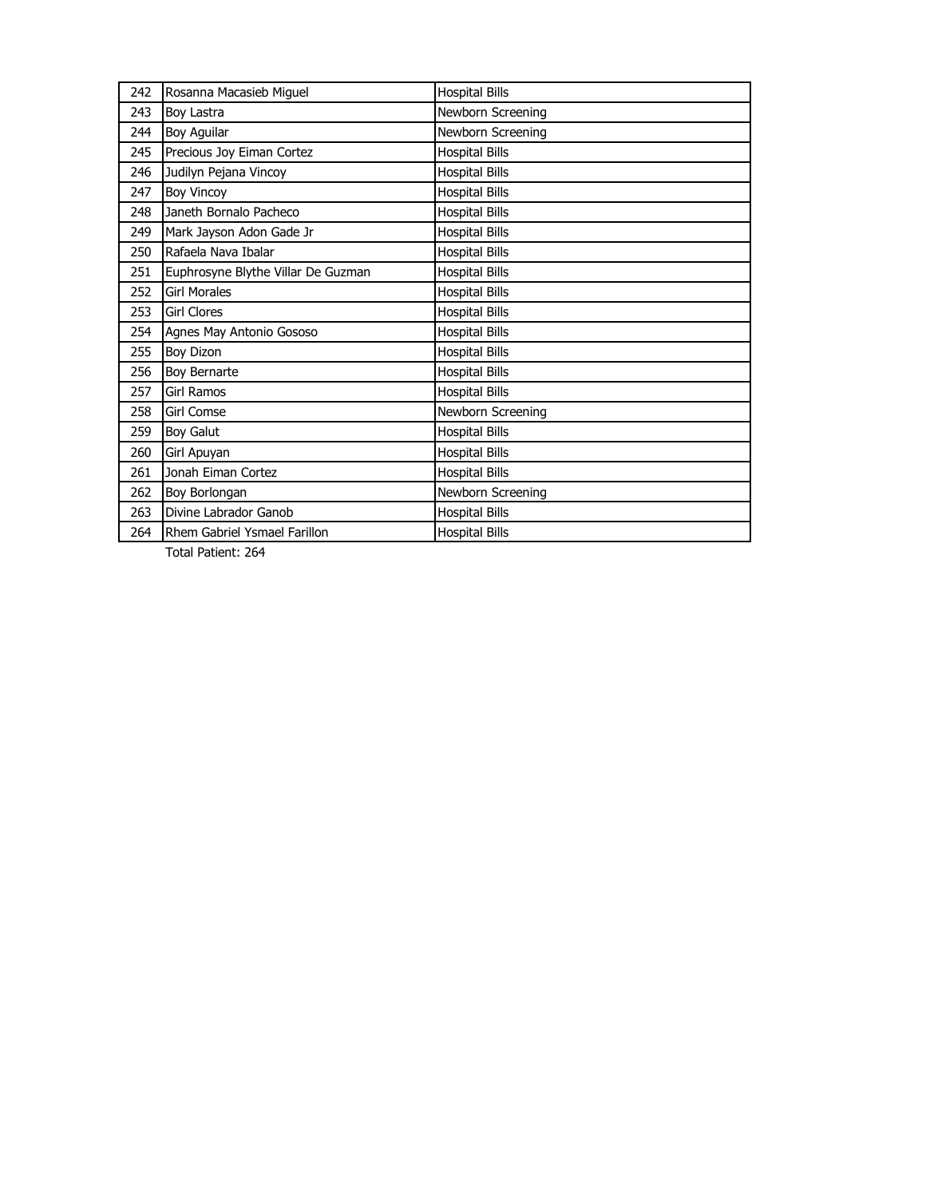| 242 | Rosanna Macasieb Miguel            | <b>Hospital Bills</b> |
|-----|------------------------------------|-----------------------|
| 243 | Boy Lastra                         | Newborn Screening     |
| 244 | Boy Aguilar                        | Newborn Screening     |
| 245 | Precious Joy Eiman Cortez          | <b>Hospital Bills</b> |
| 246 | Judilyn Pejana Vincoy              | <b>Hospital Bills</b> |
| 247 | <b>Boy Vincoy</b>                  | <b>Hospital Bills</b> |
| 248 | Janeth Bornalo Pacheco             | <b>Hospital Bills</b> |
| 249 | Mark Jayson Adon Gade Jr           | <b>Hospital Bills</b> |
| 250 | Rafaela Nava Ibalar                | <b>Hospital Bills</b> |
| 251 | Euphrosyne Blythe Villar De Guzman | <b>Hospital Bills</b> |
| 252 | <b>Girl Morales</b>                | <b>Hospital Bills</b> |
| 253 | <b>Girl Clores</b>                 | <b>Hospital Bills</b> |
| 254 | Agnes May Antonio Gososo           | <b>Hospital Bills</b> |
| 255 | Boy Dizon                          | <b>Hospital Bills</b> |
| 256 | Boy Bernarte                       | <b>Hospital Bills</b> |
| 257 | Girl Ramos                         | <b>Hospital Bills</b> |
| 258 | <b>Girl Comse</b>                  | Newborn Screening     |
| 259 | Boy Galut                          | <b>Hospital Bills</b> |
| 260 | Girl Apuyan                        | <b>Hospital Bills</b> |
| 261 | Jonah Eiman Cortez                 | <b>Hospital Bills</b> |
| 262 | Boy Borlongan                      | Newborn Screening     |
| 263 | Divine Labrador Ganob              | <b>Hospital Bills</b> |
| 264 | Rhem Gabriel Ysmael Farillon       | <b>Hospital Bills</b> |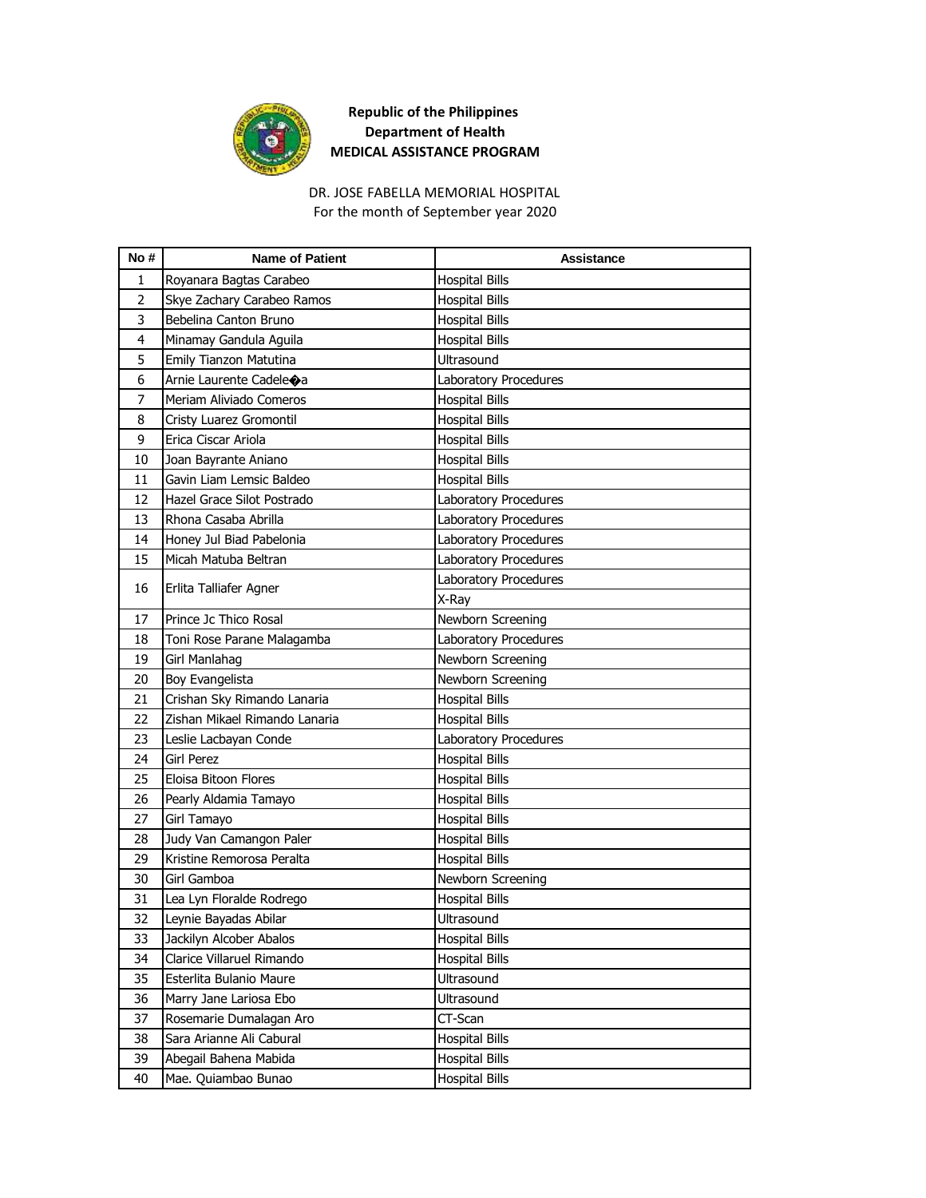

# DR. JOSE FABELLA MEMORIAL HOSPITAL

For the month of September year 2020

| No#            | <b>Name of Patient</b>             | <b>Assistance</b>     |
|----------------|------------------------------------|-----------------------|
| 1              | Royanara Bagtas Carabeo            | <b>Hospital Bills</b> |
| $\overline{2}$ | Skye Zachary Carabeo Ramos         | <b>Hospital Bills</b> |
| 3              | Bebelina Canton Bruno              | <b>Hospital Bills</b> |
| $\overline{4}$ | Minamay Gandula Aguila             | Hospital Bills        |
| 5              | Emily Tianzon Matutina             | Ultrasound            |
| 6              | Arnie Laurente Cadele $\bigcirc$ a | Laboratory Procedures |
| 7              | Meriam Aliviado Comeros            | <b>Hospital Bills</b> |
| 8              | Cristy Luarez Gromontil            | <b>Hospital Bills</b> |
| 9              | Erica Ciscar Ariola                | <b>Hospital Bills</b> |
| 10             | Joan Bayrante Aniano               | <b>Hospital Bills</b> |
| 11             | Gavin Liam Lemsic Baldeo           | <b>Hospital Bills</b> |
| 12             | Hazel Grace Silot Postrado         | Laboratory Procedures |
| 13             | Rhona Casaba Abrilla               | Laboratory Procedures |
| 14             | Honey Jul Biad Pabelonia           | Laboratory Procedures |
| 15             | Micah Matuba Beltran               | Laboratory Procedures |
| 16             | Erlita Talliafer Agner             | Laboratory Procedures |
|                |                                    | X-Ray                 |
| 17             | Prince Jc Thico Rosal              | Newborn Screening     |
| 18             | Toni Rose Parane Malagamba         | Laboratory Procedures |
| 19             | Girl Manlahag                      | Newborn Screening     |
| 20             | Boy Evangelista                    | Newborn Screening     |
| 21             | Crishan Sky Rimando Lanaria        | <b>Hospital Bills</b> |
| 22             | Zishan Mikael Rimando Lanaria      | <b>Hospital Bills</b> |
| 23             | Leslie Lacbayan Conde              | Laboratory Procedures |
| 24             | <b>Girl Perez</b>                  | <b>Hospital Bills</b> |
| 25             | Eloisa Bitoon Flores               | <b>Hospital Bills</b> |
| 26             | Pearly Aldamia Tamayo              | <b>Hospital Bills</b> |
| 27             | Girl Tamayo                        | <b>Hospital Bills</b> |
| 28             | Judy Van Camangon Paler            | <b>Hospital Bills</b> |
| 29             | Kristine Remorosa Peralta          | <b>Hospital Bills</b> |
| 30             | Girl Gamboa                        | Newborn Screening     |
| 31             | Lea Lyn Floralde Rodrego           | <b>Hospital Bills</b> |
| 32             | Leynie Bayadas Abilar              | Ultrasound            |
| 33             | Jackilyn Alcober Abalos            | <b>Hospital Bills</b> |
| 34             | Clarice Villaruel Rimando          | <b>Hospital Bills</b> |
| 35             | Esterlita Bulanio Maure            | Ultrasound            |
| 36             | Marry Jane Lariosa Ebo             | Ultrasound            |
| 37             | Rosemarie Dumalagan Aro            | CT-Scan               |
| 38             | Sara Arianne Ali Cabural           | <b>Hospital Bills</b> |
| 39             | Abegail Bahena Mabida              | <b>Hospital Bills</b> |
| 40             | Mae. Quiambao Bunao                | <b>Hospital Bills</b> |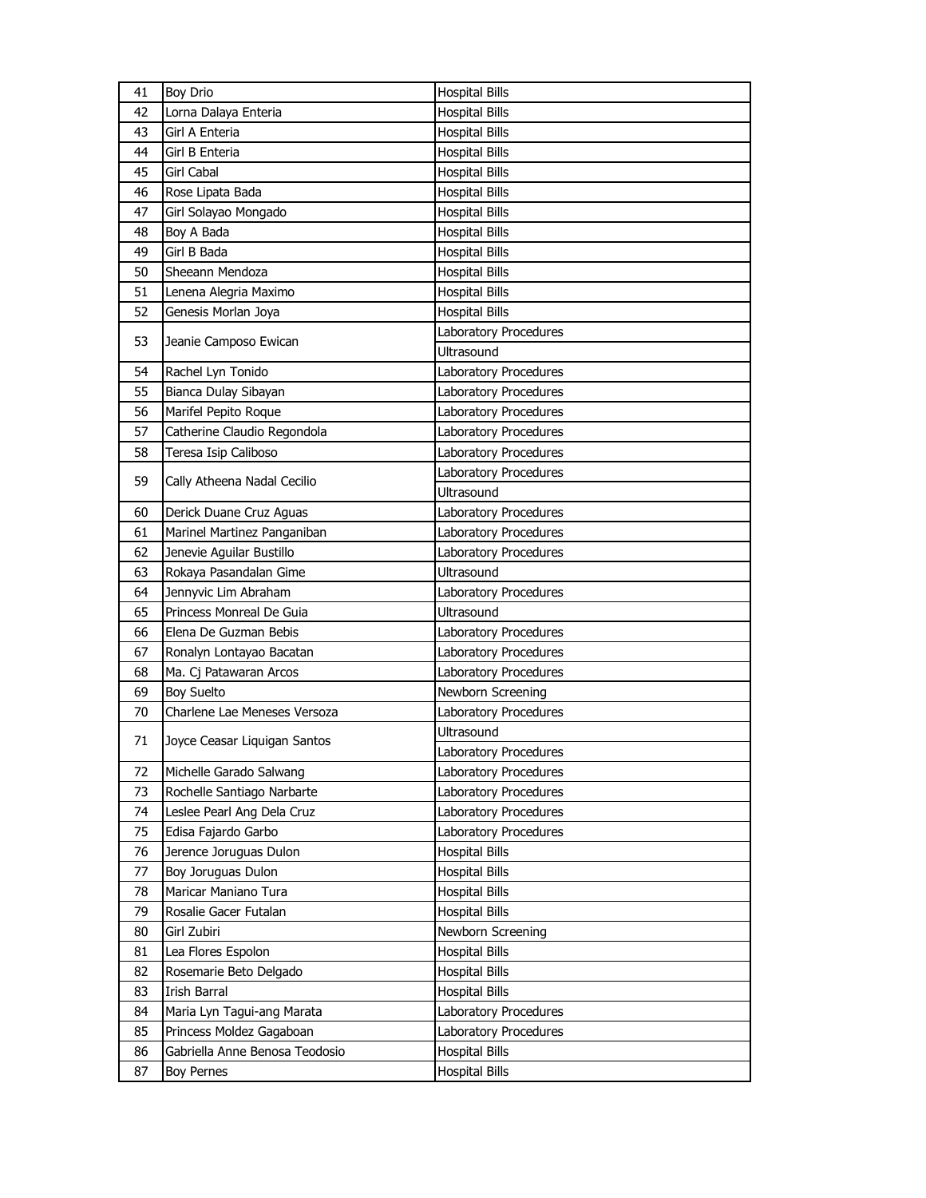| 41 | <b>Boy Drio</b>                | <b>Hospital Bills</b> |
|----|--------------------------------|-----------------------|
| 42 | Lorna Dalaya Enteria           | <b>Hospital Bills</b> |
| 43 | Girl A Enteria                 | <b>Hospital Bills</b> |
| 44 | Girl B Enteria                 | <b>Hospital Bills</b> |
| 45 | Girl Cabal                     | <b>Hospital Bills</b> |
| 46 | Rose Lipata Bada               | <b>Hospital Bills</b> |
| 47 | Girl Solayao Mongado           | <b>Hospital Bills</b> |
| 48 | Boy A Bada                     | <b>Hospital Bills</b> |
| 49 | Girl B Bada                    | <b>Hospital Bills</b> |
| 50 | Sheeann Mendoza                | <b>Hospital Bills</b> |
| 51 | Lenena Alegria Maximo          | <b>Hospital Bills</b> |
| 52 | Genesis Morlan Joya            | <b>Hospital Bills</b> |
| 53 |                                | Laboratory Procedures |
|    | Jeanie Camposo Ewican          | <b>Ultrasound</b>     |
| 54 | Rachel Lyn Tonido              | Laboratory Procedures |
| 55 | Bianca Dulay Sibayan           | Laboratory Procedures |
| 56 | Marifel Pepito Roque           | Laboratory Procedures |
| 57 | Catherine Claudio Regondola    | Laboratory Procedures |
| 58 | Teresa Isip Caliboso           | Laboratory Procedures |
| 59 | Cally Atheena Nadal Cecilio    | Laboratory Procedures |
|    |                                | <b>Ultrasound</b>     |
| 60 | Derick Duane Cruz Aguas        | Laboratory Procedures |
| 61 | Marinel Martinez Panganiban    | Laboratory Procedures |
| 62 | Jenevie Aguilar Bustillo       | Laboratory Procedures |
| 63 | Rokaya Pasandalan Gime         | Ultrasound            |
| 64 | Jennyvic Lim Abraham           | Laboratory Procedures |
| 65 | Princess Monreal De Guia       | Ultrasound            |
| 66 | Elena De Guzman Bebis          | Laboratory Procedures |
| 67 | Ronalyn Lontayao Bacatan       | Laboratory Procedures |
| 68 | Ma. Cj Patawaran Arcos         | Laboratory Procedures |
| 69 | <b>Boy Suelto</b>              | Newborn Screening     |
| 70 | Charlene Lae Meneses Versoza   | Laboratory Procedures |
| 71 | Joyce Ceasar Liquigan Santos   | <b>Ultrasound</b>     |
|    |                                | Laboratory Procedures |
| 72 | Michelle Garado Salwang        | Laboratory Procedures |
| 73 | Rochelle Santiago Narbarte     | Laboratory Procedures |
| 74 | Leslee Pearl Ang Dela Cruz     | Laboratory Procedures |
| 75 | Edisa Fajardo Garbo            | Laboratory Procedures |
| 76 | Jerence Joruguas Dulon         | <b>Hospital Bills</b> |
| 77 | Boy Joruguas Dulon             | <b>Hospital Bills</b> |
| 78 | Maricar Maniano Tura           | Hospital Bills        |
| 79 | Rosalie Gacer Futalan          | <b>Hospital Bills</b> |
| 80 | Girl Zubiri                    | Newborn Screening     |
| 81 | Lea Flores Espolon             | <b>Hospital Bills</b> |
| 82 | Rosemarie Beto Delgado         | <b>Hospital Bills</b> |
| 83 | Irish Barral                   | Hospital Bills        |
| 84 | Maria Lyn Tagui-ang Marata     | Laboratory Procedures |
| 85 | Princess Moldez Gagaboan       | Laboratory Procedures |
| 86 | Gabriella Anne Benosa Teodosio | <b>Hospital Bills</b> |
| 87 | <b>Boy Pernes</b>              | <b>Hospital Bills</b> |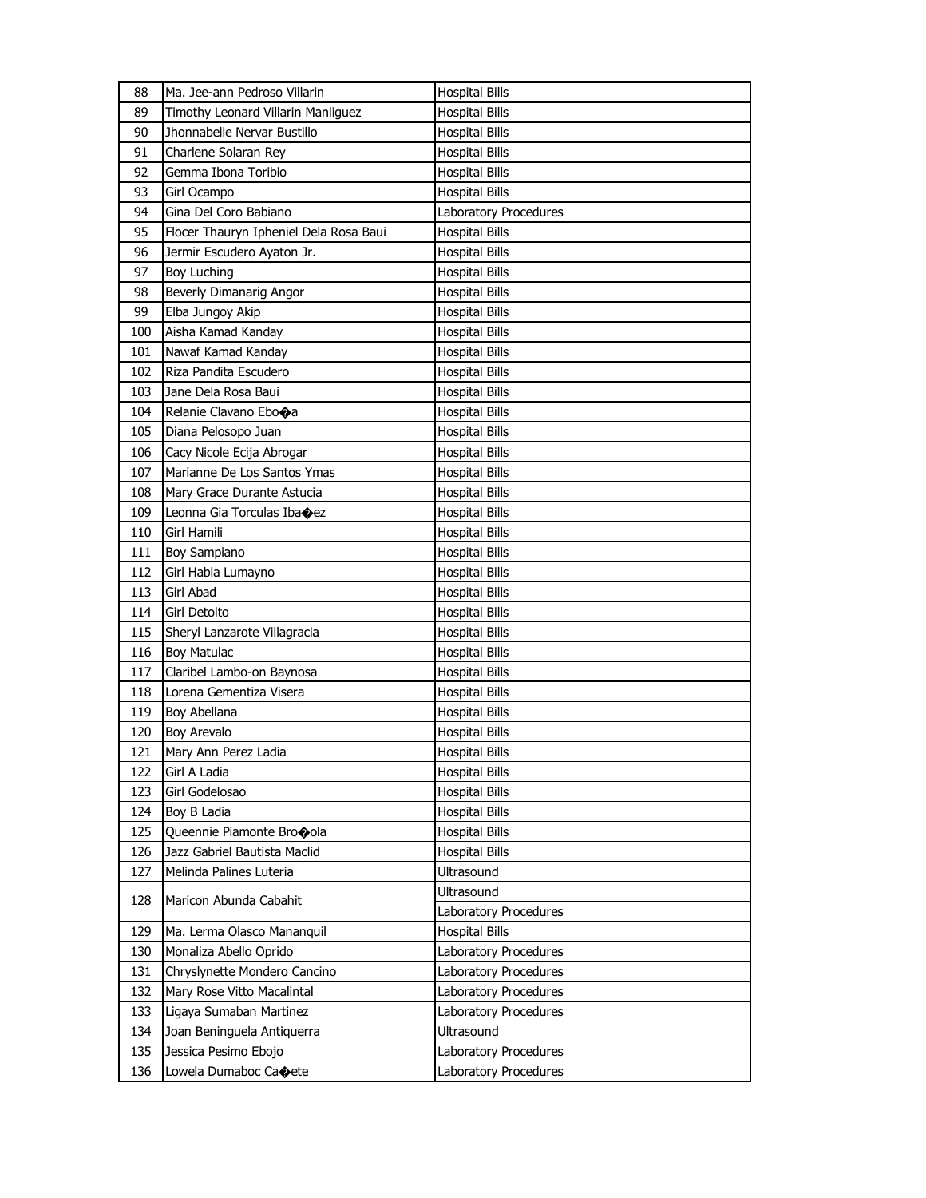| 88  | Ma. Jee-ann Pedroso Villarin           | <b>Hospital Bills</b> |
|-----|----------------------------------------|-----------------------|
| 89  | Timothy Leonard Villarin Manliguez     | <b>Hospital Bills</b> |
| 90  | Jhonnabelle Nervar Bustillo            | <b>Hospital Bills</b> |
| 91  | Charlene Solaran Rey                   | <b>Hospital Bills</b> |
| 92  | Gemma Ibona Toribio                    | <b>Hospital Bills</b> |
| 93  | Girl Ocampo                            | <b>Hospital Bills</b> |
| 94  | Gina Del Coro Babiano                  | Laboratory Procedures |
| 95  | Flocer Thauryn Ipheniel Dela Rosa Baui | <b>Hospital Bills</b> |
| 96  | Jermir Escudero Ayaton Jr.             | <b>Hospital Bills</b> |
| 97  | <b>Boy Luching</b>                     | <b>Hospital Bills</b> |
| 98  | Beverly Dimanarig Angor                | <b>Hospital Bills</b> |
| 99  | Elba Jungoy Akip                       | <b>Hospital Bills</b> |
| 100 | Aisha Kamad Kanday                     | <b>Hospital Bills</b> |
| 101 | Nawaf Kamad Kanday                     | <b>Hospital Bills</b> |
| 102 | Riza Pandita Escudero                  | <b>Hospital Bills</b> |
| 103 | Jane Dela Rosa Baui                    | <b>Hospital Bills</b> |
| 104 | Relanie Clavano Ebo $\spadesuit$ a     | Hospital Bills        |
| 105 | Diana Pelosopo Juan                    | <b>Hospital Bills</b> |
| 106 | Cacy Nicole Ecija Abrogar              | <b>Hospital Bills</b> |
| 107 | Marianne De Los Santos Ymas            | <b>Hospital Bills</b> |
| 108 | Mary Grace Durante Astucia             | <b>Hospital Bills</b> |
| 109 | Leonna Gia Torculas Ibaoez             | <b>Hospital Bills</b> |
| 110 | Girl Hamili                            | <b>Hospital Bills</b> |
| 111 | <b>Boy Sampiano</b>                    | <b>Hospital Bills</b> |
| 112 | Girl Habla Lumayno                     | <b>Hospital Bills</b> |
| 113 | Girl Abad                              | <b>Hospital Bills</b> |
| 114 | Girl Detoito                           | Hospital Bills        |
| 115 | Sheryl Lanzarote Villagracia           | <b>Hospital Bills</b> |
| 116 | <b>Boy Matulac</b>                     | <b>Hospital Bills</b> |
| 117 | Claribel Lambo-on Baynosa              | <b>Hospital Bills</b> |
| 118 | Lorena Gementiza Visera                | <b>Hospital Bills</b> |
| 119 | Boy Abellana                           | Hospital Bills        |
| 120 | Boy Arevalo                            | Hospital Bills        |
| 121 | Mary Ann Perez Ladia                   | <b>Hospital Bills</b> |
| 122 | Girl A Ladia                           | <b>Hospital Bills</b> |
| 123 | Girl Godelosao                         | <b>Hospital Bills</b> |
| 124 | Boy B Ladia                            | <b>Hospital Bills</b> |
| 125 | Queennie Piamonte Brocola              | <b>Hospital Bills</b> |
| 126 | Jazz Gabriel Bautista Maclid           | <b>Hospital Bills</b> |
| 127 | Melinda Palines Luteria                | Ultrasound            |
| 128 | Maricon Abunda Cabahit                 | Ultrasound            |
|     |                                        | Laboratory Procedures |
| 129 | Ma. Lerma Olasco Mananquil             | <b>Hospital Bills</b> |
| 130 | Monaliza Abello Oprido                 | Laboratory Procedures |
| 131 | Chryslynette Mondero Cancino           | Laboratory Procedures |
| 132 | Mary Rose Vitto Macalintal             | Laboratory Procedures |
| 133 | Ligaya Sumaban Martinez                | Laboratory Procedures |
| 134 | Joan Beninguela Antiquerra             | Ultrasound            |
| 135 | Jessica Pesimo Ebojo                   | Laboratory Procedures |
| 136 | Lowela Dumaboc Caoete                  | Laboratory Procedures |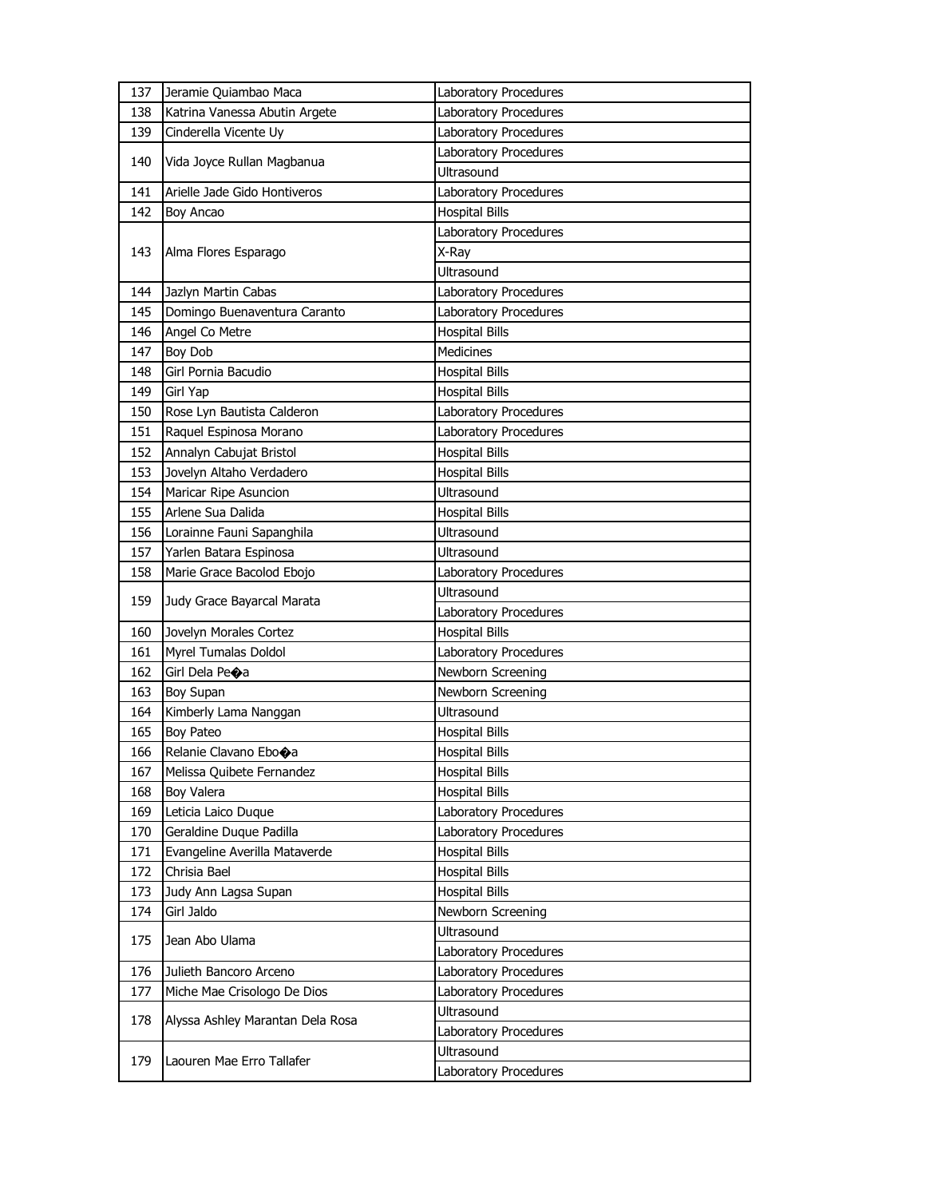| 137 | Jeramie Quiambao Maca            | Laboratory Procedures               |
|-----|----------------------------------|-------------------------------------|
| 138 | Katrina Vanessa Abutin Argete    | Laboratory Procedures               |
| 139 | Cinderella Vicente Uy            | Laboratory Procedures               |
|     |                                  | Laboratory Procedures               |
| 140 | Vida Joyce Rullan Magbanua       | <b>Ultrasound</b>                   |
| 141 | Arielle Jade Gido Hontiveros     | Laboratory Procedures               |
| 142 | Boy Ancao                        | <b>Hospital Bills</b>               |
|     |                                  | Laboratory Procedures               |
| 143 | Alma Flores Esparago             | X-Ray                               |
|     |                                  | Ultrasound                          |
| 144 | Jazlyn Martin Cabas              | Laboratory Procedures               |
| 145 | Domingo Buenaventura Caranto     | Laboratory Procedures               |
| 146 | Angel Co Metre                   | <b>Hospital Bills</b>               |
| 147 | <b>Boy Dob</b>                   | Medicines                           |
| 148 | Girl Pornia Bacudio              | <b>Hospital Bills</b>               |
| 149 | Girl Yap                         | <b>Hospital Bills</b>               |
| 150 | Rose Lyn Bautista Calderon       | Laboratory Procedures               |
| 151 | Raquel Espinosa Morano           | Laboratory Procedures               |
| 152 | Annalyn Cabujat Bristol          | <b>Hospital Bills</b>               |
| 153 | Jovelyn Altaho Verdadero         | <b>Hospital Bills</b>               |
| 154 | Maricar Ripe Asuncion            | Ultrasound                          |
| 155 | Arlene Sua Dalida                | <b>Hospital Bills</b>               |
| 156 | Lorainne Fauni Sapanghila        | Ultrasound                          |
| 157 | Yarlen Batara Espinosa           | Ultrasound                          |
| 158 | Marie Grace Bacolod Ebojo        | Laboratory Procedures               |
| 159 | Judy Grace Bayarcal Marata       | Ultrasound                          |
|     |                                  |                                     |
|     |                                  | Laboratory Procedures               |
| 160 | Jovelyn Morales Cortez           | <b>Hospital Bills</b>               |
| 161 | Myrel Tumalas Doldol             | Laboratory Procedures               |
| 162 | Girl Dela Peoa                   | Newborn Screening                   |
| 163 | Boy Supan                        | Newborn Screening                   |
| 164 | Kimberly Lama Nanggan            | Ultrasound                          |
| 165 | <b>Boy Pateo</b>                 | <b>Hospital Bills</b>               |
| 166 | Relanie Clavano Ebo $\bigcirc$ a | <b>Hospital Bills</b>               |
| 167 | Melissa Quibete Fernandez        | <b>Hospital Bills</b>               |
| 168 | Boy Valera                       | <b>Hospital Bills</b>               |
| 169 | Leticia Laico Duque              | Laboratory Procedures               |
| 170 | Geraldine Duque Padilla          | Laboratory Procedures               |
| 171 | Evangeline Averilla Mataverde    | <b>Hospital Bills</b>               |
| 172 | Chrisia Bael                     | <b>Hospital Bills</b>               |
| 173 | Judy Ann Lagsa Supan             | <b>Hospital Bills</b>               |
| 174 | Girl Jaldo                       | Newborn Screening                   |
|     |                                  | <b>Ultrasound</b>                   |
| 175 | Jean Abo Ulama                   | Laboratory Procedures               |
| 176 | Julieth Bancoro Arceno           | Laboratory Procedures               |
| 177 | Miche Mae Crisologo De Dios      | Laboratory Procedures               |
|     |                                  | Ultrasound                          |
| 178 | Alyssa Ashley Marantan Dela Rosa | Laboratory Procedures               |
| 179 | Laouren Mae Erro Tallafer        | Ultrasound<br>Laboratory Procedures |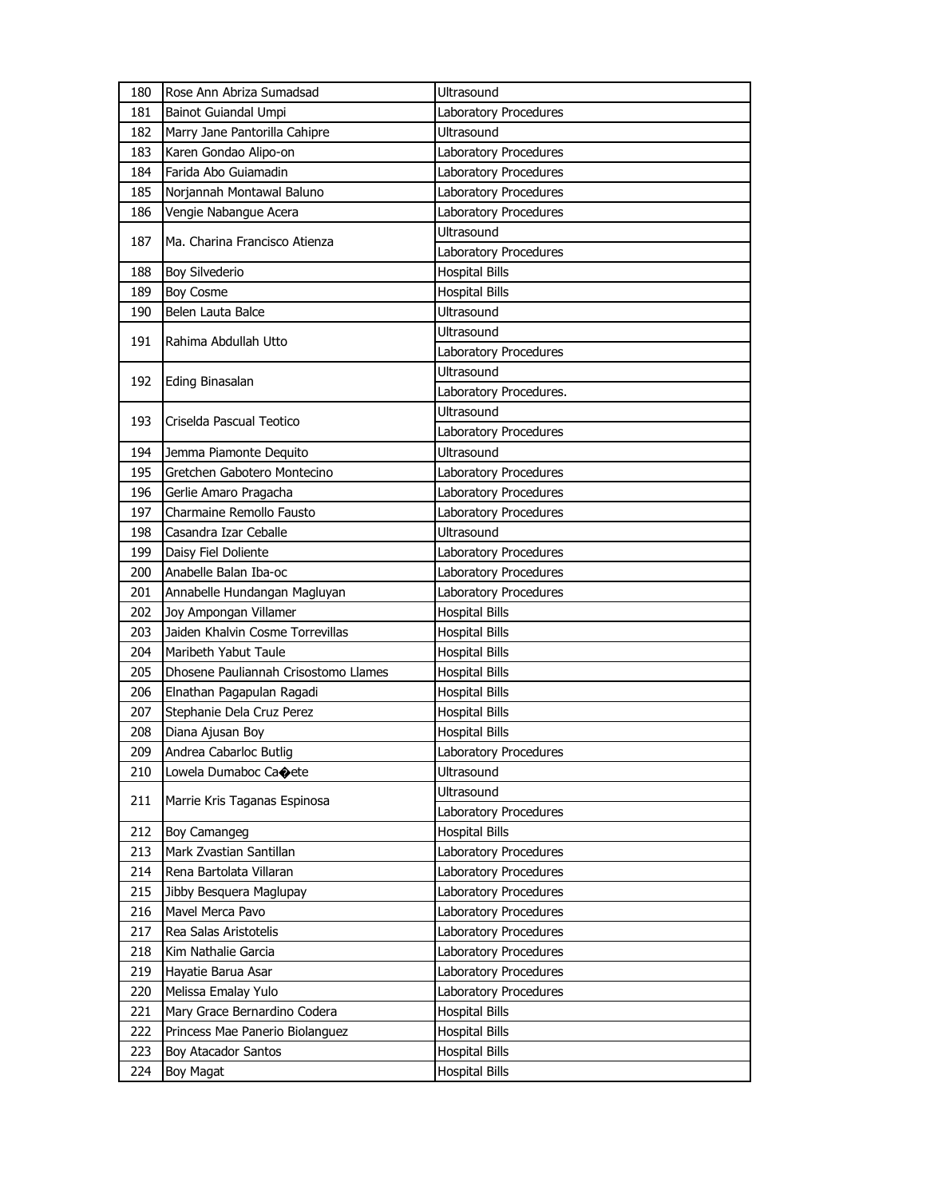| 180 | Rose Ann Abriza Sumadsad             | Ultrasound             |
|-----|--------------------------------------|------------------------|
| 181 | Bainot Guiandal Umpi                 | Laboratory Procedures  |
| 182 | Marry Jane Pantorilla Cahipre        | Ultrasound             |
| 183 | Karen Gondao Alipo-on                | Laboratory Procedures  |
| 184 | Farida Abo Guiamadin                 | Laboratory Procedures  |
| 185 | Norjannah Montawal Baluno            | Laboratory Procedures  |
| 186 | Vengie Nabangue Acera                | Laboratory Procedures  |
|     |                                      | <b>Ultrasound</b>      |
| 187 | Ma. Charina Francisco Atienza        | Laboratory Procedures  |
| 188 | <b>Boy Silvederio</b>                | <b>Hospital Bills</b>  |
| 189 | Boy Cosme                            | <b>Hospital Bills</b>  |
| 190 | Belen Lauta Balce                    | <b>Ultrasound</b>      |
|     |                                      | <b>Ultrasound</b>      |
| 191 | Rahima Abdullah Utto                 | Laboratory Procedures  |
|     |                                      | Ultrasound             |
| 192 | <b>Eding Binasalan</b>               | Laboratory Procedures. |
|     |                                      | <b>Ultrasound</b>      |
| 193 | Criselda Pascual Teotico             | Laboratory Procedures  |
| 194 | Jemma Piamonte Dequito               | Ultrasound             |
| 195 | Gretchen Gabotero Montecino          | Laboratory Procedures  |
| 196 | Gerlie Amaro Pragacha                | Laboratory Procedures  |
| 197 | Charmaine Remollo Fausto             | Laboratory Procedures  |
| 198 | Casandra Izar Ceballe                | <b>Ultrasound</b>      |
| 199 | Daisy Fiel Doliente                  | Laboratory Procedures  |
| 200 | Anabelle Balan Iba-oc                | Laboratory Procedures  |
|     |                                      |                        |
| 201 | Annabelle Hundangan Magluyan         | Laboratory Procedures  |
| 202 | Joy Ampongan Villamer                | <b>Hospital Bills</b>  |
| 203 | Jaiden Khalvin Cosme Torrevillas     | <b>Hospital Bills</b>  |
| 204 | Maribeth Yabut Taule                 | <b>Hospital Bills</b>  |
| 205 | Dhosene Pauliannah Crisostomo Llames | <b>Hospital Bills</b>  |
| 206 | Elnathan Pagapulan Ragadi            | <b>Hospital Bills</b>  |
| 207 | Stephanie Dela Cruz Perez            | <b>Hospital Bills</b>  |
| 208 | Diana Ajusan Boy                     | <b>Hospital Bills</b>  |
| 209 | Andrea Cabarloc Butlig               | Laboratory Procedures  |
| 210 | Lowela Dumaboc Caoete                | Ultrasound             |
|     |                                      | Ultrasound             |
| 211 | Marrie Kris Taganas Espinosa         | Laboratory Procedures  |
| 212 | Boy Camangeg                         | <b>Hospital Bills</b>  |
| 213 | Mark Zvastian Santillan              | Laboratory Procedures  |
| 214 | Rena Bartolata Villaran              | Laboratory Procedures  |
| 215 | Jibby Besquera Maglupay              | Laboratory Procedures  |
| 216 | Mavel Merca Pavo                     | Laboratory Procedures  |
| 217 | Rea Salas Aristotelis                | Laboratory Procedures  |
| 218 | Kim Nathalie Garcia                  | Laboratory Procedures  |
| 219 | Hayatie Barua Asar                   | Laboratory Procedures  |
| 220 | Melissa Emalay Yulo                  | Laboratory Procedures  |
| 221 | Mary Grace Bernardino Codera         | <b>Hospital Bills</b>  |
| 222 | Princess Mae Panerio Biolanguez      | <b>Hospital Bills</b>  |
| 223 | Boy Atacador Santos                  | <b>Hospital Bills</b>  |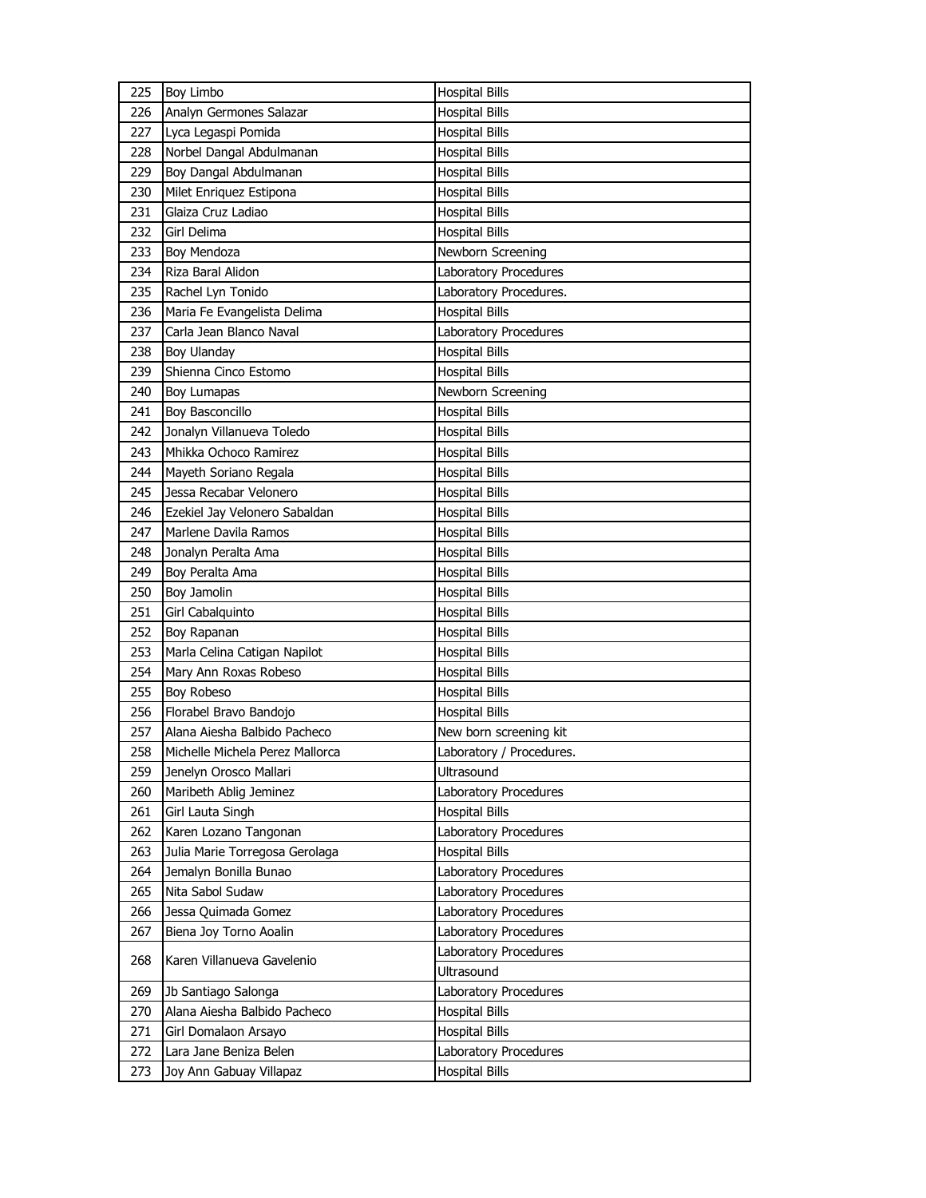| 225 | <b>Boy Limbo</b>                | <b>Hospital Bills</b>    |
|-----|---------------------------------|--------------------------|
| 226 | Analyn Germones Salazar         | <b>Hospital Bills</b>    |
| 227 | Lyca Legaspi Pomida             | <b>Hospital Bills</b>    |
| 228 | Norbel Dangal Abdulmanan        | <b>Hospital Bills</b>    |
| 229 | Boy Dangal Abdulmanan           | <b>Hospital Bills</b>    |
| 230 | Milet Enriquez Estipona         | <b>Hospital Bills</b>    |
| 231 | Glaiza Cruz Ladiao              | <b>Hospital Bills</b>    |
| 232 | Girl Delima                     | <b>Hospital Bills</b>    |
| 233 | Boy Mendoza                     | Newborn Screening        |
| 234 | Riza Baral Alidon               | Laboratory Procedures    |
| 235 | Rachel Lyn Tonido               | Laboratory Procedures.   |
| 236 | Maria Fe Evangelista Delima     | <b>Hospital Bills</b>    |
| 237 | Carla Jean Blanco Naval         | Laboratory Procedures    |
| 238 | <b>Boy Ulanday</b>              | <b>Hospital Bills</b>    |
| 239 | Shienna Cinco Estomo            | <b>Hospital Bills</b>    |
| 240 | Boy Lumapas                     | Newborn Screening        |
| 241 | Boy Basconcillo                 | <b>Hospital Bills</b>    |
| 242 | Jonalyn Villanueva Toledo       | <b>Hospital Bills</b>    |
| 243 | Mhikka Ochoco Ramirez           | <b>Hospital Bills</b>    |
| 244 | Mayeth Soriano Regala           | <b>Hospital Bills</b>    |
| 245 | Jessa Recabar Velonero          | <b>Hospital Bills</b>    |
| 246 | Ezekiel Jay Velonero Sabaldan   | <b>Hospital Bills</b>    |
| 247 | Marlene Davila Ramos            | <b>Hospital Bills</b>    |
| 248 | Jonalyn Peralta Ama             | <b>Hospital Bills</b>    |
| 249 | Boy Peralta Ama                 | <b>Hospital Bills</b>    |
|     |                                 |                          |
| 250 | Boy Jamolin                     | <b>Hospital Bills</b>    |
| 251 | Girl Cabalquinto                | <b>Hospital Bills</b>    |
| 252 | Boy Rapanan                     | <b>Hospital Bills</b>    |
| 253 | Marla Celina Catigan Napilot    | <b>Hospital Bills</b>    |
| 254 | Mary Ann Roxas Robeso           | <b>Hospital Bills</b>    |
| 255 | <b>Boy Robeso</b>               | Hospital Bills           |
| 256 | Florabel Bravo Bandojo          | <b>Hospital Bills</b>    |
| 257 | Alana Aiesha Balbido Pacheco    | New born screening kit   |
| 258 | Michelle Michela Perez Mallorca | Laboratory / Procedures. |
| 259 | Jenelyn Orosco Mallari          | Ultrasound               |
| 260 | Maribeth Ablig Jeminez          | Laboratory Procedures    |
| 261 | Girl Lauta Singh                | <b>Hospital Bills</b>    |
| 262 | Karen Lozano Tangonan           | Laboratory Procedures    |
| 263 | Julia Marie Torregosa Gerolaga  | <b>Hospital Bills</b>    |
| 264 | Jemalyn Bonilla Bunao           | Laboratory Procedures    |
| 265 | Nita Sabol Sudaw                | Laboratory Procedures    |
| 266 | Jessa Quimada Gomez             | Laboratory Procedures    |
| 267 | Biena Joy Torno Aoalin          | Laboratory Procedures    |
|     |                                 | Laboratory Procedures    |
| 268 | Karen Villanueva Gavelenio      | Ultrasound               |
| 269 | Jb Santiago Salonga             | Laboratory Procedures    |
| 270 | Alana Aiesha Balbido Pacheco    | <b>Hospital Bills</b>    |
| 271 | Girl Domalaon Arsayo            | <b>Hospital Bills</b>    |
| 272 | Lara Jane Beniza Belen          | Laboratory Procedures    |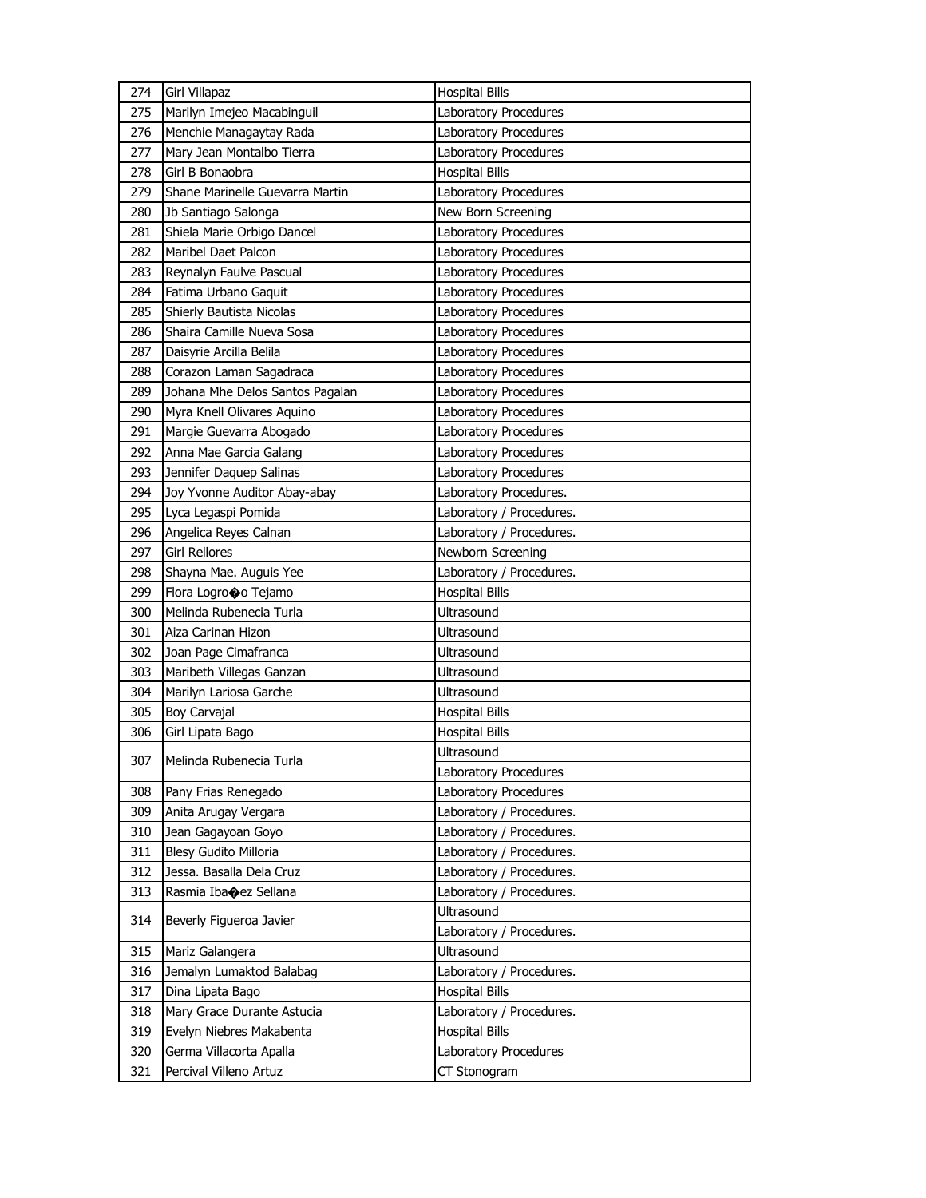| 274        | Girl Villapaz                                     | <b>Hospital Bills</b>                 |
|------------|---------------------------------------------------|---------------------------------------|
| 275        | Marilyn Imejeo Macabinguil                        | Laboratory Procedures                 |
| 276        | Menchie Managaytay Rada                           | Laboratory Procedures                 |
| 277        | Mary Jean Montalbo Tierra                         | Laboratory Procedures                 |
| 278        | Girl B Bonaobra                                   | <b>Hospital Bills</b>                 |
| 279        | Shane Marinelle Guevarra Martin                   | Laboratory Procedures                 |
| 280        | Jb Santiago Salonga                               | New Born Screening                    |
| 281        | Shiela Marie Orbigo Dancel                        | Laboratory Procedures                 |
| 282        | Maribel Daet Palcon                               | Laboratory Procedures                 |
| 283        | Reynalyn Faulve Pascual                           | Laboratory Procedures                 |
| 284        | Fatima Urbano Gaguit                              | <b>Laboratory Procedures</b>          |
| 285        | Shierly Bautista Nicolas                          | Laboratory Procedures                 |
| 286        | Shaira Camille Nueva Sosa                         | Laboratory Procedures                 |
| 287        | Daisyrie Arcilla Belila                           | Laboratory Procedures                 |
| 288        | Corazon Laman Sagadraca                           | Laboratory Procedures                 |
| 289        | Johana Mhe Delos Santos Pagalan                   | Laboratory Procedures                 |
| 290        | Myra Knell Olivares Aquino                        | Laboratory Procedures                 |
| 291        | Margie Guevarra Abogado                           | Laboratory Procedures                 |
| 292        | Anna Mae Garcia Galang                            | Laboratory Procedures                 |
| 293        | Jennifer Daquep Salinas                           | Laboratory Procedures                 |
| 294        | Joy Yvonne Auditor Abay-abay                      | Laboratory Procedures.                |
| 295        | Lyca Legaspi Pomida                               | Laboratory / Procedures.              |
| 296        | Angelica Reyes Calnan                             | Laboratory / Procedures.              |
| 297        | <b>Girl Rellores</b>                              | Newborn Screening                     |
| 298        | Shayna Mae. Auguis Yee                            | Laboratory / Procedures.              |
|            |                                                   |                                       |
| 299        | Flora Logrooo Tejamo                              | <b>Hospital Bills</b>                 |
| 300        | Melinda Rubenecia Turla                           | Ultrasound                            |
| 301        | Aiza Carinan Hizon                                | Ultrasound                            |
| 302        | Joan Page Cimafranca                              | <b>Ultrasound</b>                     |
| 303        | Maribeth Villegas Ganzan                          | Ultrasound                            |
| 304        | Marilyn Lariosa Garche                            | Ultrasound                            |
| 305        | Boy Carvajal                                      | <b>Hospital Bills</b>                 |
| 306        | Girl Lipata Bago                                  | <b>Hospital Bills</b>                 |
|            |                                                   | Ultrasound                            |
| 307        | Melinda Rubenecia Turla                           | Laboratory Procedures                 |
| 308        | Pany Frias Renegado                               | Laboratory Procedures                 |
| 309        | Anita Arugay Vergara                              | Laboratory / Procedures.              |
| 310        | Jean Gagayoan Goyo                                | Laboratory / Procedures.              |
| 311        | Blesy Gudito Milloria                             | Laboratory / Procedures.              |
| 312        | Jessa. Basalla Dela Cruz                          | Laboratory / Procedures.              |
| 313        | Rasmia Ibaoez Sellana                             | Laboratory / Procedures.              |
|            |                                                   | Ultrasound                            |
| 314        | Beverly Figueroa Javier                           | Laboratory / Procedures.              |
| 315        | Mariz Galangera                                   | Ultrasound                            |
| 316        | Jemalyn Lumaktod Balabag                          | Laboratory / Procedures.              |
| 317        | Dina Lipata Bago                                  | <b>Hospital Bills</b>                 |
| 318        | Mary Grace Durante Astucia                        | Laboratory / Procedures.              |
| 319        | Evelyn Niebres Makabenta                          | <b>Hospital Bills</b>                 |
| 320<br>321 | Germa Villacorta Apalla<br>Percival Villeno Artuz | Laboratory Procedures<br>CT Stonogram |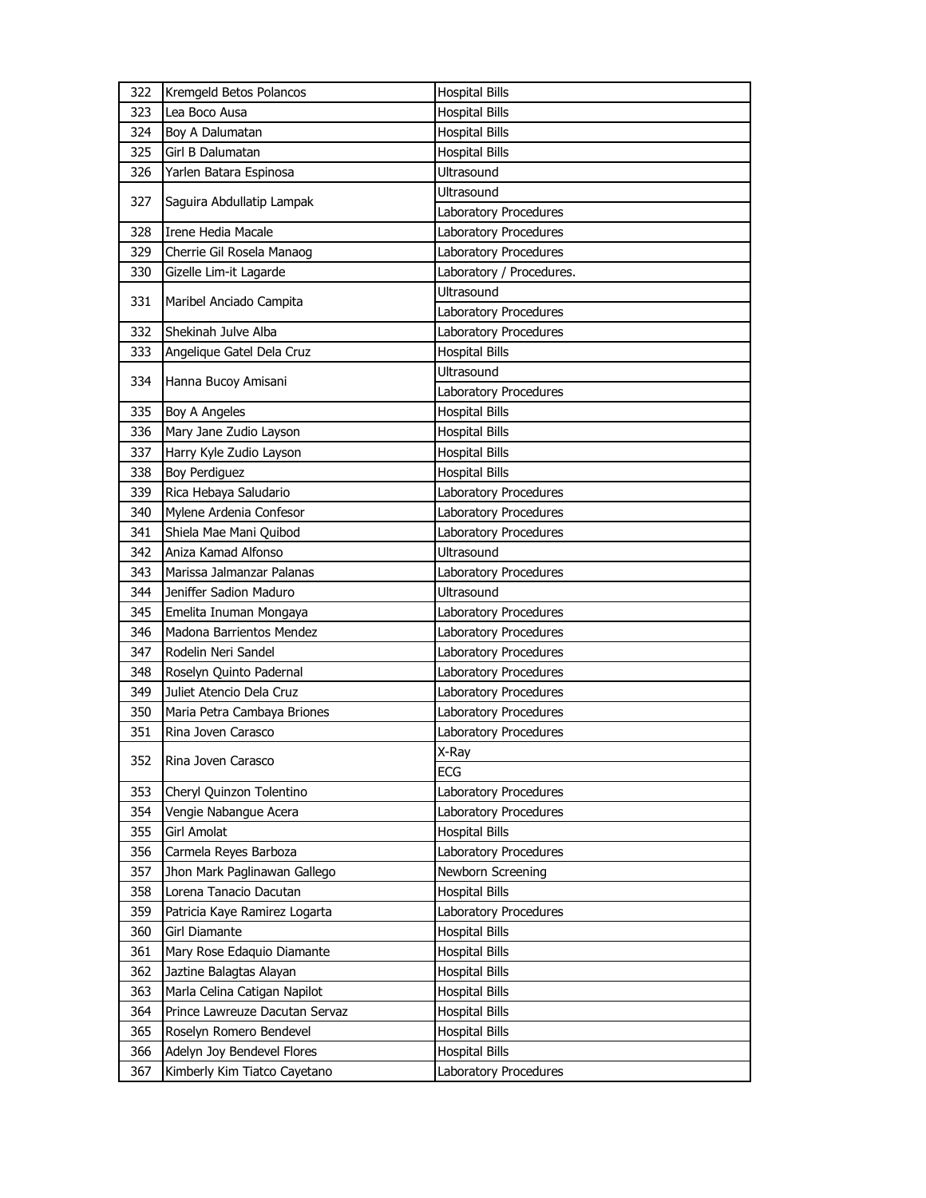| 322 | Kremgeld Betos Polancos        | <b>Hospital Bills</b>    |
|-----|--------------------------------|--------------------------|
| 323 | Lea Boco Ausa                  | <b>Hospital Bills</b>    |
| 324 | Boy A Dalumatan                | <b>Hospital Bills</b>    |
| 325 | Girl B Dalumatan               | <b>Hospital Bills</b>    |
| 326 | Yarlen Batara Espinosa         | Ultrasound               |
|     |                                | Ultrasound               |
| 327 | Saguira Abdullatip Lampak      | Laboratory Procedures    |
| 328 | Irene Hedia Macale             | Laboratory Procedures    |
| 329 | Cherrie Gil Rosela Manaog      | Laboratory Procedures    |
| 330 | Gizelle Lim-it Lagarde         | Laboratory / Procedures. |
| 331 | Maribel Anciado Campita        | Ultrasound               |
|     |                                | Laboratory Procedures    |
| 332 | Shekinah Julve Alba            | Laboratory Procedures    |
| 333 | Angelique Gatel Dela Cruz      | <b>Hospital Bills</b>    |
| 334 | Hanna Bucoy Amisani            | <b>Ultrasound</b>        |
|     |                                | Laboratory Procedures    |
| 335 | Boy A Angeles                  | <b>Hospital Bills</b>    |
| 336 | Mary Jane Zudio Layson         | <b>Hospital Bills</b>    |
| 337 | Harry Kyle Zudio Layson        | <b>Hospital Bills</b>    |
| 338 | Boy Perdiguez                  | <b>Hospital Bills</b>    |
| 339 | Rica Hebaya Saludario          | Laboratory Procedures    |
| 340 | Mylene Ardenia Confesor        | Laboratory Procedures    |
| 341 | Shiela Mae Mani Quibod         | Laboratory Procedures    |
| 342 | Aniza Kamad Alfonso            | <b>Ultrasound</b>        |
| 343 | Marissa Jalmanzar Palanas      | Laboratory Procedures    |
| 344 | Jeniffer Sadion Maduro         | Ultrasound               |
| 345 | Emelita Inuman Mongaya         | Laboratory Procedures    |
| 346 | Madona Barrientos Mendez       | Laboratory Procedures    |
| 347 | Rodelin Neri Sandel            | Laboratory Procedures    |
| 348 | Roselyn Quinto Padernal        | Laboratory Procedures    |
| 349 | Juliet Atencio Dela Cruz       | Laboratory Procedures    |
| 350 | Maria Petra Cambaya Briones    | Laboratory Procedures    |
| 351 | Rina Joven Carasco             | Laboratory Procedures    |
| 352 | Rina Joven Carasco             | X-Ray                    |
|     |                                | ECG                      |
| 353 | Cheryl Quinzon Tolentino       | Laboratory Procedures    |
| 354 | Vengie Nabangue Acera          | Laboratory Procedures    |
| 355 | Girl Amolat                    | <b>Hospital Bills</b>    |
| 356 | Carmela Reyes Barboza          | Laboratory Procedures    |
| 357 | Jhon Mark Paglinawan Gallego   | Newborn Screening        |
| 358 | Lorena Tanacio Dacutan         | <b>Hospital Bills</b>    |
| 359 | Patricia Kaye Ramirez Logarta  | Laboratory Procedures    |
| 360 | Girl Diamante                  | <b>Hospital Bills</b>    |
| 361 | Mary Rose Edaquio Diamante     | <b>Hospital Bills</b>    |
| 362 | Jaztine Balagtas Alayan        | Hospital Bills           |
| 363 | Marla Celina Catigan Napilot   | Hospital Bills           |
| 364 | Prince Lawreuze Dacutan Servaz | <b>Hospital Bills</b>    |
| 365 | Roselyn Romero Bendevel        | <b>Hospital Bills</b>    |
| 366 | Adelyn Joy Bendevel Flores     | <b>Hospital Bills</b>    |
| 367 | Kimberly Kim Tiatco Cayetano   | Laboratory Procedures    |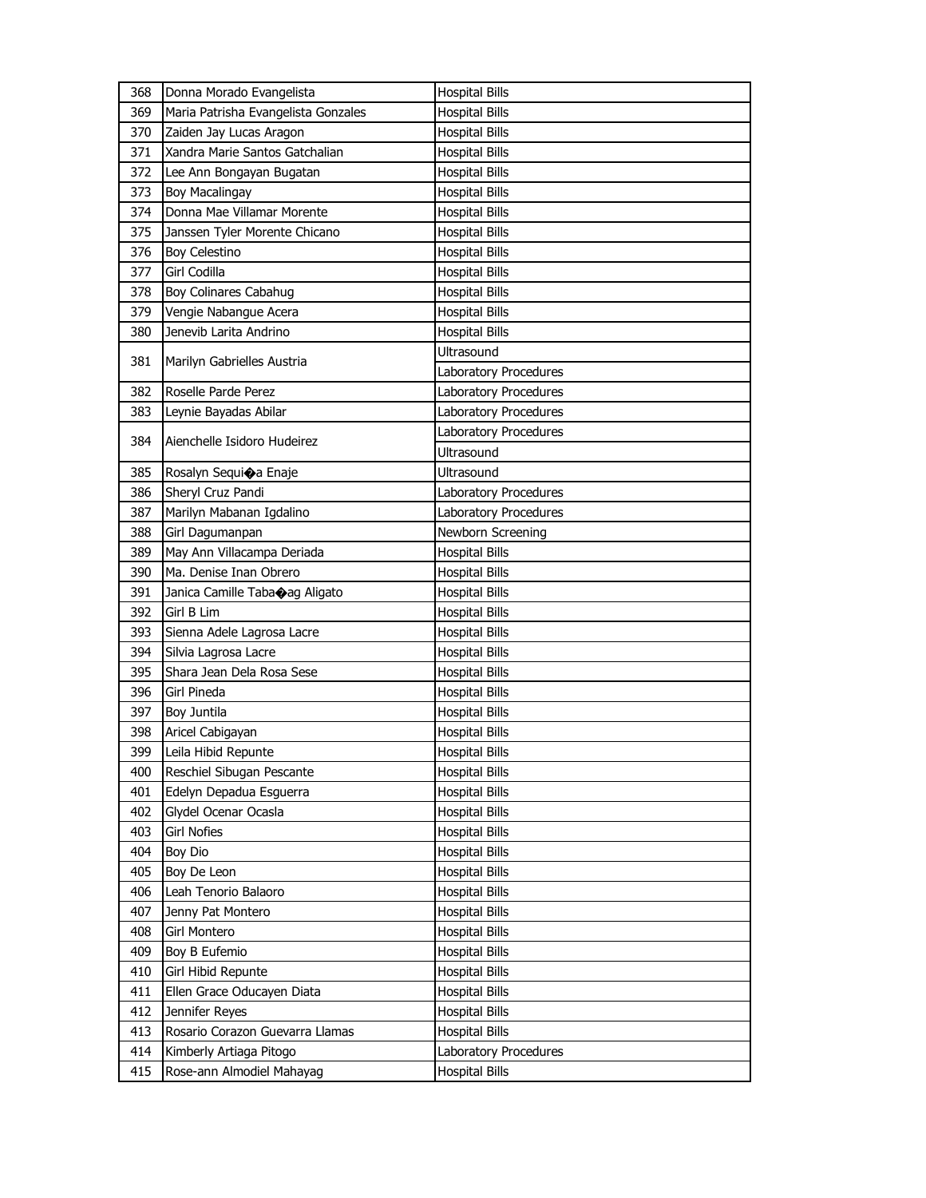| 368 | Donna Morado Evangelista            | <b>Hospital Bills</b> |
|-----|-------------------------------------|-----------------------|
| 369 | Maria Patrisha Evangelista Gonzales | <b>Hospital Bills</b> |
| 370 | Zaiden Jay Lucas Aragon             | <b>Hospital Bills</b> |
| 371 | Xandra Marie Santos Gatchalian      | <b>Hospital Bills</b> |
| 372 | Lee Ann Bongayan Bugatan            | <b>Hospital Bills</b> |
| 373 | Boy Macalingay                      | <b>Hospital Bills</b> |
| 374 | Donna Mae Villamar Morente          | <b>Hospital Bills</b> |
| 375 | Janssen Tyler Morente Chicano       | <b>Hospital Bills</b> |
| 376 | Boy Celestino                       | <b>Hospital Bills</b> |
| 377 | Girl Codilla                        | <b>Hospital Bills</b> |
| 378 | Boy Colinares Cabahug               | <b>Hospital Bills</b> |
| 379 | Vengie Nabangue Acera               | <b>Hospital Bills</b> |
| 380 | Jenevib Larita Andrino              | <b>Hospital Bills</b> |
|     |                                     | Ultrasound            |
| 381 | Marilyn Gabrielles Austria          | Laboratory Procedures |
| 382 | Roselle Parde Perez                 | Laboratory Procedures |
| 383 | Leynie Bayadas Abilar               | Laboratory Procedures |
|     |                                     | Laboratory Procedures |
| 384 | Aienchelle Isidoro Hudeirez         | <b>Ultrasound</b>     |
| 385 | Rosalyn Sequica Enaje               | Ultrasound            |
| 386 | Sheryl Cruz Pandi                   | Laboratory Procedures |
| 387 | Marilyn Mabanan Igdalino            | Laboratory Procedures |
| 388 | Girl Dagumanpan                     | Newborn Screening     |
| 389 | May Ann Villacampa Deriada          | <b>Hospital Bills</b> |
| 390 | Ma. Denise Inan Obrero              | <b>Hospital Bills</b> |
| 391 | Janica Camille Taba@ag Aligato      | <b>Hospital Bills</b> |
| 392 | Girl B Lim                          | <b>Hospital Bills</b> |
| 393 | Sienna Adele Lagrosa Lacre          | <b>Hospital Bills</b> |
| 394 | Silvia Lagrosa Lacre                | <b>Hospital Bills</b> |
| 395 | Shara Jean Dela Rosa Sese           | <b>Hospital Bills</b> |
| 396 | <b>Girl Pineda</b>                  | <b>Hospital Bills</b> |
| 397 | Boy Juntila                         | <b>Hospital Bills</b> |
| 398 | Aricel Cabigayan                    | <b>Hospital Bills</b> |
| 399 | Leila Hibid Repunte                 | <b>Hospital Bills</b> |
| 400 | Reschiel Sibugan Pescante           | <b>Hospital Bills</b> |
| 401 | Edelyn Depadua Esguerra             | <b>Hospital Bills</b> |
| 402 | Glydel Ocenar Ocasla                | <b>Hospital Bills</b> |
| 403 | <b>Girl Nofies</b>                  | <b>Hospital Bills</b> |
| 404 | Boy Dio                             | <b>Hospital Bills</b> |
| 405 | Boy De Leon                         | <b>Hospital Bills</b> |
| 406 | Leah Tenorio Balaoro                | <b>Hospital Bills</b> |
| 407 | Jenny Pat Montero                   | <b>Hospital Bills</b> |
| 408 | Girl Montero                        | <b>Hospital Bills</b> |
| 409 | Boy B Eufemio                       | <b>Hospital Bills</b> |
| 410 | Girl Hibid Repunte                  | <b>Hospital Bills</b> |
| 411 | Ellen Grace Oducayen Diata          | <b>Hospital Bills</b> |
| 412 | Jennifer Reyes                      | <b>Hospital Bills</b> |
| 413 | Rosario Corazon Guevarra Llamas     | <b>Hospital Bills</b> |
| 414 | Kimberly Artiaga Pitogo             | Laboratory Procedures |
| 415 | Rose-ann Almodiel Mahayag           | <b>Hospital Bills</b> |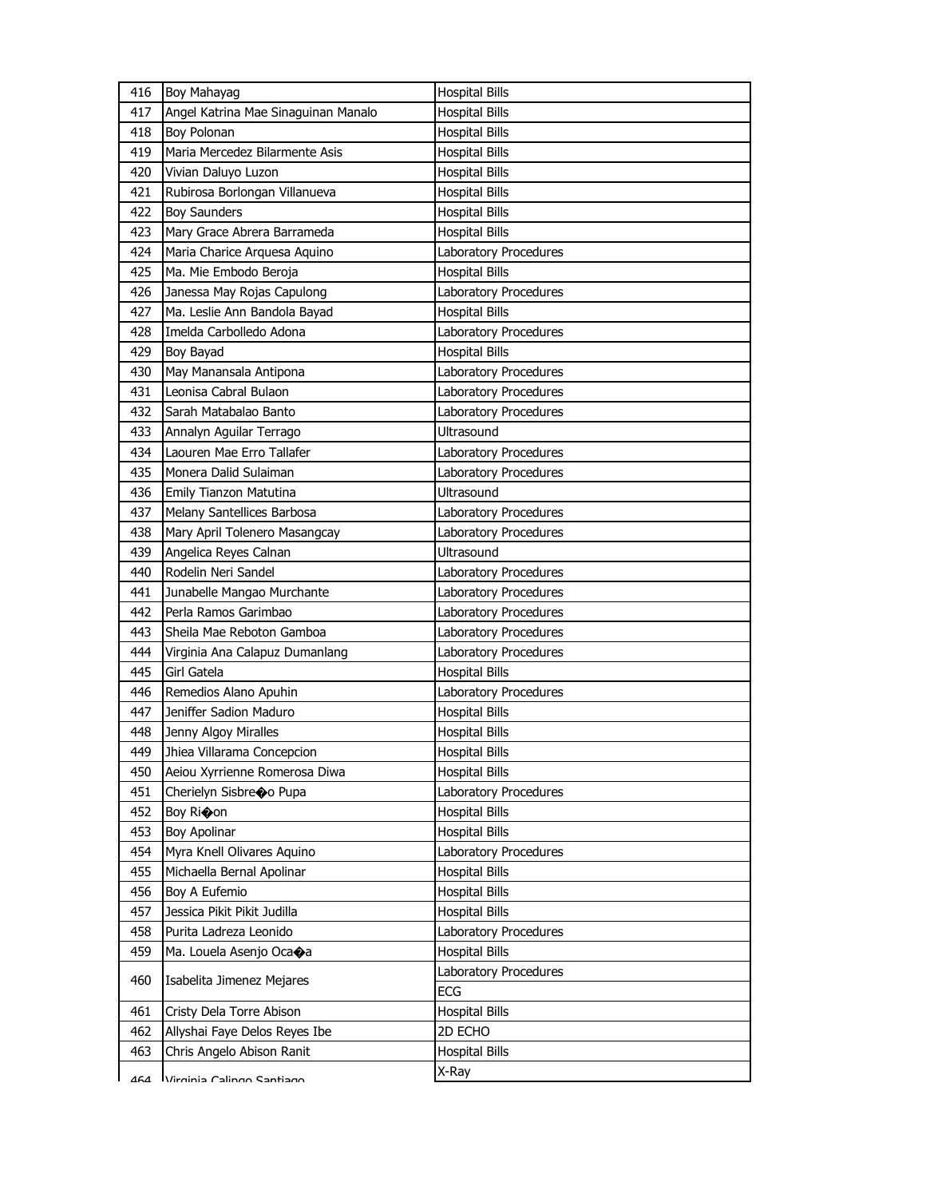| 416 | <b>Boy Mahayag</b>                  | <b>Hospital Bills</b> |
|-----|-------------------------------------|-----------------------|
| 417 | Angel Katrina Mae Sinaguinan Manalo | <b>Hospital Bills</b> |
| 418 | <b>Boy Polonan</b>                  | <b>Hospital Bills</b> |
| 419 | Maria Mercedez Bilarmente Asis      | <b>Hospital Bills</b> |
| 420 | Vivian Daluyo Luzon                 | <b>Hospital Bills</b> |
| 421 | Rubirosa Borlongan Villanueva       | <b>Hospital Bills</b> |
| 422 | <b>Boy Saunders</b>                 | <b>Hospital Bills</b> |
| 423 | Mary Grace Abrera Barrameda         | <b>Hospital Bills</b> |
| 424 | Maria Charice Arquesa Aquino        | Laboratory Procedures |
| 425 | Ma. Mie Embodo Beroja               | <b>Hospital Bills</b> |
| 426 | Janessa May Rojas Capulong          | Laboratory Procedures |
| 427 | Ma. Leslie Ann Bandola Bayad        | <b>Hospital Bills</b> |
| 428 | Imelda Carbolledo Adona             | Laboratory Procedures |
| 429 | Boy Bayad                           | <b>Hospital Bills</b> |
| 430 | May Manansala Antipona              | Laboratory Procedures |
| 431 | Leonisa Cabral Bulaon               | Laboratory Procedures |
| 432 | Sarah Matabalao Banto               | Laboratory Procedures |
| 433 | Annalyn Aguilar Terrago             | Ultrasound            |
| 434 | Laouren Mae Erro Tallafer           | Laboratory Procedures |
| 435 | Monera Dalid Sulaiman               | Laboratory Procedures |
| 436 | Emily Tianzon Matutina              | Ultrasound            |
| 437 | Melany Santellices Barbosa          | Laboratory Procedures |
| 438 | Mary April Tolenero Masangcay       | Laboratory Procedures |
| 439 | Angelica Reyes Calnan               | Ultrasound            |
| 440 | Rodelin Neri Sandel                 | Laboratory Procedures |
| 441 | Junabelle Mangao Murchante          | Laboratory Procedures |
| 442 | Perla Ramos Garimbao                | Laboratory Procedures |
| 443 | Sheila Mae Reboton Gamboa           | Laboratory Procedures |
| 444 | Virginia Ana Calapuz Dumanlang      | Laboratory Procedures |
| 445 | Girl Gatela                         | <b>Hospital Bills</b> |
| 446 | Remedios Alano Apuhin               | Laboratory Procedures |
| 447 | Jeniffer Sadion Maduro              | <b>Hospital Bills</b> |
| 448 | Jenny Algoy Miralles                | <b>Hospital Bills</b> |
| 449 | Jhiea Villarama Concepcion          | <b>Hospital Bills</b> |
| 450 | Aeiou Xyrrienne Romerosa Diwa       | <b>Hospital Bills</b> |
| 451 | Cherielyn Sisbreo Pupa              | Laboratory Procedures |
| 452 | Boy Ri�on                           | <b>Hospital Bills</b> |
| 453 | <b>Boy Apolinar</b>                 | <b>Hospital Bills</b> |
| 454 | Myra Knell Olivares Aquino          | Laboratory Procedures |
| 455 | Michaella Bernal Apolinar           | <b>Hospital Bills</b> |
| 456 | Boy A Eufemio                       | Hospital Bills        |
| 457 | Jessica Pikit Pikit Judilla         | <b>Hospital Bills</b> |
| 458 | Purita Ladreza Leonido              | Laboratory Procedures |
| 459 | Ma. Louela Asenjo Ocaoa             | <b>Hospital Bills</b> |
| 460 | Isabelita Jimenez Mejares           | Laboratory Procedures |
|     |                                     | ECG                   |
| 461 | Cristy Dela Torre Abison            | <b>Hospital Bills</b> |
| 462 | Allyshai Faye Delos Reyes Ibe       | 2D ECHO               |
| 463 | Chris Angelo Abison Ranit           | <b>Hospital Bills</b> |
| 464 | Virginia Calingo Santiago           | X-Ray                 |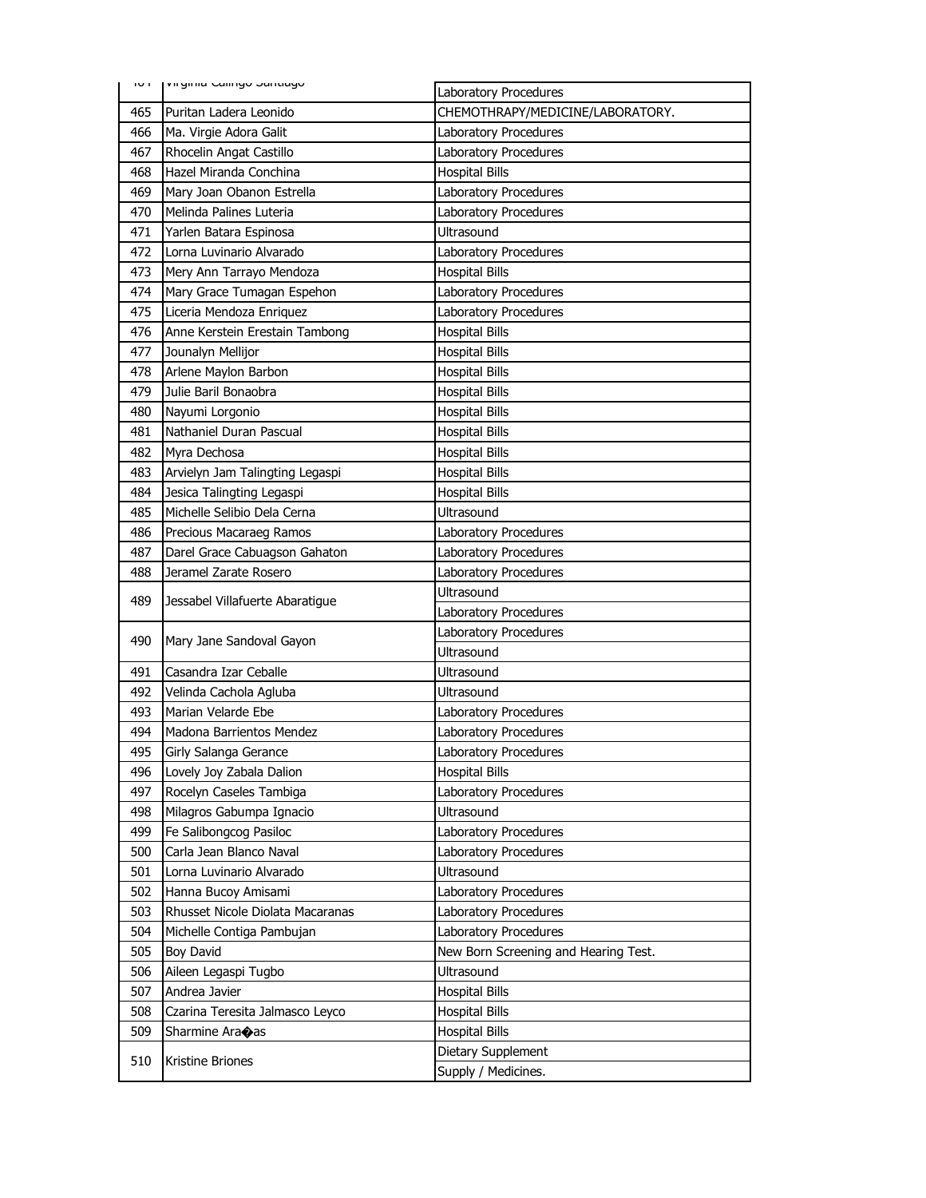| דטד        | virginia Cairigo Januago         | Laboratory Procedures                   |
|------------|----------------------------------|-----------------------------------------|
| 465        | Puritan Ladera Leonido           | CHEMOTHRAPY/MEDICINE/LABORATORY.        |
| 466        | Ma. Virgie Adora Galit           | Laboratory Procedures                   |
| 467        | Rhocelin Angat Castillo          | Laboratory Procedures                   |
| 468        | Hazel Miranda Conchina           | <b>Hospital Bills</b>                   |
| 469        | Mary Joan Obanon Estrella        | Laboratory Procedures                   |
| 470        | Melinda Palines Luteria          | Laboratory Procedures                   |
| 471        | Yarlen Batara Espinosa           | Ultrasound                              |
| 472        | Lorna Luvinario Alvarado         | Laboratory Procedures                   |
| 473        | Mery Ann Tarrayo Mendoza         | <b>Hospital Bills</b>                   |
| 474        | Mary Grace Tumagan Espehon       | Laboratory Procedures                   |
| 475        | Liceria Mendoza Enriquez         | Laboratory Procedures                   |
| 476        | Anne Kerstein Erestain Tambong   | <b>Hospital Bills</b>                   |
| 477        | Jounalyn Mellijor                | <b>Hospital Bills</b>                   |
| 478        | Arlene Maylon Barbon             | <b>Hospital Bills</b>                   |
| 479        | Julie Baril Bonaobra             | <b>Hospital Bills</b>                   |
| 480        | Nayumi Lorgonio                  | <b>Hospital Bills</b>                   |
| 481        | Nathaniel Duran Pascual          | <b>Hospital Bills</b>                   |
| 482        | Myra Dechosa                     | <b>Hospital Bills</b>                   |
| 483        | Arvielyn Jam Talingting Legaspi  | <b>Hospital Bills</b>                   |
| 484        | Jesica Talingting Legaspi        | <b>Hospital Bills</b>                   |
| 485        | Michelle Selibio Dela Cerna      | Ultrasound                              |
| 486        | Precious Macaraeg Ramos          | Laboratory Procedures                   |
| 487        | Darel Grace Cabuagson Gahaton    | Laboratory Procedures                   |
| 488        | Jeramel Zarate Rosero            | Laboratory Procedures                   |
| 489        | Jessabel Villafuerte Abaratigue  | <b>Ultrasound</b>                       |
|            |                                  | Laboratory Procedures                   |
| 490        | Mary Jane Sandoval Gayon         | Laboratory Procedures                   |
|            |                                  | Ultrasound                              |
| 491        | Casandra Izar Ceballe            | Ultrasound                              |
| 492        | Velinda Cachola Agluba           | Ultrasound                              |
| 493        | Marian Velarde Ebe               | Laboratory Procedures                   |
| 494        | Madona Barrientos Mendez         | Laboratory Procedures                   |
| 495        | Girly Salanga Gerance            | Laboratory Procedures                   |
| 496        | Lovely Joy Zabala Dalion         | <b>Hospital Bills</b>                   |
| 497        | Rocelyn Caseles Tambiga          | Laboratory Procedures                   |
| 498        | Milagros Gabumpa Ignacio         | Ultrasound                              |
| 499        | Fe Salibongcog Pasiloc           | Laboratory Procedures                   |
| 500        | Carla Jean Blanco Naval          | Laboratory Procedures                   |
| 501        | Lorna Luvinario Alvarado         | Ultrasound                              |
| 502        | Hanna Bucoy Amisami              | Laboratory Procedures                   |
| 503        | Rhusset Nicole Diolata Macaranas | Laboratory Procedures                   |
| 504        | Michelle Contiga Pambujan        | Laboratory Procedures                   |
| 505        | Boy David                        | New Born Screening and Hearing Test.    |
| 506        | Aileen Legaspi Tugbo             | Ultrasound                              |
| 507        | Andrea Javier                    | <b>Hospital Bills</b>                   |
| 508<br>509 | Czarina Teresita Jalmasco Leyco  | Hospital Bills<br><b>Hospital Bills</b> |
|            | Sharmine Ara�as                  | Dietary Supplement                      |
| 510        | Kristine Briones                 | Supply / Medicines.                     |
|            |                                  |                                         |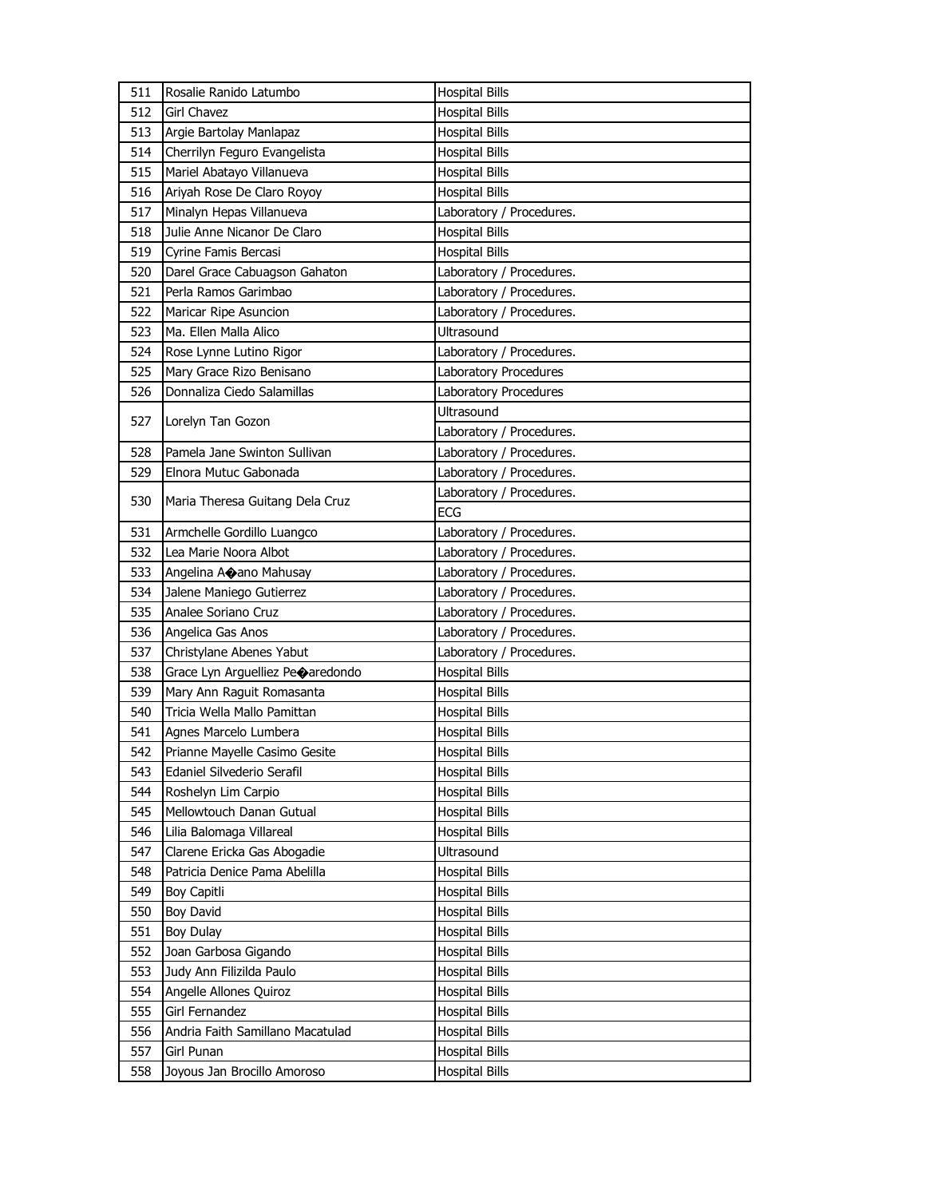| 511 | Rosalie Ranido Latumbo           | <b>Hospital Bills</b>    |
|-----|----------------------------------|--------------------------|
| 512 | <b>Girl Chavez</b>               | <b>Hospital Bills</b>    |
| 513 | Argie Bartolay Manlapaz          | <b>Hospital Bills</b>    |
| 514 | Cherrilyn Feguro Evangelista     | <b>Hospital Bills</b>    |
| 515 | Mariel Abatayo Villanueva        | <b>Hospital Bills</b>    |
| 516 | Ariyah Rose De Claro Royoy       | <b>Hospital Bills</b>    |
| 517 | Minalyn Hepas Villanueva         | Laboratory / Procedures. |
| 518 | Julie Anne Nicanor De Claro      | <b>Hospital Bills</b>    |
| 519 | Cyrine Famis Bercasi             | <b>Hospital Bills</b>    |
| 520 | Darel Grace Cabuagson Gahaton    | Laboratory / Procedures. |
| 521 | Perla Ramos Garimbao             | Laboratory / Procedures. |
| 522 | Maricar Ripe Asuncion            | Laboratory / Procedures. |
| 523 | Ma. Ellen Malla Alico            | Ultrasound               |
| 524 | Rose Lynne Lutino Rigor          | Laboratory / Procedures. |
| 525 | Mary Grace Rizo Benisano         | Laboratory Procedures    |
| 526 | Donnaliza Ciedo Salamillas       | Laboratory Procedures    |
|     |                                  | Ultrasound               |
| 527 | Lorelyn Tan Gozon                | Laboratory / Procedures. |
| 528 | Pamela Jane Swinton Sullivan     | Laboratory / Procedures. |
| 529 | Elnora Mutuc Gabonada            | Laboratory / Procedures. |
|     |                                  | Laboratory / Procedures. |
| 530 | Maria Theresa Guitang Dela Cruz  | <b>ECG</b>               |
| 531 | Armchelle Gordillo Luangco       | Laboratory / Procedures. |
| 532 | Lea Marie Noora Albot            | Laboratory / Procedures. |
| 533 | Angelina Aoano Mahusay           | Laboratory / Procedures. |
| 534 | Jalene Maniego Gutierrez         | Laboratory / Procedures. |
|     |                                  |                          |
| 535 | Analee Soriano Cruz              | Laboratory / Procedures. |
| 536 | Angelica Gas Anos                | Laboratory / Procedures. |
| 537 | Christylane Abenes Yabut         | Laboratory / Procedures. |
| 538 | Grace Lyn Arguelliez Peoaredondo | Hospital Bills           |
| 539 | Mary Ann Raguit Romasanta        | <b>Hospital Bills</b>    |
| 540 | Tricia Wella Mallo Pamittan      | <b>Hospital Bills</b>    |
| 541 | Agnes Marcelo Lumbera            | <b>Hospital Bills</b>    |
| 542 | Prianne Mayelle Casimo Gesite    | <b>Hospital Bills</b>    |
| 543 | Edaniel Silvederio Serafil       | <b>Hospital Bills</b>    |
| 544 | Roshelyn Lim Carpio              | <b>Hospital Bills</b>    |
| 545 | Mellowtouch Danan Gutual         | <b>Hospital Bills</b>    |
| 546 | Lilia Balomaga Villareal         | <b>Hospital Bills</b>    |
| 547 | Clarene Ericka Gas Abogadie      | <b>Ultrasound</b>        |
| 548 | Patricia Denice Pama Abelilla    | <b>Hospital Bills</b>    |
| 549 | Boy Capitli                      | Hospital Bills           |
| 550 | Boy David                        | Hospital Bills           |
| 551 | Boy Dulay                        | <b>Hospital Bills</b>    |
| 552 | Joan Garbosa Gigando             | <b>Hospital Bills</b>    |
| 553 | Judy Ann Filizilda Paulo         | Hospital Bills           |
| 554 | Angelle Allones Quiroz           | Hospital Bills           |
| 555 | Girl Fernandez                   | Hospital Bills           |
| 556 | Andria Faith Samillano Macatulad | <b>Hospital Bills</b>    |
| 557 | Girl Punan                       | Hospital Bills           |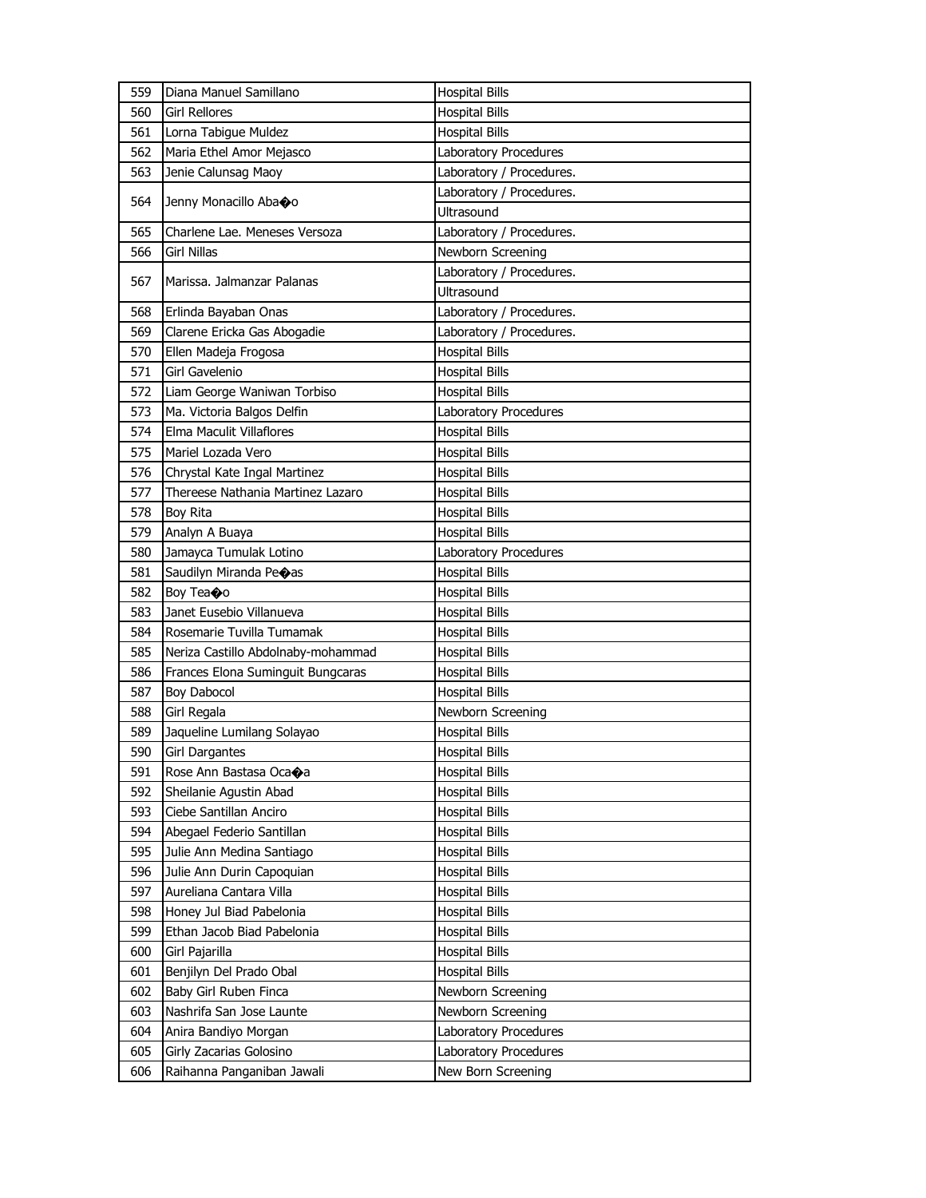| 559 | Diana Manuel Samillano             | <b>Hospital Bills</b>    |
|-----|------------------------------------|--------------------------|
| 560 | <b>Girl Rellores</b>               | <b>Hospital Bills</b>    |
| 561 | Lorna Tabigue Muldez               | <b>Hospital Bills</b>    |
| 562 | Maria Ethel Amor Mejasco           | Laboratory Procedures    |
| 563 | Jenie Calunsag Maoy                | Laboratory / Procedures. |
| 564 |                                    | Laboratory / Procedures. |
|     | Jenny Monacillo Abaoo              | <b>Ultrasound</b>        |
| 565 | Charlene Lae. Meneses Versoza      | Laboratory / Procedures. |
| 566 | Girl Nillas                        | Newborn Screening        |
| 567 | Marissa. Jalmanzar Palanas         | Laboratory / Procedures. |
|     |                                    | <b>Ultrasound</b>        |
| 568 | Erlinda Bayaban Onas               | Laboratory / Procedures. |
| 569 | Clarene Ericka Gas Abogadie        | Laboratory / Procedures. |
| 570 | Ellen Madeja Frogosa               | <b>Hospital Bills</b>    |
| 571 | Girl Gavelenio                     | <b>Hospital Bills</b>    |
| 572 | Liam George Waniwan Torbiso        | <b>Hospital Bills</b>    |
| 573 | Ma. Victoria Balgos Delfin         | Laboratory Procedures    |
| 574 | Elma Maculit Villaflores           | <b>Hospital Bills</b>    |
| 575 | Mariel Lozada Vero                 | <b>Hospital Bills</b>    |
| 576 | Chrystal Kate Ingal Martinez       | <b>Hospital Bills</b>    |
| 577 | Thereese Nathania Martinez Lazaro  | Hospital Bills           |
| 578 | Boy Rita                           | <b>Hospital Bills</b>    |
| 579 | Analyn A Buaya                     | <b>Hospital Bills</b>    |
| 580 | Jamayca Tumulak Lotino             | Laboratory Procedures    |
| 581 | Saudilyn Miranda Peoas             | <b>Hospital Bills</b>    |
| 582 | Boy Tea�o                          | Hospital Bills           |
| 583 | Janet Eusebio Villanueva           | <b>Hospital Bills</b>    |
| 584 | Rosemarie Tuvilla Tumamak          | <b>Hospital Bills</b>    |
| 585 | Neriza Castillo Abdolnaby-mohammad | <b>Hospital Bills</b>    |
| 586 | Frances Elona Suminguit Bungcaras  | <b>Hospital Bills</b>    |
| 587 | Boy Dabocol                        | <b>Hospital Bills</b>    |
| 588 | Girl Regala                        | Newborn Screening        |
| 589 | Jaqueline Lumilang Solayao         | <b>Hospital Bills</b>    |
| 590 | <b>Girl Dargantes</b>              | <b>Hospital Bills</b>    |
| 591 | Rose Ann Bastasa Oca�a             | <b>Hospital Bills</b>    |
| 592 | Sheilanie Agustin Abad             | <b>Hospital Bills</b>    |
| 593 | Ciebe Santillan Anciro             | <b>Hospital Bills</b>    |
| 594 | Abegael Federio Santillan          | Hospital Bills           |
| 595 | Julie Ann Medina Santiago          | <b>Hospital Bills</b>    |
| 596 | Julie Ann Durin Capoquian          | Hospital Bills           |
| 597 | Aureliana Cantara Villa            | <b>Hospital Bills</b>    |
| 598 | Honey Jul Biad Pabelonia           | <b>Hospital Bills</b>    |
| 599 | Ethan Jacob Biad Pabelonia         | Hospital Bills           |
| 600 | Girl Pajarilla                     | Hospital Bills           |
| 601 | Benjilyn Del Prado Obal            | <b>Hospital Bills</b>    |
| 602 | Baby Girl Ruben Finca              | Newborn Screening        |
| 603 | Nashrifa San Jose Launte           | Newborn Screening        |
| 604 | Anira Bandiyo Morgan               | Laboratory Procedures    |
| 605 | Girly Zacarias Golosino            | Laboratory Procedures    |
| 606 | Raihanna Panganiban Jawali         | New Born Screening       |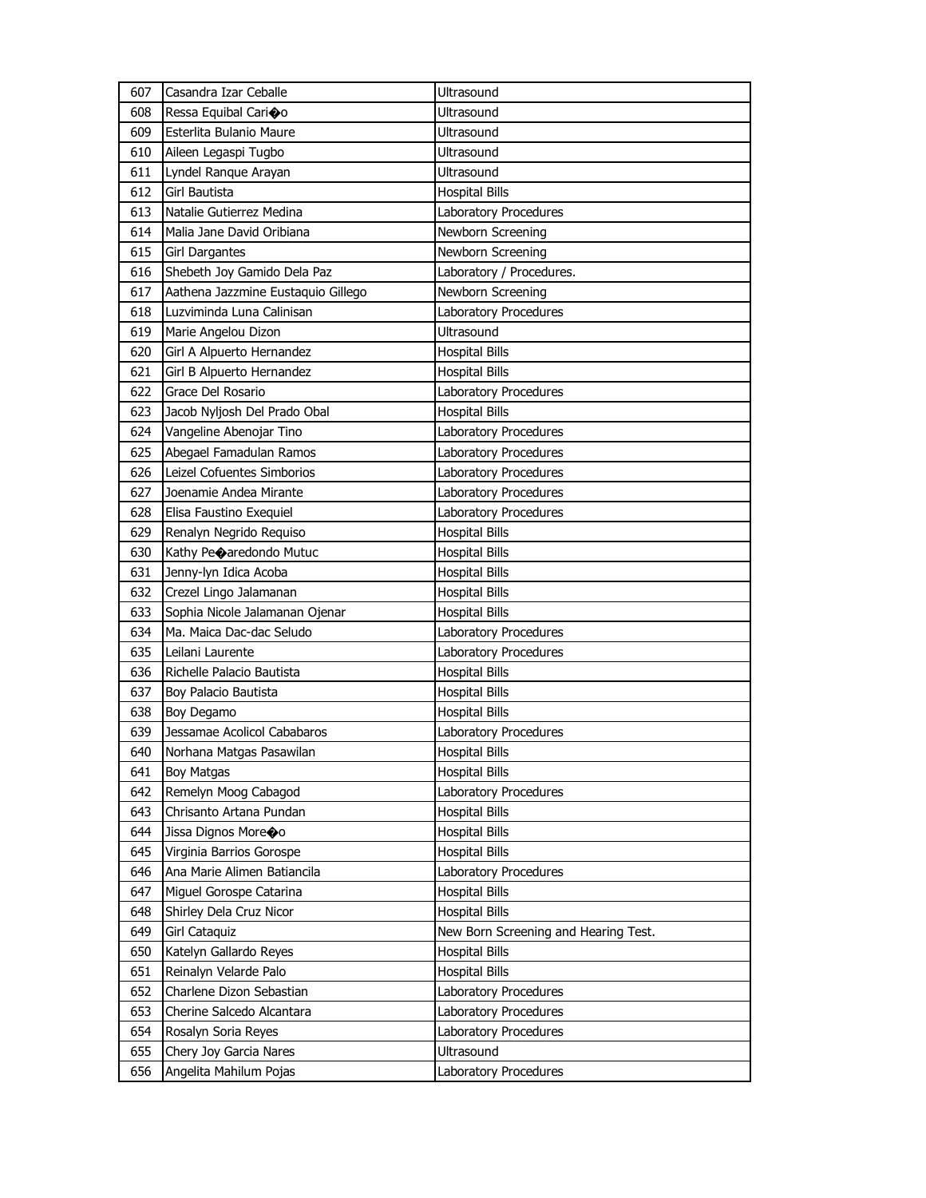| 608<br>Ressa Equibal Carioo<br>Ultrasound<br>609<br>Esterlita Bulanio Maure<br>Ultrasound<br>Aileen Legaspi Tugbo<br>610<br>Ultrasound<br>611<br>Lyndel Ranque Arayan<br>Ultrasound<br>Girl Bautista<br>612<br><b>Hospital Bills</b><br>613<br>Natalie Gutierrez Medina<br><b>Laboratory Procedures</b><br>614<br>Malia Jane David Oribiana<br>Newborn Screening<br>Newborn Screening<br>615<br><b>Girl Dargantes</b><br>Shebeth Joy Gamido Dela Paz<br>616<br>Laboratory / Procedures.<br>Aathena Jazzmine Eustaquio Gillego<br>Newborn Screening<br>617<br>Luzviminda Luna Calinisan<br>618<br>Laboratory Procedures<br><b>Ultrasound</b><br>619<br>Marie Angelou Dizon<br><b>Hospital Bills</b><br>620<br>Girl A Alpuerto Hernandez<br>Girl B Alpuerto Hernandez<br>621<br><b>Hospital Bills</b><br>Grace Del Rosario<br>622<br>Laboratory Procedures<br>623<br>Jacob Nyljosh Del Prado Obal<br><b>Hospital Bills</b><br>624<br>Vangeline Abenojar Tino<br>Laboratory Procedures<br>Abegael Famadulan Ramos<br>Laboratory Procedures<br>625<br>Leizel Cofuentes Simborios<br>626<br>Laboratory Procedures<br>Joenamie Andea Mirante<br>Laboratory Procedures<br>627<br>628<br>Elisa Faustino Exequiel<br>Laboratory Procedures<br>629<br>Renalyn Negrido Requiso<br><b>Hospital Bills</b><br>630<br>Kathy Pe $\bigcirc$ aredondo Mutuc<br><b>Hospital Bills</b><br>631<br>Jenny-lyn Idica Acoba<br><b>Hospital Bills</b><br>632<br>Crezel Lingo Jalamanan<br><b>Hospital Bills</b><br>633<br>Sophia Nicole Jalamanan Ojenar<br><b>Hospital Bills</b><br>Ma. Maica Dac-dac Seludo<br>634<br>Laboratory Procedures<br>635<br>Leilani Laurente<br>Laboratory Procedures<br>636<br>Richelle Palacio Bautista<br><b>Hospital Bills</b><br>637<br>Boy Palacio Bautista<br><b>Hospital Bills</b><br>638<br>Boy Degamo<br><b>Hospital Bills</b><br>639<br>Jessamae Acolicol Cababaros<br>Laboratory Procedures<br>640<br><b>Hospital Bills</b><br>Norhana Matgas Pasawilan<br>641<br><b>Boy Matgas</b><br><b>Hospital Bills</b><br>Remelyn Moog Cabagod<br>Laboratory Procedures<br>642<br><b>Hospital Bills</b><br>643<br>Chrisanto Artana Pundan<br>644<br>Jissa Dignos Moreoo<br><b>Hospital Bills</b><br>645<br>Virginia Barrios Gorospe<br><b>Hospital Bills</b><br>646<br>Ana Marie Alimen Batiancila<br>Laboratory Procedures<br><b>Hospital Bills</b><br>647<br>Miguel Gorospe Catarina<br>648<br>Shirley Dela Cruz Nicor<br><b>Hospital Bills</b><br>649<br>Girl Cataquiz<br>New Born Screening and Hearing Test.<br>650<br>Katelyn Gallardo Reyes<br><b>Hospital Bills</b><br><b>Hospital Bills</b><br>651<br>Reinalyn Velarde Palo<br>Charlene Dizon Sebastian<br>652<br>Laboratory Procedures<br>653<br>Cherine Salcedo Alcantara<br>Laboratory Procedures<br>654<br>Rosalyn Soria Reyes<br>Laboratory Procedures<br>655<br>Chery Joy Garcia Nares<br>Ultrasound<br>656<br>Angelita Mahilum Pojas<br>Laboratory Procedures | 607 | Casandra Izar Ceballe | Ultrasound |
|-----------------------------------------------------------------------------------------------------------------------------------------------------------------------------------------------------------------------------------------------------------------------------------------------------------------------------------------------------------------------------------------------------------------------------------------------------------------------------------------------------------------------------------------------------------------------------------------------------------------------------------------------------------------------------------------------------------------------------------------------------------------------------------------------------------------------------------------------------------------------------------------------------------------------------------------------------------------------------------------------------------------------------------------------------------------------------------------------------------------------------------------------------------------------------------------------------------------------------------------------------------------------------------------------------------------------------------------------------------------------------------------------------------------------------------------------------------------------------------------------------------------------------------------------------------------------------------------------------------------------------------------------------------------------------------------------------------------------------------------------------------------------------------------------------------------------------------------------------------------------------------------------------------------------------------------------------------------------------------------------------------------------------------------------------------------------------------------------------------------------------------------------------------------------------------------------------------------------------------------------------------------------------------------------------------------------------------------------------------------------------------------------------------------------------------------------------------------------------------------------------------------------------------------------------------------------------------------------------------------------------------------------------------------------------------------------------------------------------------------------------------------------------------------------------------------------------------------------------------------------------------------------------------------------------------|-----|-----------------------|------------|
|                                                                                                                                                                                                                                                                                                                                                                                                                                                                                                                                                                                                                                                                                                                                                                                                                                                                                                                                                                                                                                                                                                                                                                                                                                                                                                                                                                                                                                                                                                                                                                                                                                                                                                                                                                                                                                                                                                                                                                                                                                                                                                                                                                                                                                                                                                                                                                                                                                                                                                                                                                                                                                                                                                                                                                                                                                                                                                                                   |     |                       |            |
|                                                                                                                                                                                                                                                                                                                                                                                                                                                                                                                                                                                                                                                                                                                                                                                                                                                                                                                                                                                                                                                                                                                                                                                                                                                                                                                                                                                                                                                                                                                                                                                                                                                                                                                                                                                                                                                                                                                                                                                                                                                                                                                                                                                                                                                                                                                                                                                                                                                                                                                                                                                                                                                                                                                                                                                                                                                                                                                                   |     |                       |            |
|                                                                                                                                                                                                                                                                                                                                                                                                                                                                                                                                                                                                                                                                                                                                                                                                                                                                                                                                                                                                                                                                                                                                                                                                                                                                                                                                                                                                                                                                                                                                                                                                                                                                                                                                                                                                                                                                                                                                                                                                                                                                                                                                                                                                                                                                                                                                                                                                                                                                                                                                                                                                                                                                                                                                                                                                                                                                                                                                   |     |                       |            |
|                                                                                                                                                                                                                                                                                                                                                                                                                                                                                                                                                                                                                                                                                                                                                                                                                                                                                                                                                                                                                                                                                                                                                                                                                                                                                                                                                                                                                                                                                                                                                                                                                                                                                                                                                                                                                                                                                                                                                                                                                                                                                                                                                                                                                                                                                                                                                                                                                                                                                                                                                                                                                                                                                                                                                                                                                                                                                                                                   |     |                       |            |
|                                                                                                                                                                                                                                                                                                                                                                                                                                                                                                                                                                                                                                                                                                                                                                                                                                                                                                                                                                                                                                                                                                                                                                                                                                                                                                                                                                                                                                                                                                                                                                                                                                                                                                                                                                                                                                                                                                                                                                                                                                                                                                                                                                                                                                                                                                                                                                                                                                                                                                                                                                                                                                                                                                                                                                                                                                                                                                                                   |     |                       |            |
|                                                                                                                                                                                                                                                                                                                                                                                                                                                                                                                                                                                                                                                                                                                                                                                                                                                                                                                                                                                                                                                                                                                                                                                                                                                                                                                                                                                                                                                                                                                                                                                                                                                                                                                                                                                                                                                                                                                                                                                                                                                                                                                                                                                                                                                                                                                                                                                                                                                                                                                                                                                                                                                                                                                                                                                                                                                                                                                                   |     |                       |            |
|                                                                                                                                                                                                                                                                                                                                                                                                                                                                                                                                                                                                                                                                                                                                                                                                                                                                                                                                                                                                                                                                                                                                                                                                                                                                                                                                                                                                                                                                                                                                                                                                                                                                                                                                                                                                                                                                                                                                                                                                                                                                                                                                                                                                                                                                                                                                                                                                                                                                                                                                                                                                                                                                                                                                                                                                                                                                                                                                   |     |                       |            |
|                                                                                                                                                                                                                                                                                                                                                                                                                                                                                                                                                                                                                                                                                                                                                                                                                                                                                                                                                                                                                                                                                                                                                                                                                                                                                                                                                                                                                                                                                                                                                                                                                                                                                                                                                                                                                                                                                                                                                                                                                                                                                                                                                                                                                                                                                                                                                                                                                                                                                                                                                                                                                                                                                                                                                                                                                                                                                                                                   |     |                       |            |
|                                                                                                                                                                                                                                                                                                                                                                                                                                                                                                                                                                                                                                                                                                                                                                                                                                                                                                                                                                                                                                                                                                                                                                                                                                                                                                                                                                                                                                                                                                                                                                                                                                                                                                                                                                                                                                                                                                                                                                                                                                                                                                                                                                                                                                                                                                                                                                                                                                                                                                                                                                                                                                                                                                                                                                                                                                                                                                                                   |     |                       |            |
|                                                                                                                                                                                                                                                                                                                                                                                                                                                                                                                                                                                                                                                                                                                                                                                                                                                                                                                                                                                                                                                                                                                                                                                                                                                                                                                                                                                                                                                                                                                                                                                                                                                                                                                                                                                                                                                                                                                                                                                                                                                                                                                                                                                                                                                                                                                                                                                                                                                                                                                                                                                                                                                                                                                                                                                                                                                                                                                                   |     |                       |            |
|                                                                                                                                                                                                                                                                                                                                                                                                                                                                                                                                                                                                                                                                                                                                                                                                                                                                                                                                                                                                                                                                                                                                                                                                                                                                                                                                                                                                                                                                                                                                                                                                                                                                                                                                                                                                                                                                                                                                                                                                                                                                                                                                                                                                                                                                                                                                                                                                                                                                                                                                                                                                                                                                                                                                                                                                                                                                                                                                   |     |                       |            |
|                                                                                                                                                                                                                                                                                                                                                                                                                                                                                                                                                                                                                                                                                                                                                                                                                                                                                                                                                                                                                                                                                                                                                                                                                                                                                                                                                                                                                                                                                                                                                                                                                                                                                                                                                                                                                                                                                                                                                                                                                                                                                                                                                                                                                                                                                                                                                                                                                                                                                                                                                                                                                                                                                                                                                                                                                                                                                                                                   |     |                       |            |
|                                                                                                                                                                                                                                                                                                                                                                                                                                                                                                                                                                                                                                                                                                                                                                                                                                                                                                                                                                                                                                                                                                                                                                                                                                                                                                                                                                                                                                                                                                                                                                                                                                                                                                                                                                                                                                                                                                                                                                                                                                                                                                                                                                                                                                                                                                                                                                                                                                                                                                                                                                                                                                                                                                                                                                                                                                                                                                                                   |     |                       |            |
|                                                                                                                                                                                                                                                                                                                                                                                                                                                                                                                                                                                                                                                                                                                                                                                                                                                                                                                                                                                                                                                                                                                                                                                                                                                                                                                                                                                                                                                                                                                                                                                                                                                                                                                                                                                                                                                                                                                                                                                                                                                                                                                                                                                                                                                                                                                                                                                                                                                                                                                                                                                                                                                                                                                                                                                                                                                                                                                                   |     |                       |            |
|                                                                                                                                                                                                                                                                                                                                                                                                                                                                                                                                                                                                                                                                                                                                                                                                                                                                                                                                                                                                                                                                                                                                                                                                                                                                                                                                                                                                                                                                                                                                                                                                                                                                                                                                                                                                                                                                                                                                                                                                                                                                                                                                                                                                                                                                                                                                                                                                                                                                                                                                                                                                                                                                                                                                                                                                                                                                                                                                   |     |                       |            |
|                                                                                                                                                                                                                                                                                                                                                                                                                                                                                                                                                                                                                                                                                                                                                                                                                                                                                                                                                                                                                                                                                                                                                                                                                                                                                                                                                                                                                                                                                                                                                                                                                                                                                                                                                                                                                                                                                                                                                                                                                                                                                                                                                                                                                                                                                                                                                                                                                                                                                                                                                                                                                                                                                                                                                                                                                                                                                                                                   |     |                       |            |
|                                                                                                                                                                                                                                                                                                                                                                                                                                                                                                                                                                                                                                                                                                                                                                                                                                                                                                                                                                                                                                                                                                                                                                                                                                                                                                                                                                                                                                                                                                                                                                                                                                                                                                                                                                                                                                                                                                                                                                                                                                                                                                                                                                                                                                                                                                                                                                                                                                                                                                                                                                                                                                                                                                                                                                                                                                                                                                                                   |     |                       |            |
|                                                                                                                                                                                                                                                                                                                                                                                                                                                                                                                                                                                                                                                                                                                                                                                                                                                                                                                                                                                                                                                                                                                                                                                                                                                                                                                                                                                                                                                                                                                                                                                                                                                                                                                                                                                                                                                                                                                                                                                                                                                                                                                                                                                                                                                                                                                                                                                                                                                                                                                                                                                                                                                                                                                                                                                                                                                                                                                                   |     |                       |            |
|                                                                                                                                                                                                                                                                                                                                                                                                                                                                                                                                                                                                                                                                                                                                                                                                                                                                                                                                                                                                                                                                                                                                                                                                                                                                                                                                                                                                                                                                                                                                                                                                                                                                                                                                                                                                                                                                                                                                                                                                                                                                                                                                                                                                                                                                                                                                                                                                                                                                                                                                                                                                                                                                                                                                                                                                                                                                                                                                   |     |                       |            |
|                                                                                                                                                                                                                                                                                                                                                                                                                                                                                                                                                                                                                                                                                                                                                                                                                                                                                                                                                                                                                                                                                                                                                                                                                                                                                                                                                                                                                                                                                                                                                                                                                                                                                                                                                                                                                                                                                                                                                                                                                                                                                                                                                                                                                                                                                                                                                                                                                                                                                                                                                                                                                                                                                                                                                                                                                                                                                                                                   |     |                       |            |
|                                                                                                                                                                                                                                                                                                                                                                                                                                                                                                                                                                                                                                                                                                                                                                                                                                                                                                                                                                                                                                                                                                                                                                                                                                                                                                                                                                                                                                                                                                                                                                                                                                                                                                                                                                                                                                                                                                                                                                                                                                                                                                                                                                                                                                                                                                                                                                                                                                                                                                                                                                                                                                                                                                                                                                                                                                                                                                                                   |     |                       |            |
|                                                                                                                                                                                                                                                                                                                                                                                                                                                                                                                                                                                                                                                                                                                                                                                                                                                                                                                                                                                                                                                                                                                                                                                                                                                                                                                                                                                                                                                                                                                                                                                                                                                                                                                                                                                                                                                                                                                                                                                                                                                                                                                                                                                                                                                                                                                                                                                                                                                                                                                                                                                                                                                                                                                                                                                                                                                                                                                                   |     |                       |            |
|                                                                                                                                                                                                                                                                                                                                                                                                                                                                                                                                                                                                                                                                                                                                                                                                                                                                                                                                                                                                                                                                                                                                                                                                                                                                                                                                                                                                                                                                                                                                                                                                                                                                                                                                                                                                                                                                                                                                                                                                                                                                                                                                                                                                                                                                                                                                                                                                                                                                                                                                                                                                                                                                                                                                                                                                                                                                                                                                   |     |                       |            |
|                                                                                                                                                                                                                                                                                                                                                                                                                                                                                                                                                                                                                                                                                                                                                                                                                                                                                                                                                                                                                                                                                                                                                                                                                                                                                                                                                                                                                                                                                                                                                                                                                                                                                                                                                                                                                                                                                                                                                                                                                                                                                                                                                                                                                                                                                                                                                                                                                                                                                                                                                                                                                                                                                                                                                                                                                                                                                                                                   |     |                       |            |
|                                                                                                                                                                                                                                                                                                                                                                                                                                                                                                                                                                                                                                                                                                                                                                                                                                                                                                                                                                                                                                                                                                                                                                                                                                                                                                                                                                                                                                                                                                                                                                                                                                                                                                                                                                                                                                                                                                                                                                                                                                                                                                                                                                                                                                                                                                                                                                                                                                                                                                                                                                                                                                                                                                                                                                                                                                                                                                                                   |     |                       |            |
|                                                                                                                                                                                                                                                                                                                                                                                                                                                                                                                                                                                                                                                                                                                                                                                                                                                                                                                                                                                                                                                                                                                                                                                                                                                                                                                                                                                                                                                                                                                                                                                                                                                                                                                                                                                                                                                                                                                                                                                                                                                                                                                                                                                                                                                                                                                                                                                                                                                                                                                                                                                                                                                                                                                                                                                                                                                                                                                                   |     |                       |            |
|                                                                                                                                                                                                                                                                                                                                                                                                                                                                                                                                                                                                                                                                                                                                                                                                                                                                                                                                                                                                                                                                                                                                                                                                                                                                                                                                                                                                                                                                                                                                                                                                                                                                                                                                                                                                                                                                                                                                                                                                                                                                                                                                                                                                                                                                                                                                                                                                                                                                                                                                                                                                                                                                                                                                                                                                                                                                                                                                   |     |                       |            |
|                                                                                                                                                                                                                                                                                                                                                                                                                                                                                                                                                                                                                                                                                                                                                                                                                                                                                                                                                                                                                                                                                                                                                                                                                                                                                                                                                                                                                                                                                                                                                                                                                                                                                                                                                                                                                                                                                                                                                                                                                                                                                                                                                                                                                                                                                                                                                                                                                                                                                                                                                                                                                                                                                                                                                                                                                                                                                                                                   |     |                       |            |
|                                                                                                                                                                                                                                                                                                                                                                                                                                                                                                                                                                                                                                                                                                                                                                                                                                                                                                                                                                                                                                                                                                                                                                                                                                                                                                                                                                                                                                                                                                                                                                                                                                                                                                                                                                                                                                                                                                                                                                                                                                                                                                                                                                                                                                                                                                                                                                                                                                                                                                                                                                                                                                                                                                                                                                                                                                                                                                                                   |     |                       |            |
|                                                                                                                                                                                                                                                                                                                                                                                                                                                                                                                                                                                                                                                                                                                                                                                                                                                                                                                                                                                                                                                                                                                                                                                                                                                                                                                                                                                                                                                                                                                                                                                                                                                                                                                                                                                                                                                                                                                                                                                                                                                                                                                                                                                                                                                                                                                                                                                                                                                                                                                                                                                                                                                                                                                                                                                                                                                                                                                                   |     |                       |            |
|                                                                                                                                                                                                                                                                                                                                                                                                                                                                                                                                                                                                                                                                                                                                                                                                                                                                                                                                                                                                                                                                                                                                                                                                                                                                                                                                                                                                                                                                                                                                                                                                                                                                                                                                                                                                                                                                                                                                                                                                                                                                                                                                                                                                                                                                                                                                                                                                                                                                                                                                                                                                                                                                                                                                                                                                                                                                                                                                   |     |                       |            |
|                                                                                                                                                                                                                                                                                                                                                                                                                                                                                                                                                                                                                                                                                                                                                                                                                                                                                                                                                                                                                                                                                                                                                                                                                                                                                                                                                                                                                                                                                                                                                                                                                                                                                                                                                                                                                                                                                                                                                                                                                                                                                                                                                                                                                                                                                                                                                                                                                                                                                                                                                                                                                                                                                                                                                                                                                                                                                                                                   |     |                       |            |
|                                                                                                                                                                                                                                                                                                                                                                                                                                                                                                                                                                                                                                                                                                                                                                                                                                                                                                                                                                                                                                                                                                                                                                                                                                                                                                                                                                                                                                                                                                                                                                                                                                                                                                                                                                                                                                                                                                                                                                                                                                                                                                                                                                                                                                                                                                                                                                                                                                                                                                                                                                                                                                                                                                                                                                                                                                                                                                                                   |     |                       |            |
|                                                                                                                                                                                                                                                                                                                                                                                                                                                                                                                                                                                                                                                                                                                                                                                                                                                                                                                                                                                                                                                                                                                                                                                                                                                                                                                                                                                                                                                                                                                                                                                                                                                                                                                                                                                                                                                                                                                                                                                                                                                                                                                                                                                                                                                                                                                                                                                                                                                                                                                                                                                                                                                                                                                                                                                                                                                                                                                                   |     |                       |            |
|                                                                                                                                                                                                                                                                                                                                                                                                                                                                                                                                                                                                                                                                                                                                                                                                                                                                                                                                                                                                                                                                                                                                                                                                                                                                                                                                                                                                                                                                                                                                                                                                                                                                                                                                                                                                                                                                                                                                                                                                                                                                                                                                                                                                                                                                                                                                                                                                                                                                                                                                                                                                                                                                                                                                                                                                                                                                                                                                   |     |                       |            |
|                                                                                                                                                                                                                                                                                                                                                                                                                                                                                                                                                                                                                                                                                                                                                                                                                                                                                                                                                                                                                                                                                                                                                                                                                                                                                                                                                                                                                                                                                                                                                                                                                                                                                                                                                                                                                                                                                                                                                                                                                                                                                                                                                                                                                                                                                                                                                                                                                                                                                                                                                                                                                                                                                                                                                                                                                                                                                                                                   |     |                       |            |
|                                                                                                                                                                                                                                                                                                                                                                                                                                                                                                                                                                                                                                                                                                                                                                                                                                                                                                                                                                                                                                                                                                                                                                                                                                                                                                                                                                                                                                                                                                                                                                                                                                                                                                                                                                                                                                                                                                                                                                                                                                                                                                                                                                                                                                                                                                                                                                                                                                                                                                                                                                                                                                                                                                                                                                                                                                                                                                                                   |     |                       |            |
|                                                                                                                                                                                                                                                                                                                                                                                                                                                                                                                                                                                                                                                                                                                                                                                                                                                                                                                                                                                                                                                                                                                                                                                                                                                                                                                                                                                                                                                                                                                                                                                                                                                                                                                                                                                                                                                                                                                                                                                                                                                                                                                                                                                                                                                                                                                                                                                                                                                                                                                                                                                                                                                                                                                                                                                                                                                                                                                                   |     |                       |            |
|                                                                                                                                                                                                                                                                                                                                                                                                                                                                                                                                                                                                                                                                                                                                                                                                                                                                                                                                                                                                                                                                                                                                                                                                                                                                                                                                                                                                                                                                                                                                                                                                                                                                                                                                                                                                                                                                                                                                                                                                                                                                                                                                                                                                                                                                                                                                                                                                                                                                                                                                                                                                                                                                                                                                                                                                                                                                                                                                   |     |                       |            |
|                                                                                                                                                                                                                                                                                                                                                                                                                                                                                                                                                                                                                                                                                                                                                                                                                                                                                                                                                                                                                                                                                                                                                                                                                                                                                                                                                                                                                                                                                                                                                                                                                                                                                                                                                                                                                                                                                                                                                                                                                                                                                                                                                                                                                                                                                                                                                                                                                                                                                                                                                                                                                                                                                                                                                                                                                                                                                                                                   |     |                       |            |
|                                                                                                                                                                                                                                                                                                                                                                                                                                                                                                                                                                                                                                                                                                                                                                                                                                                                                                                                                                                                                                                                                                                                                                                                                                                                                                                                                                                                                                                                                                                                                                                                                                                                                                                                                                                                                                                                                                                                                                                                                                                                                                                                                                                                                                                                                                                                                                                                                                                                                                                                                                                                                                                                                                                                                                                                                                                                                                                                   |     |                       |            |
|                                                                                                                                                                                                                                                                                                                                                                                                                                                                                                                                                                                                                                                                                                                                                                                                                                                                                                                                                                                                                                                                                                                                                                                                                                                                                                                                                                                                                                                                                                                                                                                                                                                                                                                                                                                                                                                                                                                                                                                                                                                                                                                                                                                                                                                                                                                                                                                                                                                                                                                                                                                                                                                                                                                                                                                                                                                                                                                                   |     |                       |            |
|                                                                                                                                                                                                                                                                                                                                                                                                                                                                                                                                                                                                                                                                                                                                                                                                                                                                                                                                                                                                                                                                                                                                                                                                                                                                                                                                                                                                                                                                                                                                                                                                                                                                                                                                                                                                                                                                                                                                                                                                                                                                                                                                                                                                                                                                                                                                                                                                                                                                                                                                                                                                                                                                                                                                                                                                                                                                                                                                   |     |                       |            |
|                                                                                                                                                                                                                                                                                                                                                                                                                                                                                                                                                                                                                                                                                                                                                                                                                                                                                                                                                                                                                                                                                                                                                                                                                                                                                                                                                                                                                                                                                                                                                                                                                                                                                                                                                                                                                                                                                                                                                                                                                                                                                                                                                                                                                                                                                                                                                                                                                                                                                                                                                                                                                                                                                                                                                                                                                                                                                                                                   |     |                       |            |
|                                                                                                                                                                                                                                                                                                                                                                                                                                                                                                                                                                                                                                                                                                                                                                                                                                                                                                                                                                                                                                                                                                                                                                                                                                                                                                                                                                                                                                                                                                                                                                                                                                                                                                                                                                                                                                                                                                                                                                                                                                                                                                                                                                                                                                                                                                                                                                                                                                                                                                                                                                                                                                                                                                                                                                                                                                                                                                                                   |     |                       |            |
|                                                                                                                                                                                                                                                                                                                                                                                                                                                                                                                                                                                                                                                                                                                                                                                                                                                                                                                                                                                                                                                                                                                                                                                                                                                                                                                                                                                                                                                                                                                                                                                                                                                                                                                                                                                                                                                                                                                                                                                                                                                                                                                                                                                                                                                                                                                                                                                                                                                                                                                                                                                                                                                                                                                                                                                                                                                                                                                                   |     |                       |            |
|                                                                                                                                                                                                                                                                                                                                                                                                                                                                                                                                                                                                                                                                                                                                                                                                                                                                                                                                                                                                                                                                                                                                                                                                                                                                                                                                                                                                                                                                                                                                                                                                                                                                                                                                                                                                                                                                                                                                                                                                                                                                                                                                                                                                                                                                                                                                                                                                                                                                                                                                                                                                                                                                                                                                                                                                                                                                                                                                   |     |                       |            |
|                                                                                                                                                                                                                                                                                                                                                                                                                                                                                                                                                                                                                                                                                                                                                                                                                                                                                                                                                                                                                                                                                                                                                                                                                                                                                                                                                                                                                                                                                                                                                                                                                                                                                                                                                                                                                                                                                                                                                                                                                                                                                                                                                                                                                                                                                                                                                                                                                                                                                                                                                                                                                                                                                                                                                                                                                                                                                                                                   |     |                       |            |
|                                                                                                                                                                                                                                                                                                                                                                                                                                                                                                                                                                                                                                                                                                                                                                                                                                                                                                                                                                                                                                                                                                                                                                                                                                                                                                                                                                                                                                                                                                                                                                                                                                                                                                                                                                                                                                                                                                                                                                                                                                                                                                                                                                                                                                                                                                                                                                                                                                                                                                                                                                                                                                                                                                                                                                                                                                                                                                                                   |     |                       |            |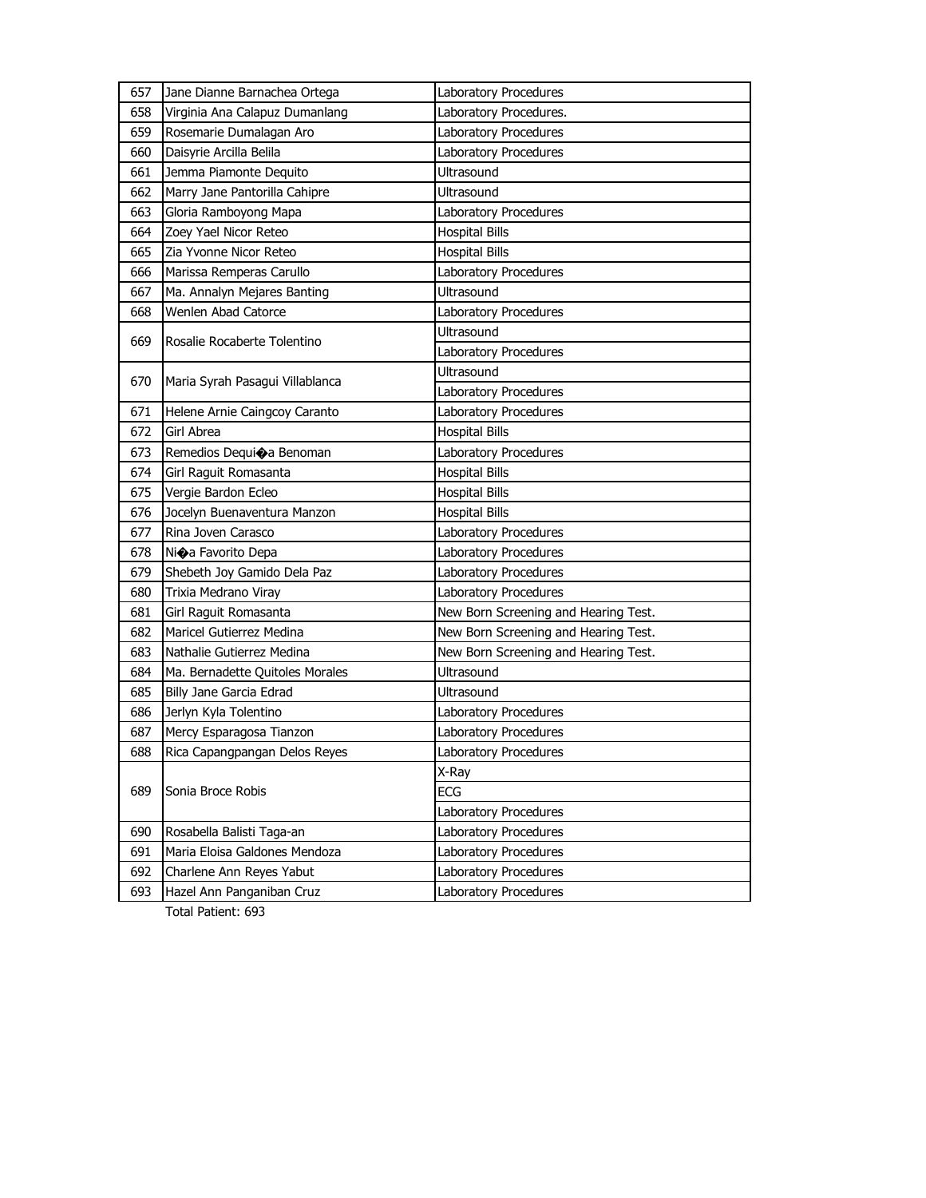| 657 | Jane Dianne Barnachea Ortega    | Laboratory Procedures                |
|-----|---------------------------------|--------------------------------------|
| 658 | Virginia Ana Calapuz Dumanlang  | Laboratory Procedures.               |
| 659 | Rosemarie Dumalagan Aro         | Laboratory Procedures                |
| 660 | Daisyrie Arcilla Belila         | Laboratory Procedures                |
| 661 | Jemma Piamonte Dequito          | Ultrasound                           |
| 662 | Marry Jane Pantorilla Cahipre   | Ultrasound                           |
| 663 | Gloria Ramboyong Mapa           | Laboratory Procedures                |
| 664 | Zoey Yael Nicor Reteo           | <b>Hospital Bills</b>                |
| 665 | Zia Yvonne Nicor Reteo          | <b>Hospital Bills</b>                |
| 666 | Marissa Remperas Carullo        | Laboratory Procedures                |
| 667 | Ma. Annalyn Mejares Banting     | Ultrasound                           |
| 668 | Wenlen Abad Catorce             | Laboratory Procedures                |
|     |                                 | Ultrasound                           |
| 669 | Rosalie Rocaberte Tolentino     | Laboratory Procedures                |
|     |                                 | Ultrasound                           |
| 670 | Maria Syrah Pasagui Villablanca | Laboratory Procedures                |
| 671 | Helene Arnie Caingcoy Caranto   | Laboratory Procedures                |
| 672 | Girl Abrea                      | <b>Hospital Bills</b>                |
| 673 | Remedios Dequi�a Benoman        | Laboratory Procedures                |
| 674 | Girl Raguit Romasanta           | <b>Hospital Bills</b>                |
| 675 | Vergie Bardon Ecleo             | <b>Hospital Bills</b>                |
| 676 | Jocelyn Buenaventura Manzon     | <b>Hospital Bills</b>                |
| 677 | Rina Joven Carasco              | Laboratory Procedures                |
| 678 | Ni�a Favorito Depa              | Laboratory Procedures                |
| 679 | Shebeth Joy Gamido Dela Paz     | Laboratory Procedures                |
| 680 | Trixia Medrano Viray            | Laboratory Procedures                |
| 681 | Girl Raguit Romasanta           | New Born Screening and Hearing Test. |
| 682 | Maricel Gutierrez Medina        | New Born Screening and Hearing Test. |
| 683 | Nathalie Gutierrez Medina       | New Born Screening and Hearing Test. |
| 684 | Ma. Bernadette Quitoles Morales | Ultrasound                           |
| 685 | Billy Jane Garcia Edrad         | Ultrasound                           |
| 686 | Jerlyn Kyla Tolentino           | Laboratory Procedures                |
| 687 | Mercy Esparagosa Tianzon        | Laboratory Procedures                |
| 688 | Rica Capangpangan Delos Reyes   | Laboratory Procedures                |
|     |                                 | X-Ray                                |
| 689 | Sonia Broce Robis               | ECG                                  |
|     |                                 | Laboratory Procedures                |
| 690 | Rosabella Balisti Taga-an       | Laboratory Procedures                |
| 691 | Maria Eloisa Galdones Mendoza   | Laboratory Procedures                |
| 692 | Charlene Ann Reyes Yabut        | Laboratory Procedures                |
| 693 | Hazel Ann Panganiban Cruz       | Laboratory Procedures                |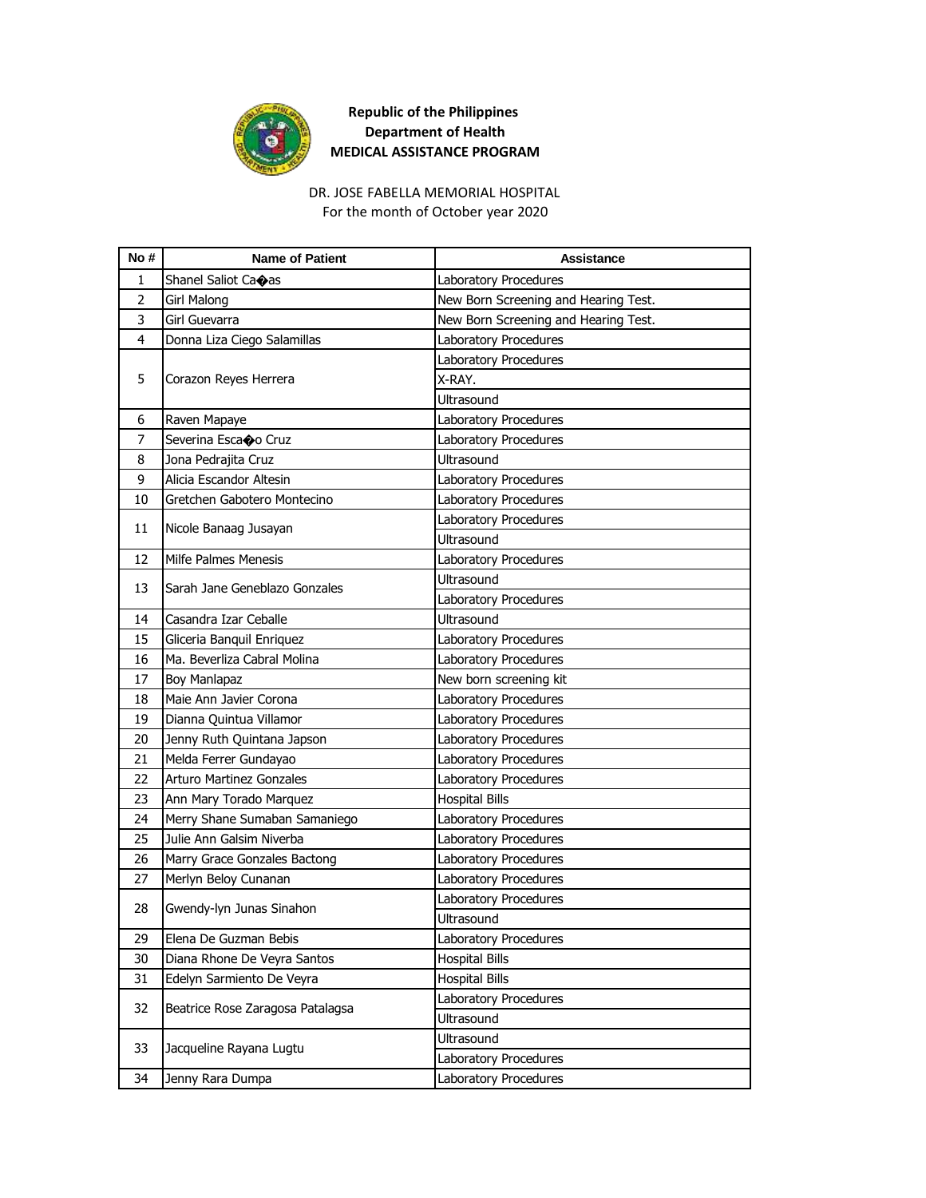

# DR. JOSE FABELLA MEMORIAL HOSPITAL

For the month of October year 2020

| No#            | <b>Name of Patient</b>           | <b>Assistance</b>                    |
|----------------|----------------------------------|--------------------------------------|
| 1              | Shanel Saliot Caoas              | Laboratory Procedures                |
| $\overline{2}$ | Girl Malong                      | New Born Screening and Hearing Test. |
| 3              | Girl Guevarra                    | New Born Screening and Hearing Test. |
| 4              | Donna Liza Ciego Salamillas      | Laboratory Procedures                |
|                |                                  | Laboratory Procedures                |
| 5              | Corazon Reyes Herrera            | X-RAY.                               |
|                |                                  | <b>Ultrasound</b>                    |
| 6              | Raven Mapaye                     | Laboratory Procedures                |
| 7              | Severina Escaoo Cruz             | Laboratory Procedures                |
| 8              | Jona Pedrajita Cruz              | <b>Ultrasound</b>                    |
| 9              | Alicia Escandor Altesin          | Laboratory Procedures                |
| 10             | Gretchen Gabotero Montecino      | Laboratory Procedures                |
|                |                                  | Laboratory Procedures                |
| 11             | Nicole Banaag Jusayan            | Ultrasound                           |
| 12             | Milfe Palmes Menesis             | Laboratory Procedures                |
|                | Sarah Jane Geneblazo Gonzales    | Ultrasound                           |
| 13             |                                  | Laboratory Procedures                |
| 14             | Casandra Izar Ceballe            | <b>Ultrasound</b>                    |
| 15             | Gliceria Banquil Enriquez        | Laboratory Procedures                |
| 16             | Ma. Beverliza Cabral Molina      | Laboratory Procedures                |
| 17             | Boy Manlapaz                     | New born screening kit               |
| 18             | Maie Ann Javier Corona           | Laboratory Procedures                |
| 19             | Dianna Quintua Villamor          | Laboratory Procedures                |
| 20             | Jenny Ruth Quintana Japson       | Laboratory Procedures                |
| 21             | Melda Ferrer Gundayao            | Laboratory Procedures                |
| 22             | <b>Arturo Martinez Gonzales</b>  | Laboratory Procedures                |
| 23             | Ann Mary Torado Marquez          | <b>Hospital Bills</b>                |
| 24             | Merry Shane Sumaban Samaniego    | Laboratory Procedures                |
| 25             | Julie Ann Galsim Niverba         | Laboratory Procedures                |
| 26             | Marry Grace Gonzales Bactong     | Laboratory Procedures                |
| 27             | Merlyn Beloy Cunanan             | Laboratory Procedures                |
| 28             | Gwendy-lyn Junas Sinahon         | Laboratory Procedures                |
|                |                                  | Ultrasound                           |
| 29             | Elena De Guzman Bebis            | Laboratory Procedures                |
| 30             | Diana Rhone De Veyra Santos      | <b>Hospital Bills</b>                |
| 31             | Edelyn Sarmiento De Veyra        | <b>Hospital Bills</b>                |
| 32             | Beatrice Rose Zaragosa Patalagsa | Laboratory Procedures                |
|                |                                  | Ultrasound                           |
| 33             | Jacqueline Rayana Lugtu          | Ultrasound                           |
|                |                                  | Laboratory Procedures                |
| 34             | Jenny Rara Dumpa                 | Laboratory Procedures                |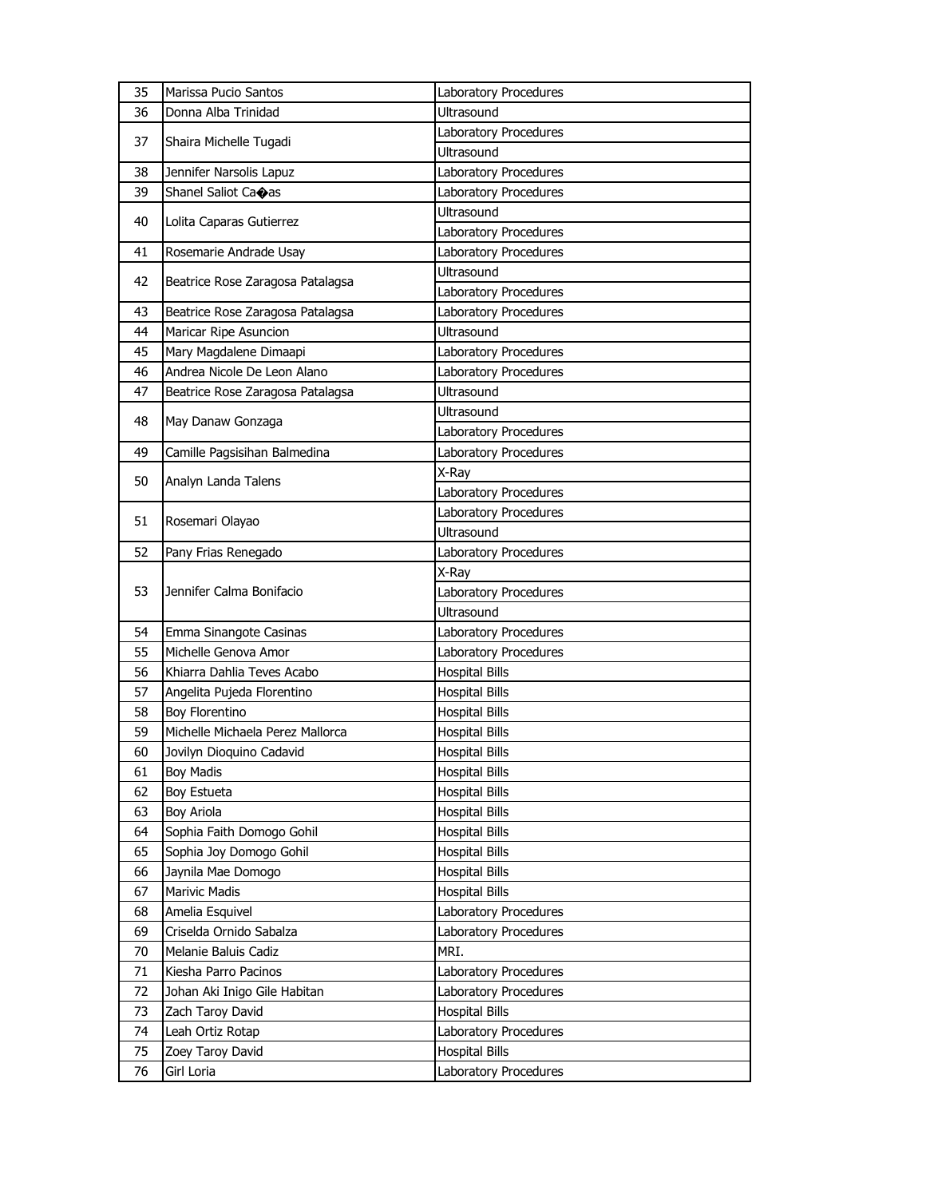| 35 | Marissa Pucio Santos             | Laboratory Procedures |
|----|----------------------------------|-----------------------|
| 36 | Donna Alba Trinidad              | Ultrasound            |
|    |                                  | Laboratory Procedures |
| 37 | Shaira Michelle Tugadi           | <b>Ultrasound</b>     |
| 38 | Jennifer Narsolis Lapuz          | Laboratory Procedures |
| 39 | Shanel Saliot Caoas              | Laboratory Procedures |
|    |                                  | Ultrasound            |
| 40 | Lolita Caparas Gutierrez         | Laboratory Procedures |
| 41 | Rosemarie Andrade Usay           | Laboratory Procedures |
|    |                                  | <b>Ultrasound</b>     |
| 42 | Beatrice Rose Zaragosa Patalagsa | Laboratory Procedures |
| 43 | Beatrice Rose Zaragosa Patalagsa | Laboratory Procedures |
| 44 | Maricar Ripe Asuncion            | Ultrasound            |
| 45 | Mary Magdalene Dimaapi           | Laboratory Procedures |
| 46 | Andrea Nicole De Leon Alano      | Laboratory Procedures |
| 47 | Beatrice Rose Zaragosa Patalagsa | <b>Ultrasound</b>     |
|    |                                  | Ultrasound            |
| 48 | May Danaw Gonzaga                | Laboratory Procedures |
| 49 | Camille Pagsisihan Balmedina     | Laboratory Procedures |
|    |                                  | X-Ray                 |
| 50 | Analyn Landa Talens              | Laboratory Procedures |
|    |                                  | Laboratory Procedures |
| 51 | Rosemari Olayao                  | Ultrasound            |
| 52 | Pany Frias Renegado              | Laboratory Procedures |
|    |                                  | X-Ray                 |
| 53 | Jennifer Calma Bonifacio         | Laboratory Procedures |
|    |                                  | Ultrasound            |
| 54 | Emma Sinangote Casinas           | Laboratory Procedures |
| 55 | Michelle Genova Amor             | Laboratory Procedures |
| 56 | Khiarra Dahlia Teves Acabo       | <b>Hospital Bills</b> |
| 57 | Angelita Pujeda Florentino       | <b>Hospital Bills</b> |
| 58 | <b>Boy Florentino</b>            | <b>Hospital Bills</b> |
| 59 | Michelle Michaela Perez Mallorca | <b>Hospital Bills</b> |
| 60 | Jovilyn Dioquino Cadavid         | <b>Hospital Bills</b> |
| 61 | <b>Boy Madis</b>                 | <b>Hospital Bills</b> |
| 62 | Boy Estueta                      | <b>Hospital Bills</b> |
| 63 | Boy Ariola                       | <b>Hospital Bills</b> |
| 64 | Sophia Faith Domogo Gohil        | <b>Hospital Bills</b> |
| 65 | Sophia Joy Domogo Gohil          | <b>Hospital Bills</b> |
| 66 | Jaynila Mae Domogo               | <b>Hospital Bills</b> |
| 67 | Marivic Madis                    | <b>Hospital Bills</b> |
| 68 | Amelia Esquivel                  | Laboratory Procedures |
| 69 | Criselda Ornido Sabalza          | Laboratory Procedures |
| 70 | Melanie Baluis Cadiz             | MRI.                  |
| 71 | Kiesha Parro Pacinos             | Laboratory Procedures |
| 72 | Johan Aki Inigo Gile Habitan     | Laboratory Procedures |
| 73 | Zach Taroy David                 | <b>Hospital Bills</b> |
| 74 | Leah Ortiz Rotap                 | Laboratory Procedures |
| 75 | Zoey Taroy David                 | <b>Hospital Bills</b> |
| 76 | Girl Loria                       | Laboratory Procedures |
|    |                                  |                       |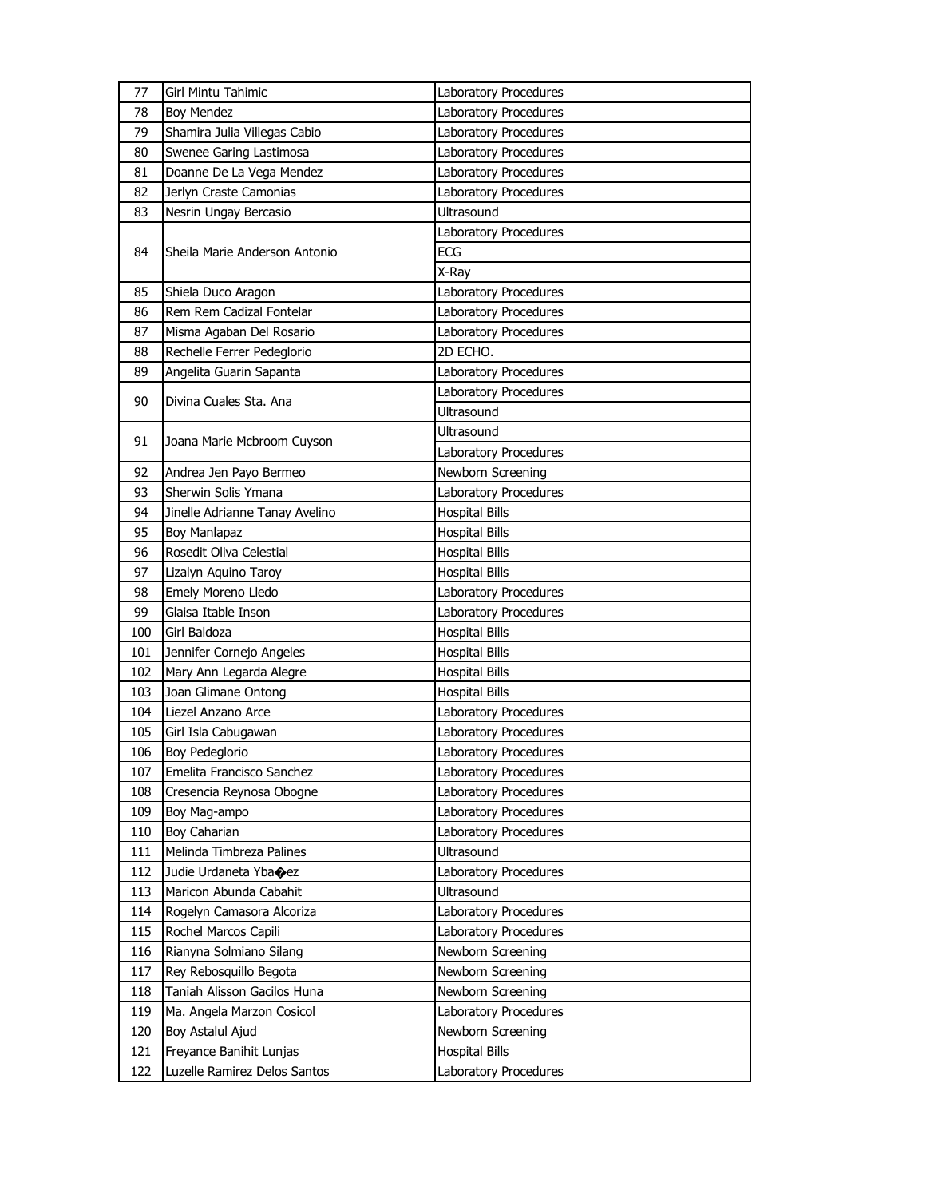| 77  | Girl Mintu Tahimic               | Laboratory Procedures |
|-----|----------------------------------|-----------------------|
| 78  | <b>Boy Mendez</b>                | Laboratory Procedures |
| 79  | Shamira Julia Villegas Cabio     | Laboratory Procedures |
| 80  | Swenee Garing Lastimosa          | Laboratory Procedures |
| 81  | Doanne De La Vega Mendez         | Laboratory Procedures |
| 82  | Jerlyn Craste Camonias           | Laboratory Procedures |
| 83  | Nesrin Ungay Bercasio            | <b>Ultrasound</b>     |
|     |                                  | Laboratory Procedures |
| 84  | Sheila Marie Anderson Antonio    | <b>ECG</b>            |
|     |                                  | X-Ray                 |
| 85  | Shiela Duco Aragon               | Laboratory Procedures |
| 86  | Rem Rem Cadizal Fontelar         | Laboratory Procedures |
| 87  | Misma Agaban Del Rosario         | Laboratory Procedures |
| 88  | Rechelle Ferrer Pedeglorio       | 2D ECHO.              |
| 89  | Angelita Guarin Sapanta          | Laboratory Procedures |
| 90  | Divina Cuales Sta. Ana           | Laboratory Procedures |
|     |                                  | <b>Ultrasound</b>     |
|     |                                  | <b>Ultrasound</b>     |
| 91  | Joana Marie Mcbroom Cuyson       | Laboratory Procedures |
| 92  | Andrea Jen Payo Bermeo           | Newborn Screening     |
| 93  | Sherwin Solis Ymana              | Laboratory Procedures |
| 94  | Jinelle Adrianne Tanay Avelino   | <b>Hospital Bills</b> |
| 95  | Boy Manlapaz                     | <b>Hospital Bills</b> |
| 96  | Rosedit Oliva Celestial          | <b>Hospital Bills</b> |
| 97  | Lizalyn Aquino Taroy             | <b>Hospital Bills</b> |
| 98  | Emely Moreno Lledo               | Laboratory Procedures |
| 99  | Glaisa Itable Inson              | Laboratory Procedures |
| 100 | Girl Baldoza                     | <b>Hospital Bills</b> |
| 101 | Jennifer Cornejo Angeles         | <b>Hospital Bills</b> |
| 102 | Mary Ann Legarda Alegre          | <b>Hospital Bills</b> |
| 103 | Joan Glimane Ontong              | <b>Hospital Bills</b> |
| 104 | Liezel Anzano Arce               | Laboratory Procedures |
| 105 | Girl Isla Cabugawan              | Laboratory Procedures |
| 106 | Boy Pedeglorio                   | Laboratory Procedures |
| 107 | Emelita Francisco Sanchez        | Laboratory Procedures |
| 108 | Cresencia Reynosa Obogne         | Laboratory Procedures |
| 109 | Boy Mag-ampo                     | Laboratory Procedures |
| 110 | Boy Caharian                     | Laboratory Procedures |
| 111 | Melinda Timbreza Palines         | <b>Ultrasound</b>     |
| 112 | Judie Urdaneta Yba $\bigcirc$ ez | Laboratory Procedures |
| 113 | Maricon Abunda Cabahit           | <b>Ultrasound</b>     |
| 114 | Rogelyn Camasora Alcoriza        | Laboratory Procedures |
| 115 | Rochel Marcos Capili             | Laboratory Procedures |
| 116 | Rianyna Solmiano Silang          | Newborn Screening     |
| 117 | Rey Rebosquillo Begota           | Newborn Screening     |
| 118 | Taniah Alisson Gacilos Huna      | Newborn Screening     |
| 119 | Ma. Angela Marzon Cosicol        | Laboratory Procedures |
| 120 | Boy Astalul Ajud                 | Newborn Screening     |
| 121 | Freyance Banihit Lunjas          | <b>Hospital Bills</b> |
| 122 | Luzelle Ramirez Delos Santos     | Laboratory Procedures |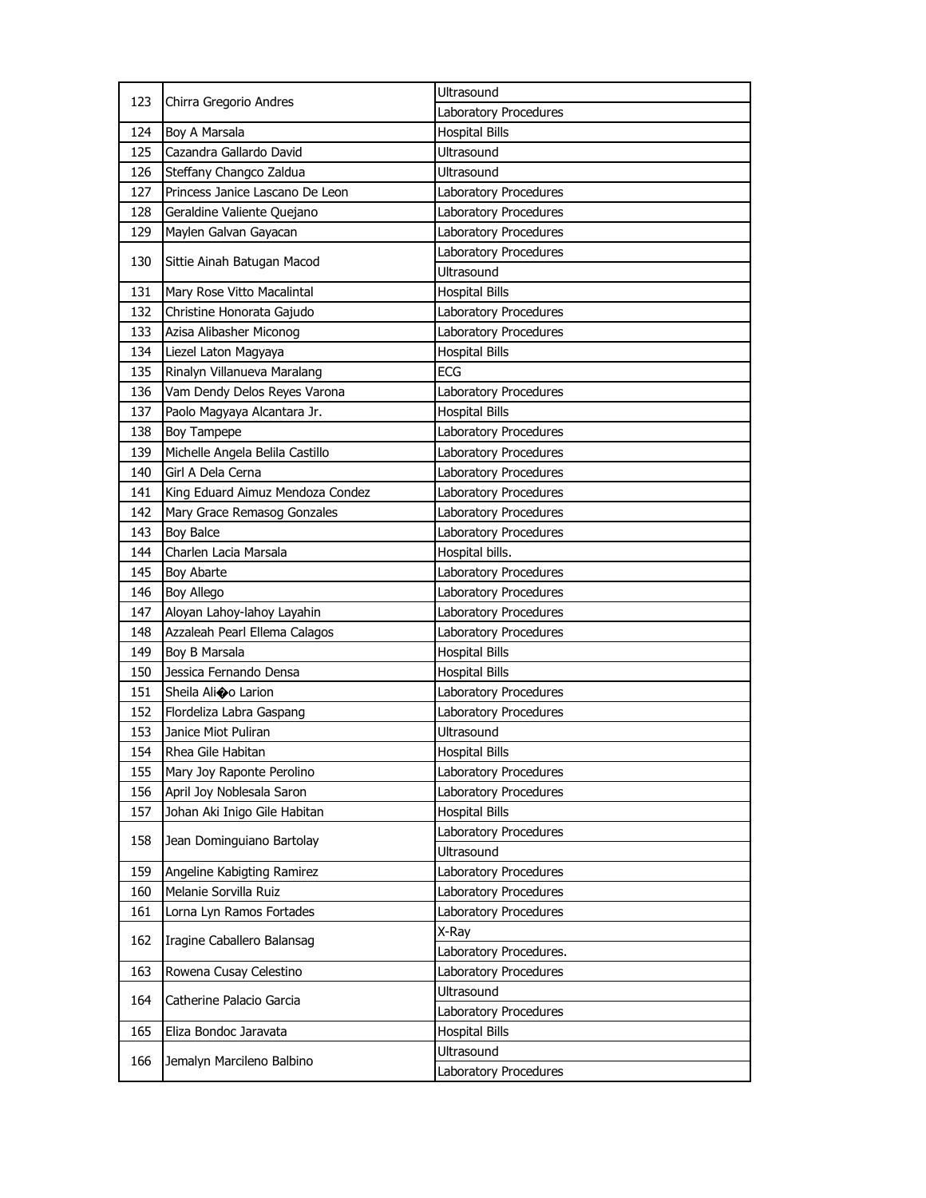| 123 | Chirra Gregorio Andres           | Ultrasound             |
|-----|----------------------------------|------------------------|
|     |                                  | Laboratory Procedures  |
| 124 | Boy A Marsala                    | <b>Hospital Bills</b>  |
| 125 | Cazandra Gallardo David          | <b>Ultrasound</b>      |
| 126 | Steffany Changco Zaldua          | Ultrasound             |
| 127 | Princess Janice Lascano De Leon  | Laboratory Procedures  |
| 128 | Geraldine Valiente Quejano       | Laboratory Procedures  |
| 129 | Maylen Galvan Gayacan            | Laboratory Procedures  |
| 130 | Sittie Ainah Batugan Macod       | Laboratory Procedures  |
|     |                                  | Ultrasound             |
| 131 | Mary Rose Vitto Macalintal       | <b>Hospital Bills</b>  |
| 132 | Christine Honorata Gajudo        | Laboratory Procedures  |
| 133 | Azisa Alibasher Miconog          | Laboratory Procedures  |
| 134 | Liezel Laton Magyaya             | <b>Hospital Bills</b>  |
| 135 | Rinalyn Villanueva Maralang      | <b>ECG</b>             |
| 136 | Vam Dendy Delos Reyes Varona     | Laboratory Procedures  |
| 137 | Paolo Magyaya Alcantara Jr.      | <b>Hospital Bills</b>  |
| 138 | Boy Tampepe                      | Laboratory Procedures  |
| 139 | Michelle Angela Belila Castillo  | Laboratory Procedures  |
| 140 | Girl A Dela Cerna                | Laboratory Procedures  |
| 141 | King Eduard Aimuz Mendoza Condez | Laboratory Procedures  |
| 142 | Mary Grace Remasog Gonzales      | Laboratory Procedures  |
| 143 | <b>Boy Balce</b>                 | Laboratory Procedures  |
| 144 | Charlen Lacia Marsala            | Hospital bills.        |
| 145 | Boy Abarte                       | Laboratory Procedures  |
|     | Boy Allego                       | Laboratory Procedures  |
| 146 |                                  |                        |
| 147 | Aloyan Lahoy-lahoy Layahin       | Laboratory Procedures  |
| 148 | Azzaleah Pearl Ellema Calagos    | Laboratory Procedures  |
| 149 | Boy B Marsala                    | <b>Hospital Bills</b>  |
| 150 | Jessica Fernando Densa           | <b>Hospital Bills</b>  |
| 151 | Sheila Alioo Larion              | Laboratory Procedures  |
| 152 | Flordeliza Labra Gaspang         | Laboratory Procedures  |
| 153 | Janice Miot Puliran              | Ultrasound             |
| 154 | Rhea Gile Habitan                | <b>Hospital Bills</b>  |
| 155 | Mary Joy Raponte Perolino        | Laboratory Procedures  |
| 156 | April Joy Noblesala Saron        | Laboratory Procedures  |
| 157 | Johan Aki Inigo Gile Habitan     | <b>Hospital Bills</b>  |
|     |                                  | Laboratory Procedures  |
| 158 | Jean Dominguiano Bartolay        | Ultrasound             |
| 159 | Angeline Kabigting Ramirez       | Laboratory Procedures  |
| 160 | Melanie Sorvilla Ruiz            | Laboratory Procedures  |
| 161 | Lorna Lyn Ramos Fortades         | Laboratory Procedures  |
|     |                                  | X-Ray                  |
| 162 | Iragine Caballero Balansag       | Laboratory Procedures. |
| 163 | Rowena Cusay Celestino           | Laboratory Procedures  |
|     |                                  | Ultrasound             |
| 164 | Catherine Palacio Garcia         | Laboratory Procedures  |
| 165 | Eliza Bondoc Jaravata            | <b>Hospital Bills</b>  |
| 166 | Jemalyn Marcileno Balbino        | Ultrasound             |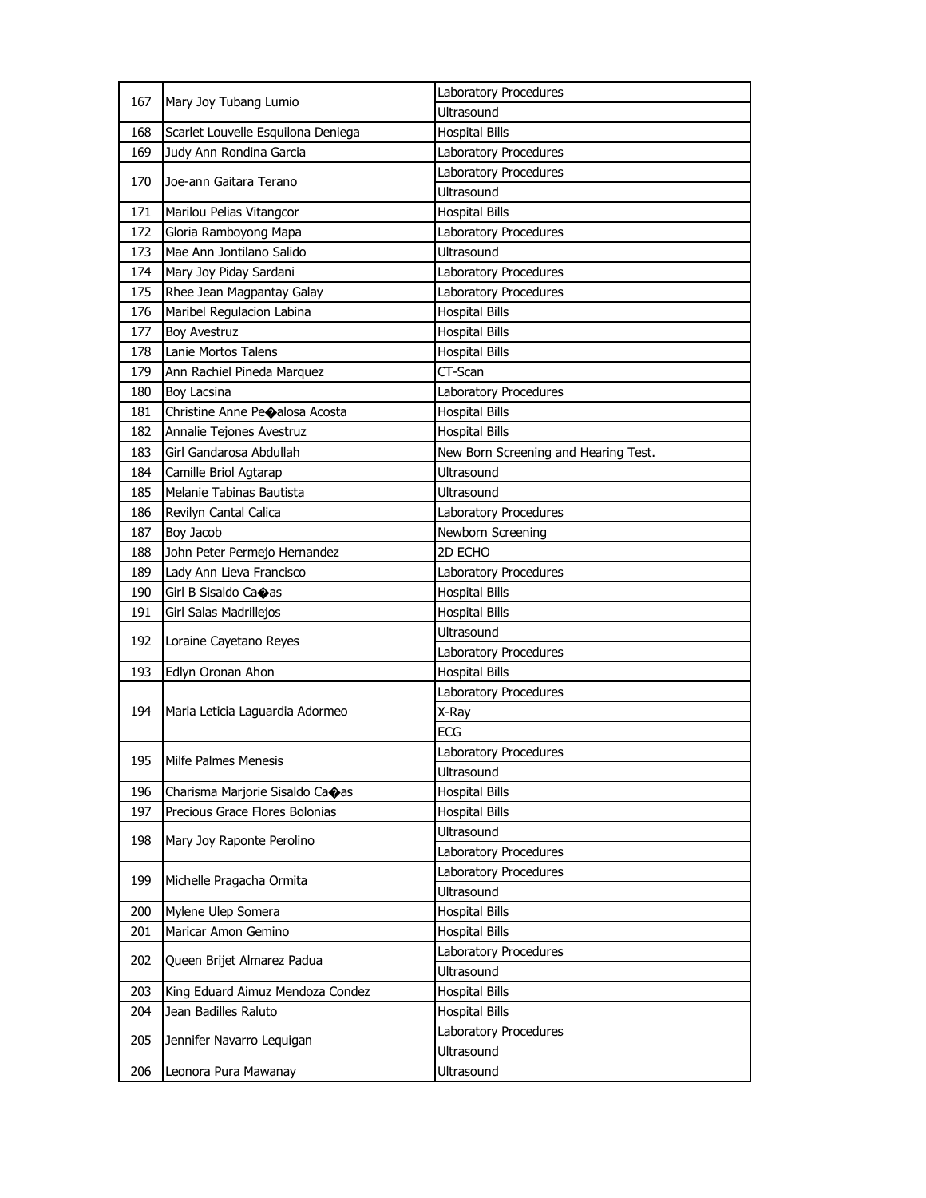| 167 | Mary Joy Tubang Lumio              | Laboratory Procedures                |
|-----|------------------------------------|--------------------------------------|
|     |                                    | Ultrasound                           |
| 168 | Scarlet Louvelle Esquilona Deniega | <b>Hospital Bills</b>                |
| 169 | Judy Ann Rondina Garcia            | Laboratory Procedures                |
| 170 | Joe-ann Gaitara Terano             | Laboratory Procedures                |
|     |                                    | Ultrasound                           |
| 171 | Marilou Pelias Vitangcor           | <b>Hospital Bills</b>                |
| 172 | Gloria Ramboyong Mapa              | Laboratory Procedures                |
| 173 | Mae Ann Jontilano Salido           | Ultrasound                           |
| 174 | Mary Joy Piday Sardani             | Laboratory Procedures                |
| 175 | Rhee Jean Magpantay Galay          | Laboratory Procedures                |
| 176 | Maribel Regulacion Labina          | <b>Hospital Bills</b>                |
| 177 | <b>Boy Avestruz</b>                | <b>Hospital Bills</b>                |
| 178 | Lanie Mortos Talens                | <b>Hospital Bills</b>                |
| 179 | Ann Rachiel Pineda Marquez         | CT-Scan                              |
| 180 | Boy Lacsina                        | Laboratory Procedures                |
| 181 | Christine Anne Peoalosa Acosta     | <b>Hospital Bills</b>                |
| 182 | Annalie Tejones Avestruz           | <b>Hospital Bills</b>                |
| 183 | Girl Gandarosa Abdullah            | New Born Screening and Hearing Test. |
| 184 | Camille Briol Agtarap              | Ultrasound                           |
| 185 | Melanie Tabinas Bautista           | Ultrasound                           |
| 186 | Revilyn Cantal Calica              | Laboratory Procedures                |
| 187 | Boy Jacob                          | Newborn Screening                    |
| 188 | John Peter Permejo Hernandez       | 2D ECHO                              |
| 189 | Lady Ann Lieva Francisco           | Laboratory Procedures                |
|     | Girl B Sisaldo Ca�as               | <b>Hospital Bills</b>                |
| 190 |                                    |                                      |
| 191 | Girl Salas Madrillejos             | <b>Hospital Bills</b>                |
|     |                                    | Ultrasound                           |
| 192 | Loraine Cayetano Reyes             | Laboratory Procedures                |
| 193 | Edlyn Oronan Ahon                  | <b>Hospital Bills</b>                |
|     |                                    | Laboratory Procedures                |
| 194 | Maria Leticia Laguardia Adormeo    | X-Ray                                |
|     |                                    | <b>ECG</b>                           |
|     |                                    | Laboratory Procedures                |
| 195 | Milfe Palmes Menesis               | Ultrasound                           |
| 196 | Charisma Marjorie Sisaldo Ca�as    | <b>Hospital Bills</b>                |
| 197 | Precious Grace Flores Bolonias     | <b>Hospital Bills</b>                |
|     |                                    | Ultrasound                           |
| 198 | Mary Joy Raponte Perolino          | Laboratory Procedures                |
|     |                                    | Laboratory Procedures                |
| 199 | Michelle Pragacha Ormita           | Ultrasound                           |
| 200 | Mylene Ulep Somera                 | <b>Hospital Bills</b>                |
| 201 | Maricar Amon Gemino                | <b>Hospital Bills</b>                |
|     |                                    | Laboratory Procedures                |
| 202 | Queen Brijet Almarez Padua         | Ultrasound                           |
| 203 | King Eduard Aimuz Mendoza Condez   | Hospital Bills                       |
| 204 | Jean Badilles Raluto               | <b>Hospital Bills</b>                |
|     |                                    | Laboratory Procedures                |
| 205 | Jennifer Navarro Lequigan          | Ultrasound                           |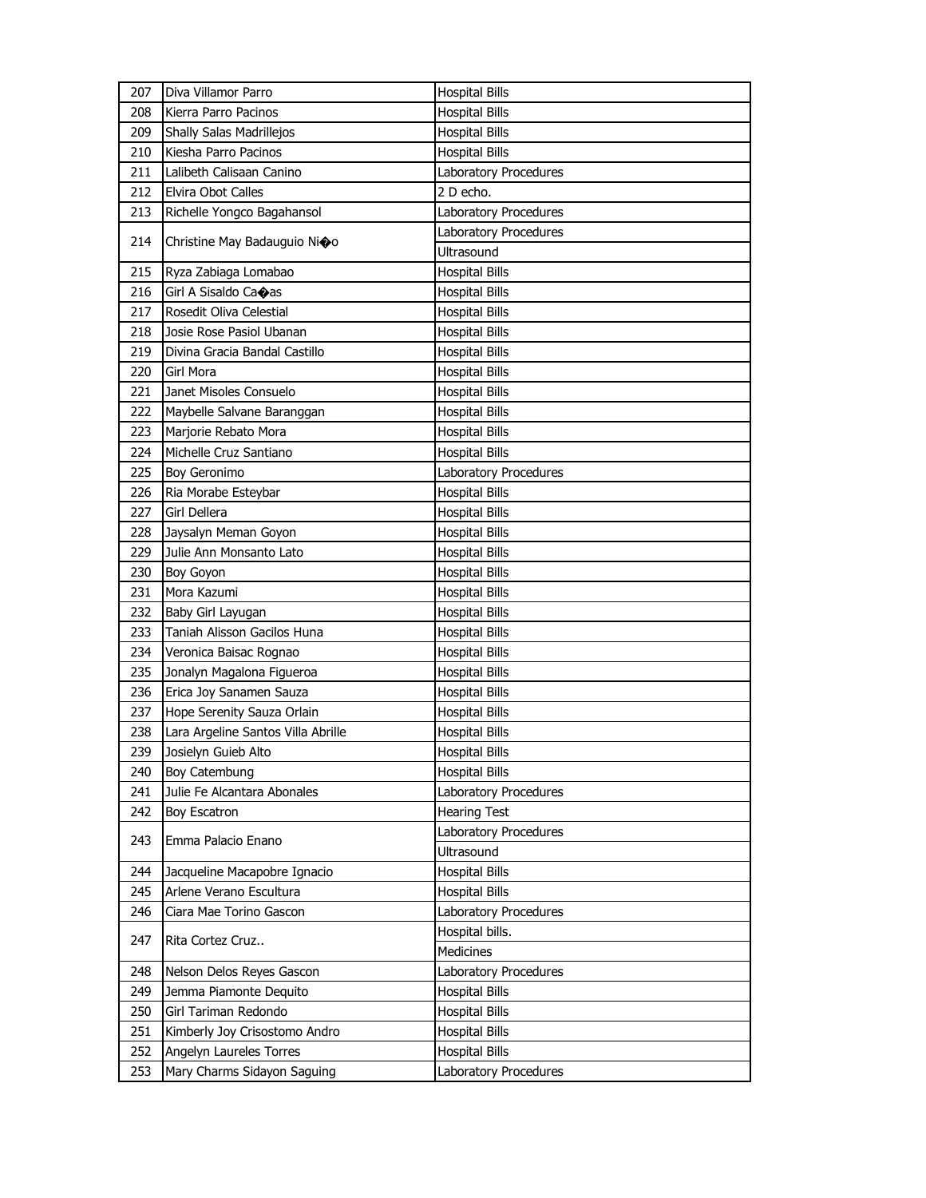| 207        | Diva Villamor Parro                                    | <b>Hospital Bills</b>                          |
|------------|--------------------------------------------------------|------------------------------------------------|
| 208        | Kierra Parro Pacinos                                   | <b>Hospital Bills</b>                          |
| 209        | <b>Shally Salas Madrillejos</b>                        | <b>Hospital Bills</b>                          |
| 210        | Kiesha Parro Pacinos                                   | <b>Hospital Bills</b>                          |
| 211        | Lalibeth Calisaan Canino                               | Laboratory Procedures                          |
| 212        | Elvira Obot Calles                                     | 2 D echo.                                      |
| 213        | Richelle Yongco Bagahansol                             | Laboratory Procedures                          |
|            |                                                        | Laboratory Procedures                          |
| 214        | Christine May Badauguio Nioo                           | Ultrasound                                     |
| 215        | Ryza Zabiaga Lomabao                                   | <b>Hospital Bills</b>                          |
| 216        | Girl A Sisaldo Caoas                                   | <b>Hospital Bills</b>                          |
| 217        | Rosedit Oliva Celestial                                | <b>Hospital Bills</b>                          |
| 218        | Josie Rose Pasiol Ubanan                               | <b>Hospital Bills</b>                          |
| 219        | Divina Gracia Bandal Castillo                          | <b>Hospital Bills</b>                          |
| 220        | Girl Mora                                              | <b>Hospital Bills</b>                          |
| 221        | Janet Misoles Consuelo                                 | <b>Hospital Bills</b>                          |
| 222        | Maybelle Salvane Baranggan                             | Hospital Bills                                 |
| 223        | Marjorie Rebato Mora                                   | <b>Hospital Bills</b>                          |
| 224        | Michelle Cruz Santiano                                 | <b>Hospital Bills</b>                          |
| 225        | Boy Geronimo                                           | Laboratory Procedures                          |
| 226        | Ria Morabe Esteybar                                    | <b>Hospital Bills</b>                          |
| 227        | Girl Dellera                                           | Hospital Bills                                 |
| 228        | Jaysalyn Meman Goyon                                   | <b>Hospital Bills</b>                          |
| 229        | Julie Ann Monsanto Lato                                | <b>Hospital Bills</b>                          |
| 230        | Boy Goyon                                              | <b>Hospital Bills</b>                          |
| 231        | Mora Kazumi                                            | <b>Hospital Bills</b>                          |
| 232        | Baby Girl Layugan                                      | Hospital Bills                                 |
| 233        | Taniah Alisson Gacilos Huna                            | <b>Hospital Bills</b>                          |
| 234        | Veronica Baisac Rognao                                 | <b>Hospital Bills</b>                          |
| 235        | Jonalyn Magalona Figueroa                              | <b>Hospital Bills</b>                          |
| 236        | Erica Joy Sanamen Sauza                                | <b>Hospital Bills</b>                          |
| 237        | Hope Serenity Sauza Orlain                             | Hospital Bills                                 |
| 238        | Lara Argeline Santos Villa Abrille                     | <b>Hospital Bills</b>                          |
| 239        | Josielyn Guieb Alto                                    | <b>Hospital Bills</b>                          |
| 240        | Boy Catembung                                          | <b>Hospital Bills</b>                          |
| 241        | Julie Fe Alcantara Abonales                            | Laboratory Procedures                          |
| 242        | Boy Escatron                                           | <b>Hearing Test</b>                            |
| 243        | Emma Palacio Enano                                     | Laboratory Procedures                          |
|            |                                                        | Ultrasound                                     |
| 244        | Jacqueline Macapobre Ignacio                           | <b>Hospital Bills</b>                          |
| 245        | Arlene Verano Escultura                                | <b>Hospital Bills</b>                          |
| 246        | Ciara Mae Torino Gascon                                | Laboratory Procedures                          |
| 247        | Rita Cortez Cruz                                       | Hospital bills.                                |
|            |                                                        |                                                |
|            |                                                        | Medicines                                      |
| 248        | Nelson Delos Reyes Gascon                              | Laboratory Procedures                          |
| 249        | Jemma Piamonte Dequito                                 | <b>Hospital Bills</b>                          |
| 250        | Girl Tariman Redondo                                   | <b>Hospital Bills</b>                          |
| 251        | Kimberly Joy Crisostomo Andro                          | <b>Hospital Bills</b>                          |
| 252<br>253 | Angelyn Laureles Torres<br>Mary Charms Sidayon Saguing | <b>Hospital Bills</b><br>Laboratory Procedures |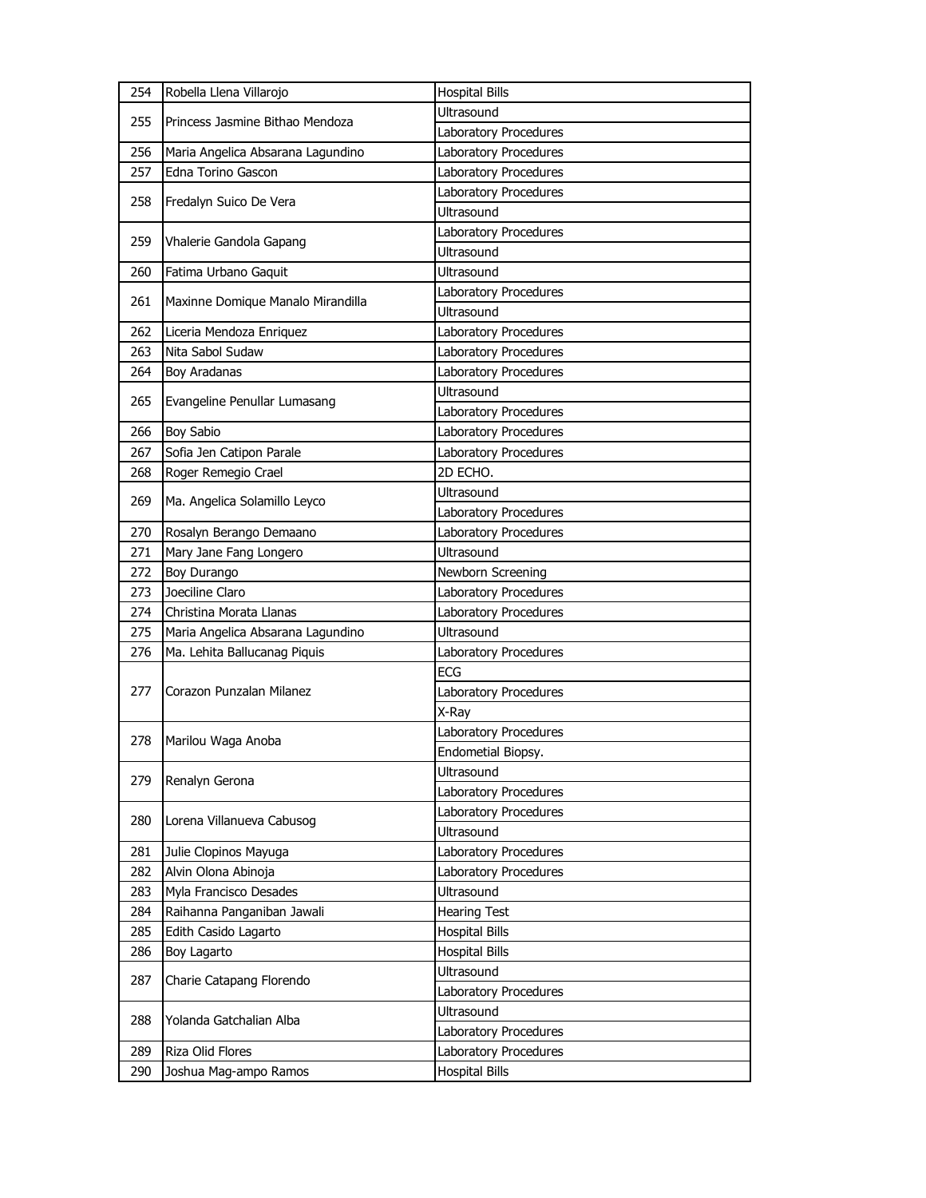| 254 | Robella Llena Villarojo           | <b>Hospital Bills</b> |
|-----|-----------------------------------|-----------------------|
| 255 | Princess Jasmine Bithao Mendoza   | Ultrasound            |
|     |                                   | Laboratory Procedures |
| 256 | Maria Angelica Absarana Lagundino | Laboratory Procedures |
| 257 | Edna Torino Gascon                | Laboratory Procedures |
| 258 |                                   | Laboratory Procedures |
|     | Fredalyn Suico De Vera            | Ultrasound            |
| 259 | Vhalerie Gandola Gapang           | Laboratory Procedures |
|     |                                   | <b>Ultrasound</b>     |
| 260 | Fatima Urbano Gaquit              | Ultrasound            |
| 261 | Maxinne Domique Manalo Mirandilla | Laboratory Procedures |
|     |                                   | Ultrasound            |
| 262 | Liceria Mendoza Enriquez          | Laboratory Procedures |
| 263 | Nita Sabol Sudaw                  | Laboratory Procedures |
| 264 | Boy Aradanas                      | Laboratory Procedures |
| 265 | Evangeline Penullar Lumasang      | <b>Ultrasound</b>     |
|     |                                   | Laboratory Procedures |
| 266 | <b>Boy Sabio</b>                  | Laboratory Procedures |
| 267 | Sofia Jen Catipon Parale          | Laboratory Procedures |
| 268 | Roger Remegio Crael               | 2D ECHO.              |
| 269 | Ma. Angelica Solamillo Leyco      | <b>Ultrasound</b>     |
|     |                                   | Laboratory Procedures |
| 270 | Rosalyn Berango Demaano           | Laboratory Procedures |
| 271 | Mary Jane Fang Longero            | <b>Ultrasound</b>     |
| 272 | Boy Durango                       | Newborn Screening     |
| 273 | Joeciline Claro                   | Laboratory Procedures |
| 274 | Christina Morata Llanas           | Laboratory Procedures |
| 275 | Maria Angelica Absarana Lagundino | Ultrasound            |
| 276 | Ma. Lehita Ballucanag Piquis      | Laboratory Procedures |
|     | Corazon Punzalan Milanez          | <b>ECG</b>            |
| 277 |                                   | Laboratory Procedures |
|     |                                   | X-Ray                 |
| 278 | Marilou Waga Anoba                | Laboratory Procedures |
|     |                                   | Endometial Biopsy.    |
| 279 | Renalyn Gerona                    | Ultrasound            |
|     |                                   | Laboratory Procedures |
| 280 | Lorena Villanueva Cabusog         | Laboratory Procedures |
|     |                                   | Ultrasound            |
| 281 | Julie Clopinos Mayuga             | Laboratory Procedures |
| 282 | Alvin Olona Abinoja               | Laboratory Procedures |
| 283 | Myla Francisco Desades            | Ultrasound            |
| 284 | Raihanna Panganiban Jawali        | <b>Hearing Test</b>   |
| 285 | Edith Casido Lagarto              | <b>Hospital Bills</b> |
| 286 | Boy Lagarto                       | <b>Hospital Bills</b> |
| 287 | Charie Catapang Florendo          | Ultrasound            |
|     |                                   | Laboratory Procedures |
| 288 | Yolanda Gatchalian Alba           | Ultrasound            |
|     |                                   | Laboratory Procedures |
| 289 | Riza Olid Flores                  | Laboratory Procedures |
| 290 | Joshua Mag-ampo Ramos             | <b>Hospital Bills</b> |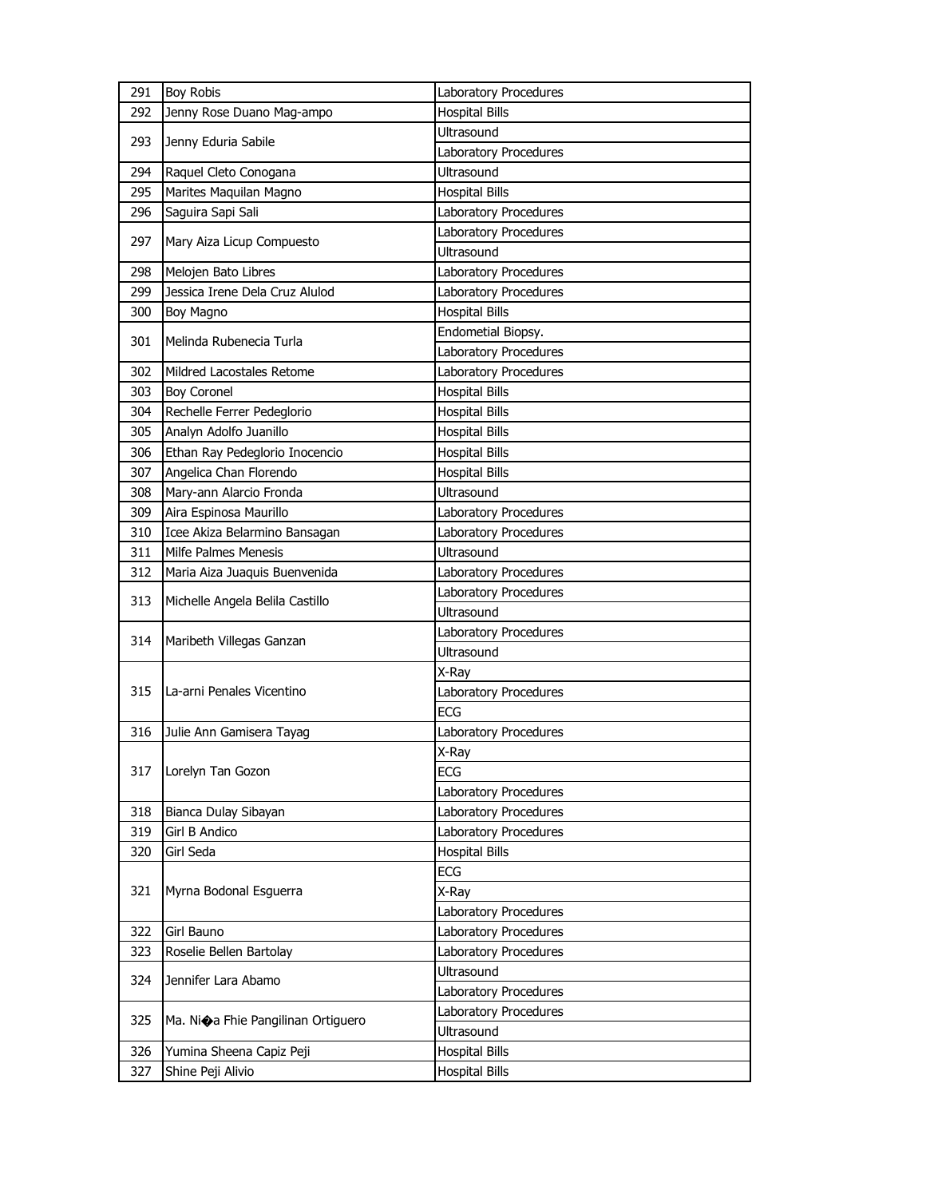| 291 | <b>Boy Robis</b>                                  | Laboratory Procedures |
|-----|---------------------------------------------------|-----------------------|
| 292 | Jenny Rose Duano Mag-ampo                         | <b>Hospital Bills</b> |
| 293 | Jenny Eduria Sabile                               | <b>Ultrasound</b>     |
|     |                                                   | Laboratory Procedures |
| 294 | Raquel Cleto Conogana                             | Ultrasound            |
| 295 | Marites Maquilan Magno                            | <b>Hospital Bills</b> |
| 296 | Saguira Sapi Sali                                 | Laboratory Procedures |
| 297 | Mary Aiza Licup Compuesto                         | Laboratory Procedures |
|     |                                                   | Ultrasound            |
| 298 | Melojen Bato Libres                               | Laboratory Procedures |
| 299 | Jessica Irene Dela Cruz Alulod                    | Laboratory Procedures |
| 300 | Boy Magno                                         | <b>Hospital Bills</b> |
| 301 | Melinda Rubenecia Turla                           | Endometial Biopsy.    |
|     |                                                   | Laboratory Procedures |
| 302 | Mildred Lacostales Retome                         | Laboratory Procedures |
| 303 | <b>Boy Coronel</b>                                | <b>Hospital Bills</b> |
| 304 | Rechelle Ferrer Pedeglorio                        | <b>Hospital Bills</b> |
| 305 | Analyn Adolfo Juanillo                            | <b>Hospital Bills</b> |
| 306 | Ethan Ray Pedeglorio Inocencio                    | <b>Hospital Bills</b> |
| 307 | Angelica Chan Florendo                            | <b>Hospital Bills</b> |
| 308 | Mary-ann Alarcio Fronda                           | Ultrasound            |
| 309 | Aira Espinosa Maurillo                            | Laboratory Procedures |
| 310 | Icee Akiza Belarmino Bansagan                     | Laboratory Procedures |
| 311 | Milfe Palmes Menesis                              | <b>Ultrasound</b>     |
| 312 | Maria Aiza Juaquis Buenvenida                     | Laboratory Procedures |
| 313 | Michelle Angela Belila Castillo                   | Laboratory Procedures |
|     |                                                   | Ultrasound            |
| 314 |                                                   | Laboratory Procedures |
|     | Maribeth Villegas Ganzan                          | Ultrasound            |
|     |                                                   | X-Ray                 |
| 315 | La-arni Penales Vicentino                         | Laboratory Procedures |
|     |                                                   | <b>ECG</b>            |
| 316 | Julie Ann Gamisera Tayag                          | Laboratory Procedures |
|     |                                                   | X-Ray                 |
| 317 | Lorelyn Tan Gozon                                 | ECG                   |
|     |                                                   | Laboratory Procedures |
| 318 | Bianca Dulay Sibayan                              | Laboratory Procedures |
| 319 | Girl B Andico                                     | Laboratory Procedures |
| 320 | Girl Seda                                         | <b>Hospital Bills</b> |
|     |                                                   | ECG                   |
| 321 | Myrna Bodonal Esguerra                            | X-Ray                 |
|     |                                                   | Laboratory Procedures |
| 322 | Girl Bauno                                        | Laboratory Procedures |
| 323 | Roselie Bellen Bartolay                           | Laboratory Procedures |
|     |                                                   | Ultrasound            |
| 324 | Jennifer Lara Abamo                               | Laboratory Procedures |
|     |                                                   | Laboratory Procedures |
| 325 | Ma. Ni $\diamondsuit$ a Fhie Pangilinan Ortiguero | Ultrasound            |
| 326 | Yumina Sheena Capiz Peji                          | <b>Hospital Bills</b> |
| 327 | Shine Peji Alivio                                 | <b>Hospital Bills</b> |
|     |                                                   |                       |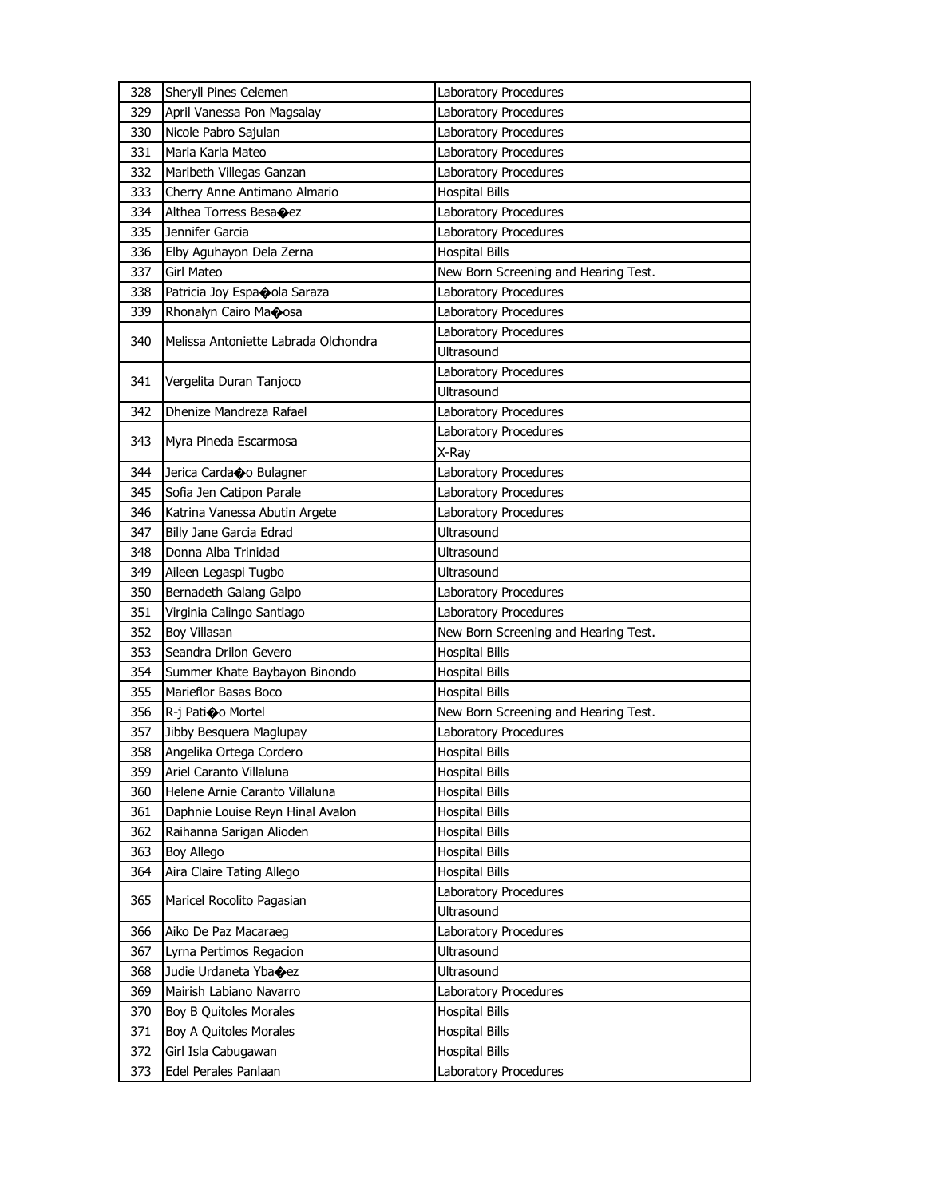|            | Sheryll Pines Celemen                       | Laboratory Procedures                          |
|------------|---------------------------------------------|------------------------------------------------|
| 328<br>329 | April Vanessa Pon Magsalay                  | Laboratory Procedures                          |
| 330        | Nicole Pabro Sajulan                        | Laboratory Procedures                          |
| 331        | Maria Karla Mateo                           | Laboratory Procedures                          |
| 332        | Maribeth Villegas Ganzan                    | Laboratory Procedures                          |
| 333        | Cherry Anne Antimano Almario                | <b>Hospital Bills</b>                          |
| 334        |                                             |                                                |
| 335        | Althea Torress Besacez<br>Jennifer Garcia   | Laboratory Procedures<br>Laboratory Procedures |
| 336        |                                             | <b>Hospital Bills</b>                          |
|            | Elby Aguhayon Dela Zerna                    |                                                |
| 337        | Girl Mateo                                  | New Born Screening and Hearing Test.           |
| 338        | Patricia Joy Espaoola Saraza                | Laboratory Procedures                          |
| 339        | Rhonalyn Cairo Maoosa                       | Laboratory Procedures                          |
| 340        | Melissa Antoniette Labrada Olchondra        | Laboratory Procedures                          |
|            |                                             | <b>Ultrasound</b>                              |
| 341        | Vergelita Duran Tanjoco                     | Laboratory Procedures                          |
|            |                                             | Ultrasound                                     |
| 342        | Dhenize Mandreza Rafael                     | Laboratory Procedures                          |
| 343        | Myra Pineda Escarmosa                       | Laboratory Procedures                          |
|            |                                             | X-Ray                                          |
| 344        | Jerica Cardao Bulagner                      | Laboratory Procedures                          |
| 345        | Sofia Jen Catipon Parale                    | Laboratory Procedures                          |
| 346        | Katrina Vanessa Abutin Argete               | Laboratory Procedures                          |
| 347        | Billy Jane Garcia Edrad                     | <b>Ultrasound</b>                              |
| 348        | Donna Alba Trinidad                         | Ultrasound                                     |
| 349        | Aileen Legaspi Tugbo                        | Ultrasound                                     |
| 350        | Bernadeth Galang Galpo                      | Laboratory Procedures                          |
|            |                                             |                                                |
| 351        | Virginia Calingo Santiago                   | Laboratory Procedures                          |
| 352        | Boy Villasan                                | New Born Screening and Hearing Test.           |
| 353        | Seandra Drilon Gevero                       | <b>Hospital Bills</b>                          |
| 354        | Summer Khate Baybayon Binondo               | <b>Hospital Bills</b>                          |
| 355        | Marieflor Basas Boco                        | <b>Hospital Bills</b>                          |
| 356        | R-j Patioo Mortel                           | New Born Screening and Hearing Test.           |
| 357        | Jibby Besquera Maglupay                     | Laboratory Procedures                          |
| 358        | Angelika Ortega Cordero                     | <b>Hospital Bills</b>                          |
| 359        | Ariel Caranto Villaluna                     | <b>Hospital Bills</b>                          |
| 360        | Helene Arnie Caranto Villaluna              | <b>Hospital Bills</b>                          |
| 361        | Daphnie Louise Reyn Hinal Avalon            | <b>Hospital Bills</b>                          |
| 362        | Raihanna Sarigan Alioden                    | <b>Hospital Bills</b>                          |
| 363        | Boy Allego                                  | <b>Hospital Bills</b>                          |
| 364        | Aira Claire Tating Allego                   | <b>Hospital Bills</b>                          |
|            |                                             | Laboratory Procedures                          |
| 365        | Maricel Rocolito Pagasian                   | Ultrasound                                     |
| 366        | Aiko De Paz Macaraeg                        | Laboratory Procedures                          |
| 367        | Lyrna Pertimos Regacion                     | Ultrasound                                     |
| 368        | Judie Urdaneta Yba $\bigcirc$ ez            | Ultrasound                                     |
| 369        | Mairish Labiano Navarro                     | Laboratory Procedures                          |
| 370        | Boy B Quitoles Morales                      | <b>Hospital Bills</b>                          |
| 371        |                                             |                                                |
|            | Boy A Quitoles Morales                      | <b>Hospital Bills</b>                          |
| 372<br>373 | Girl Isla Cabugawan<br>Edel Perales Panlaan | <b>Hospital Bills</b><br>Laboratory Procedures |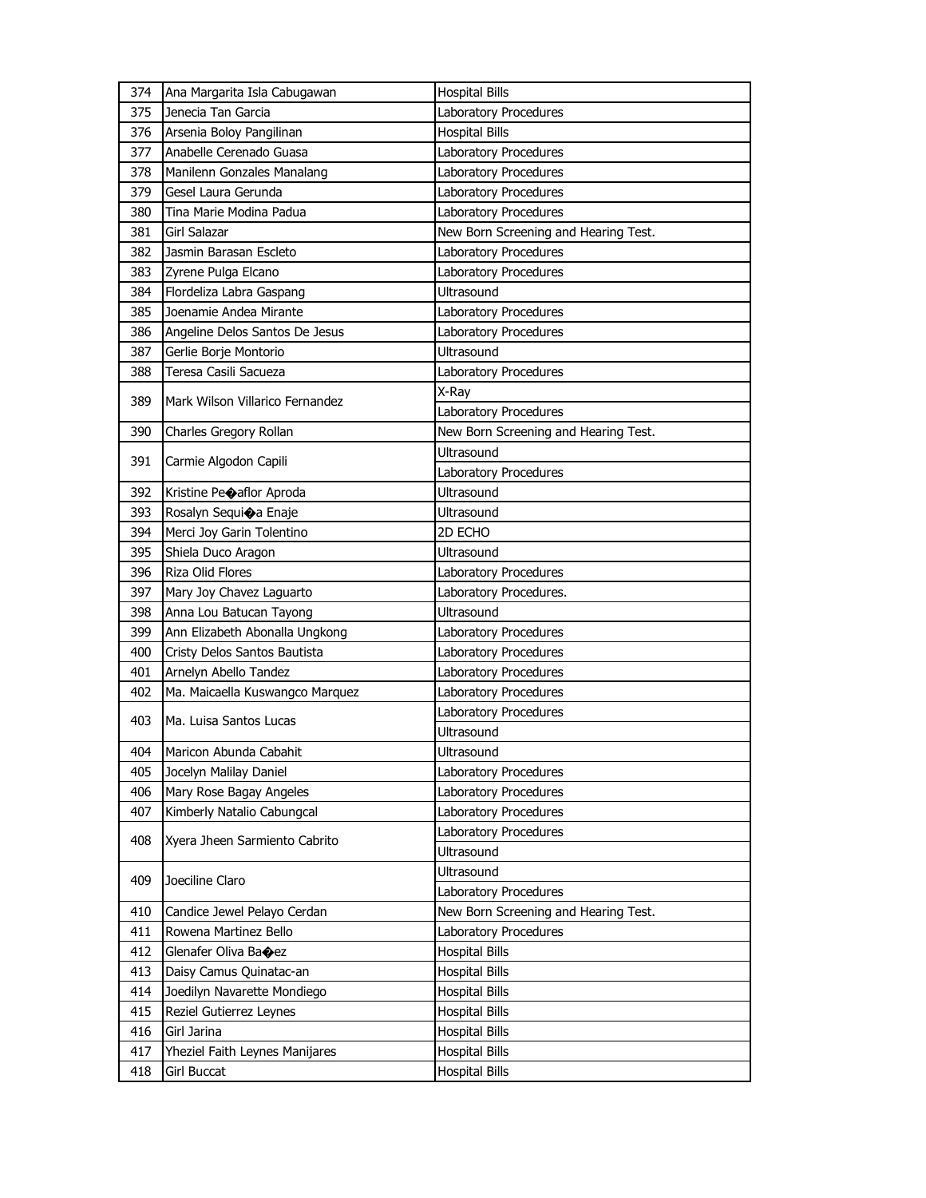| 374 | Ana Margarita Isla Cabugawan    | <b>Hospital Bills</b>                          |
|-----|---------------------------------|------------------------------------------------|
| 375 | Jenecia Tan Garcia              | Laboratory Procedures                          |
| 376 | Arsenia Boloy Pangilinan        | <b>Hospital Bills</b>                          |
| 377 | Anabelle Cerenado Guasa         | Laboratory Procedures                          |
| 378 | Manilenn Gonzales Manalang      | Laboratory Procedures                          |
| 379 | Gesel Laura Gerunda             | Laboratory Procedures                          |
| 380 | Tina Marie Modina Padua         | Laboratory Procedures                          |
| 381 | Girl Salazar                    | New Born Screening and Hearing Test.           |
| 382 | Jasmin Barasan Escleto          | Laboratory Procedures                          |
| 383 | Zyrene Pulga Elcano             | Laboratory Procedures                          |
| 384 | Flordeliza Labra Gaspang        | Ultrasound                                     |
| 385 | Joenamie Andea Mirante          | Laboratory Procedures                          |
| 386 | Angeline Delos Santos De Jesus  | Laboratory Procedures                          |
| 387 | Gerlie Borje Montorio           | <b>Ultrasound</b>                              |
| 388 | Teresa Casili Sacueza           | Laboratory Procedures                          |
| 389 | Mark Wilson Villarico Fernandez | X-Ray                                          |
|     |                                 | Laboratory Procedures                          |
| 390 | Charles Gregory Rollan          | New Born Screening and Hearing Test.           |
|     |                                 | Ultrasound                                     |
| 391 | Carmie Algodon Capili           | Laboratory Procedures                          |
| 392 | Kristine Peoaflor Aproda        | Ultrasound                                     |
| 393 | Rosalyn Sequioa Enaje           | Ultrasound                                     |
| 394 | Merci Joy Garin Tolentino       | 2D ECHO                                        |
| 395 | Shiela Duco Aragon              | Ultrasound                                     |
| 396 | Riza Olid Flores                | Laboratory Procedures                          |
| 397 | Mary Joy Chavez Laguarto        | Laboratory Procedures.                         |
| 398 | Anna Lou Batucan Tayong         | Ultrasound                                     |
| 399 | Ann Elizabeth Abonalla Ungkong  | Laboratory Procedures                          |
| 400 | Cristy Delos Santos Bautista    | Laboratory Procedures                          |
| 401 | Arnelyn Abello Tandez           | Laboratory Procedures                          |
| 402 | Ma. Maicaella Kuswangco Marquez | Laboratory Procedures                          |
| 403 | Ma. Luisa Santos Lucas          | Laboratory Procedures                          |
|     |                                 | <b>Ultrasound</b>                              |
| 404 | Maricon Abunda Cabahit          | Ultrasound                                     |
| 405 | Jocelyn Malilay Daniel          | Laboratory Procedures                          |
| 406 | Mary Rose Bagay Angeles         | Laboratory Procedures                          |
| 407 | Kimberly Natalio Cabungcal      | Laboratory Procedures                          |
| 408 | Xyera Jheen Sarmiento Cabrito   | Laboratory Procedures                          |
|     |                                 | Ultrasound                                     |
| 409 | Joeciline Claro                 | Ultrasound                                     |
|     |                                 | Laboratory Procedures                          |
| 410 | Candice Jewel Pelayo Cerdan     | New Born Screening and Hearing Test.           |
| 411 | Rowena Martinez Bello           | Laboratory Procedures                          |
| 412 | Glenafer Oliva Bacez            | <b>Hospital Bills</b>                          |
| 413 | Daisy Camus Quinatac-an         | <b>Hospital Bills</b>                          |
| 414 | Joedilyn Navarette Mondiego     | <b>Hospital Bills</b>                          |
| 415 | Reziel Gutierrez Leynes         | <b>Hospital Bills</b>                          |
|     |                                 |                                                |
| 416 | Girl Jarina                     | <b>Hospital Bills</b>                          |
| 417 | Yheziel Faith Leynes Manijares  | <b>Hospital Bills</b><br><b>Hospital Bills</b> |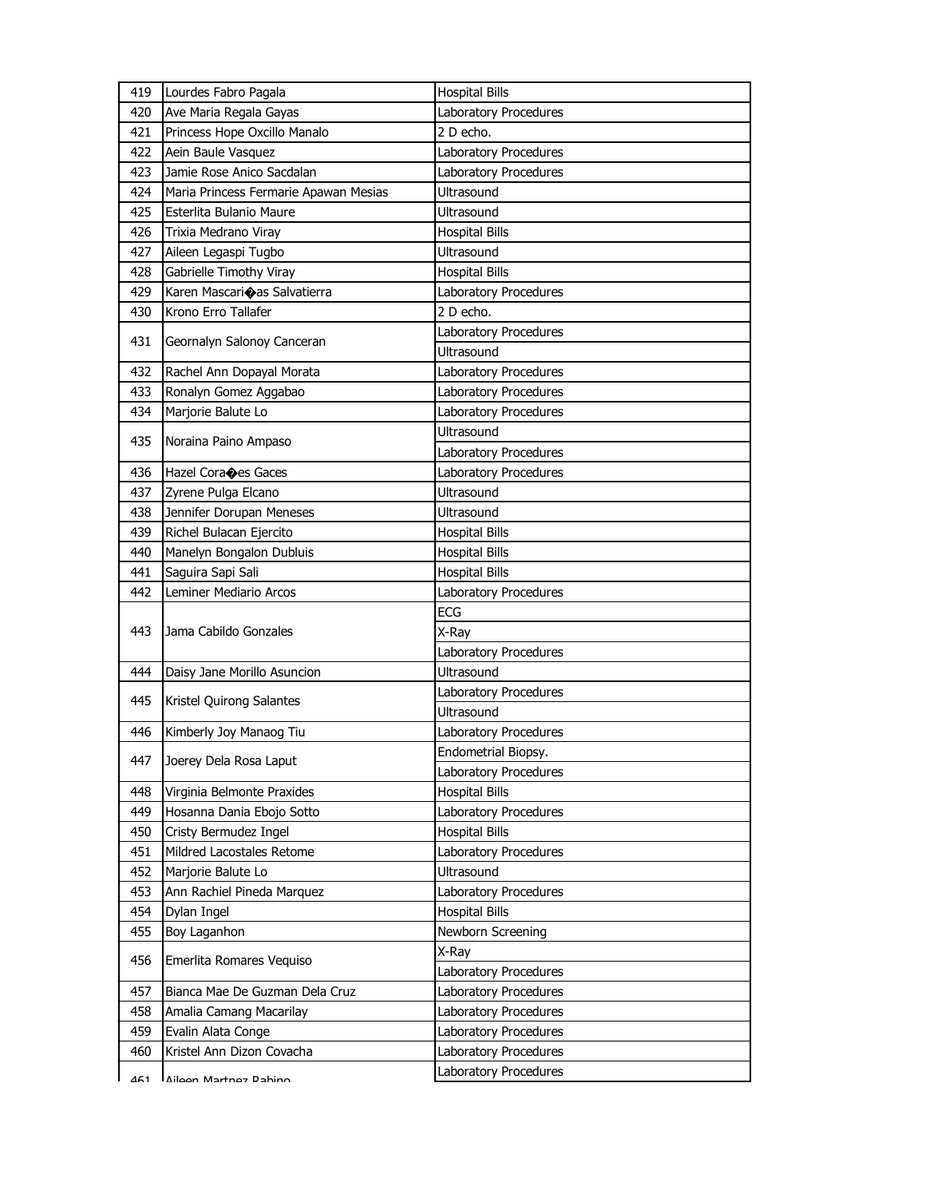| 419 | Lourdes Fabro Pagala                  | <b>Hospital Bills</b> |
|-----|---------------------------------------|-----------------------|
| 420 | Ave Maria Regala Gayas                | Laboratory Procedures |
| 421 | Princess Hope Oxcillo Manalo          | 2 D echo.             |
| 422 | Aein Baule Vasquez                    | Laboratory Procedures |
| 423 | Jamie Rose Anico Sacdalan             | Laboratory Procedures |
| 424 | Maria Princess Fermarie Apawan Mesias | <b>Ultrasound</b>     |
| 425 | Esterlita Bulanio Maure               | Ultrasound            |
| 426 | Trixia Medrano Viray                  | <b>Hospital Bills</b> |
| 427 | Aileen Legaspi Tugbo                  | Ultrasound            |
| 428 | Gabrielle Timothy Viray               | <b>Hospital Bills</b> |
| 429 | Karen Mascarioas Salvatierra          | Laboratory Procedures |
| 430 | Krono Erro Tallafer                   | 2 D echo.             |
|     |                                       | Laboratory Procedures |
| 431 | Geornalyn Salonoy Canceran            | Ultrasound            |
| 432 | Rachel Ann Dopayal Morata             | Laboratory Procedures |
| 433 | Ronalyn Gomez Aggabao                 | Laboratory Procedures |
| 434 | Marjorie Balute Lo                    | Laboratory Procedures |
|     |                                       | Ultrasound            |
| 435 | Noraina Paino Ampaso                  | Laboratory Procedures |
| 436 | Hazel Coraces Gaces                   | Laboratory Procedures |
| 437 | Zyrene Pulga Elcano                   | <b>Ultrasound</b>     |
| 438 | Jennifer Dorupan Meneses              | Ultrasound            |
| 439 | Richel Bulacan Ejercito               | <b>Hospital Bills</b> |
| 440 | Manelyn Bongalon Dubluis              | <b>Hospital Bills</b> |
| 441 | Saguira Sapi Sali                     | <b>Hospital Bills</b> |
| 442 | Leminer Mediario Arcos                | Laboratory Procedures |
|     |                                       | ECG                   |
| 443 | Jama Cabildo Gonzales                 | X-Ray                 |
|     |                                       | Laboratory Procedures |
| 444 | Daisy Jane Morillo Asuncion           | <b>Ultrasound</b>     |
|     |                                       | Laboratory Procedures |
| 445 | Kristel Quirong Salantes              | Ultrasound            |
| 446 | Kimberly Joy Manaog Tiu               | Laboratory Procedures |
|     |                                       | Endometrial Biopsy.   |
| 447 | Joerey Dela Rosa Laput                | Laboratory Procedures |
| 448 | Virginia Belmonte Praxides            | <b>Hospital Bills</b> |
| 449 | Hosanna Dania Ebojo Sotto             | Laboratory Procedures |
| 450 | Cristy Bermudez Ingel                 | <b>Hospital Bills</b> |
| 451 | Mildred Lacostales Retome             | Laboratory Procedures |
| 452 | Marjorie Balute Lo                    | Ultrasound            |
| 453 | Ann Rachiel Pineda Marquez            | Laboratory Procedures |
| 454 | Dylan Ingel                           | <b>Hospital Bills</b> |
| 455 | Boy Laganhon                          | Newborn Screening     |
|     |                                       | X-Ray                 |
| 456 | Emerlita Romares Vequiso              | Laboratory Procedures |
| 457 | Bianca Mae De Guzman Dela Cruz        | Laboratory Procedures |
| 458 | Amalia Camang Macarilay               | Laboratory Procedures |
| 459 | Evalin Alata Conge                    | Laboratory Procedures |
| 460 | Kristel Ann Dizon Covacha             | Laboratory Procedures |
| 461 | Ailaan Martnaz Dahino                 | Laboratory Procedures |
|     |                                       |                       |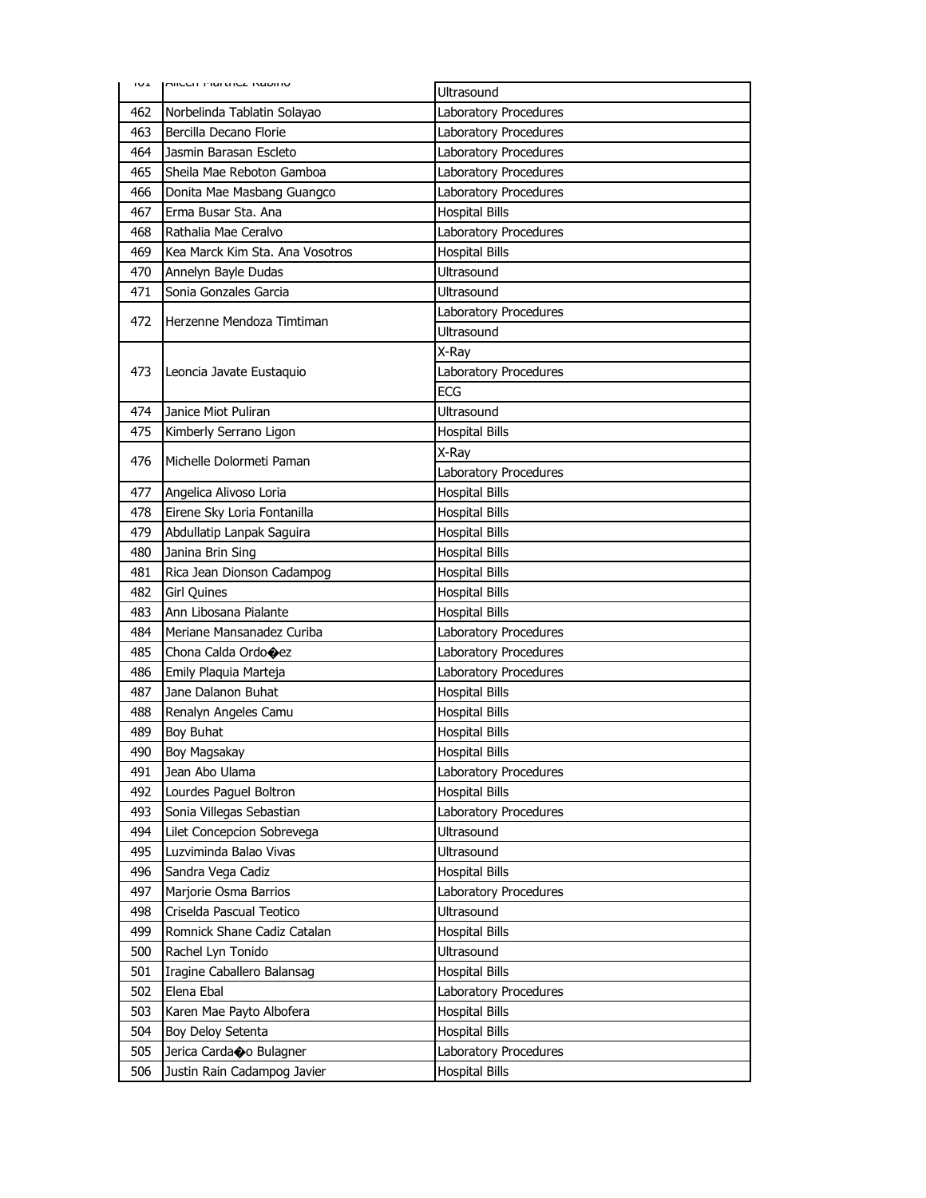| ⊥∪⊤ | <b>MICCIT MOLUTCA NOVITIO</b>   | <b>Ultrasound</b>     |
|-----|---------------------------------|-----------------------|
| 462 | Norbelinda Tablatin Solayao     | Laboratory Procedures |
| 463 | Bercilla Decano Florie          | Laboratory Procedures |
| 464 | Jasmin Barasan Escleto          | Laboratory Procedures |
| 465 | Sheila Mae Reboton Gamboa       | Laboratory Procedures |
| 466 | Donita Mae Masbang Guangco      | Laboratory Procedures |
| 467 | Erma Busar Sta. Ana             | <b>Hospital Bills</b> |
| 468 | Rathalia Mae Ceralvo            | Laboratory Procedures |
| 469 | Kea Marck Kim Sta. Ana Vosotros | <b>Hospital Bills</b> |
| 470 | Annelyn Bayle Dudas             | Ultrasound            |
| 471 | Sonia Gonzales Garcia           | <b>Ultrasound</b>     |
| 472 | Herzenne Mendoza Timtiman       | Laboratory Procedures |
|     |                                 | <b>Ultrasound</b>     |
|     |                                 | X-Ray                 |
| 473 | Leoncia Javate Eustaquio        | Laboratory Procedures |
|     |                                 | <b>ECG</b>            |
| 474 | Janice Miot Puliran             | Ultrasound            |
| 475 | Kimberly Serrano Ligon          | <b>Hospital Bills</b> |
| 476 | Michelle Dolormeti Paman        | X-Rav                 |
|     |                                 | Laboratory Procedures |
| 477 | Angelica Alivoso Loria          | <b>Hospital Bills</b> |
| 478 | Eirene Sky Loria Fontanilla     | <b>Hospital Bills</b> |
| 479 | Abdullatip Lanpak Saguira       | <b>Hospital Bills</b> |
| 480 | Janina Brin Sing                | <b>Hospital Bills</b> |
| 481 | Rica Jean Dionson Cadampog      | <b>Hospital Bills</b> |
| 482 | <b>Girl Quines</b>              | <b>Hospital Bills</b> |
| 483 | Ann Libosana Pialante           | <b>Hospital Bills</b> |
| 484 | Meriane Mansanadez Curiba       | Laboratory Procedures |
| 485 | Chona Calda Ordo $\bigcirc$ ez  | Laboratory Procedures |
| 486 | Emily Plaquia Marteja           | Laboratory Procedures |
| 487 | Jane Dalanon Buhat              | <b>Hospital Bills</b> |
| 488 | Renalyn Angeles Camu            | <b>Hospital Bills</b> |
| 489 | Boy Buhat                       | <b>Hospital Bills</b> |
| 490 | Boy Magsakay                    | <b>Hospital Bills</b> |
| 491 | Jean Abo Ulama                  | Laboratory Procedures |
| 492 | Lourdes Paguel Boltron          | <b>Hospital Bills</b> |
| 493 | Sonia Villegas Sebastian        | Laboratory Procedures |
| 494 | Lilet Concepcion Sobrevega      | Ultrasound            |
| 495 | Luzviminda Balao Vivas          | Ultrasound            |
| 496 | Sandra Vega Cadiz               | <b>Hospital Bills</b> |
| 497 | Marjorie Osma Barrios           | Laboratory Procedures |
| 498 | Criselda Pascual Teotico        | Ultrasound            |
| 499 | Romnick Shane Cadiz Catalan     | <b>Hospital Bills</b> |
| 500 | Rachel Lyn Tonido               | Ultrasound            |
| 501 | Iragine Caballero Balansag      | <b>Hospital Bills</b> |
| 502 | Elena Ebal                      | Laboratory Procedures |
| 503 | Karen Mae Payto Albofera        | <b>Hospital Bills</b> |
| 504 | Boy Deloy Setenta               | <b>Hospital Bills</b> |
| 505 | Jerica Cardao Bulagner          | Laboratory Procedures |
| 506 | Justin Rain Cadampog Javier     | <b>Hospital Bills</b> |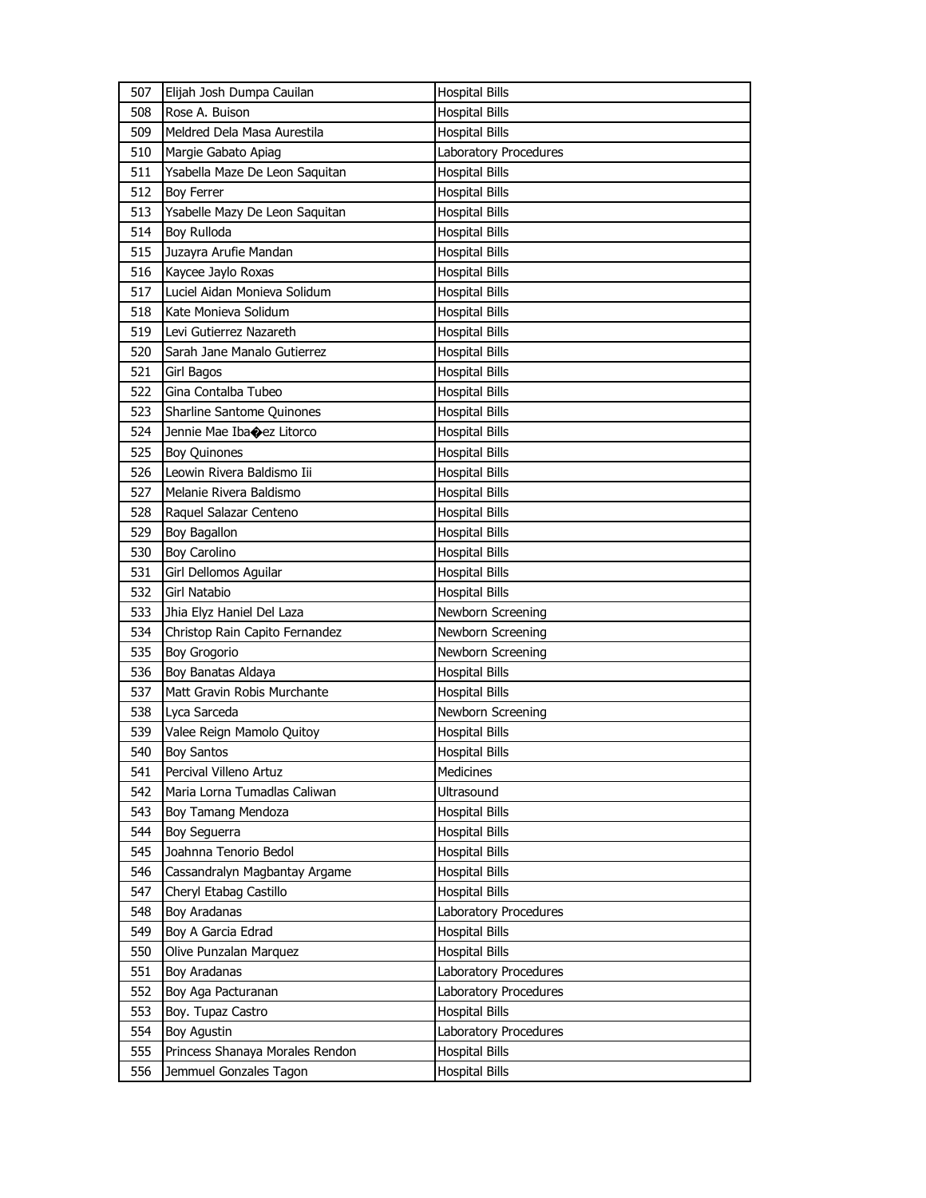| 507 | Elijah Josh Dumpa Cauilan       | <b>Hospital Bills</b> |
|-----|---------------------------------|-----------------------|
| 508 | Rose A. Buison                  | <b>Hospital Bills</b> |
| 509 | Meldred Dela Masa Aurestila     | <b>Hospital Bills</b> |
| 510 | Margie Gabato Apiag             | Laboratory Procedures |
| 511 | Ysabella Maze De Leon Saquitan  | <b>Hospital Bills</b> |
| 512 | <b>Boy Ferrer</b>               | <b>Hospital Bills</b> |
| 513 | Ysabelle Mazy De Leon Saquitan  | <b>Hospital Bills</b> |
| 514 | Boy Rulloda                     | <b>Hospital Bills</b> |
| 515 | Juzayra Arufie Mandan           | <b>Hospital Bills</b> |
| 516 | Kaycee Jaylo Roxas              | <b>Hospital Bills</b> |
| 517 | Luciel Aidan Monieva Solidum    | <b>Hospital Bills</b> |
| 518 | Kate Monieva Solidum            | <b>Hospital Bills</b> |
| 519 | Levi Gutierrez Nazareth         | <b>Hospital Bills</b> |
| 520 | Sarah Jane Manalo Gutierrez     | <b>Hospital Bills</b> |
| 521 | Girl Bagos                      | <b>Hospital Bills</b> |
| 522 | Gina Contalba Tubeo             | Hospital Bills        |
| 523 | Sharline Santome Quinones       | <b>Hospital Bills</b> |
| 524 | Jennie Mae Ibacez Litorco       | <b>Hospital Bills</b> |
| 525 | <b>Boy Quinones</b>             | <b>Hospital Bills</b> |
| 526 | Leowin Rivera Baldismo Iii      | <b>Hospital Bills</b> |
| 527 | Melanie Rivera Baldismo         | <b>Hospital Bills</b> |
| 528 | Raguel Salazar Centeno          | <b>Hospital Bills</b> |
| 529 | Boy Bagallon                    | <b>Hospital Bills</b> |
| 530 | Boy Carolino                    | <b>Hospital Bills</b> |
| 531 | Girl Dellomos Aguilar           | <b>Hospital Bills</b> |
| 532 | <b>Girl Natabio</b>             | <b>Hospital Bills</b> |
| 533 | Jhia Elyz Haniel Del Laza       | Newborn Screening     |
| 534 | Christop Rain Capito Fernandez  | Newborn Screening     |
| 535 | <b>Boy Grogorio</b>             | Newborn Screening     |
| 536 | Boy Banatas Aldaya              | <b>Hospital Bills</b> |
| 537 | Matt Gravin Robis Murchante     | <b>Hospital Bills</b> |
| 538 | Lyca Sarceda                    | Newborn Screening     |
| 539 | Valee Reign Mamolo Quitoy       | <b>Hospital Bills</b> |
| 540 | <b>Boy Santos</b>               | <b>Hospital Bills</b> |
| 541 | Percival Villeno Artuz          | Medicines             |
| 542 | Maria Lorna Tumadlas Caliwan    | Ultrasound            |
| 543 | Boy Tamang Mendoza              | <b>Hospital Bills</b> |
| 544 | Boy Seguerra                    | <b>Hospital Bills</b> |
| 545 | Joahnna Tenorio Bedol           | <b>Hospital Bills</b> |
| 546 | Cassandralyn Magbantay Argame   | <b>Hospital Bills</b> |
| 547 | Cheryl Etabag Castillo          | <b>Hospital Bills</b> |
| 548 | <b>Boy Aradanas</b>             | Laboratory Procedures |
| 549 | Boy A Garcia Edrad              | <b>Hospital Bills</b> |
| 550 | Olive Punzalan Marquez          | <b>Hospital Bills</b> |
| 551 | <b>Boy Aradanas</b>             | Laboratory Procedures |
| 552 | Boy Aga Pacturanan              | Laboratory Procedures |
| 553 | Boy. Tupaz Castro               | <b>Hospital Bills</b> |
| 554 | <b>Boy Agustin</b>              | Laboratory Procedures |
| 555 | Princess Shanaya Morales Rendon | <b>Hospital Bills</b> |
| 556 | Jemmuel Gonzales Tagon          | <b>Hospital Bills</b> |